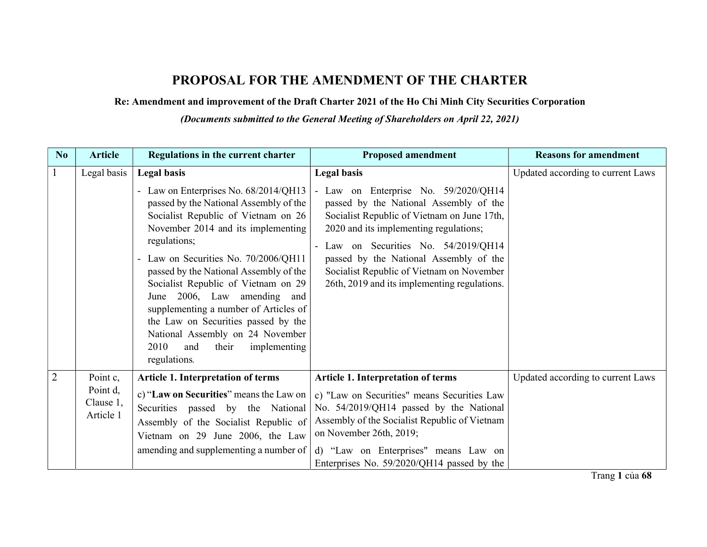## PROPOSAL FOR THE AMENDMENT OF THE CHARTER

Re: Amendment and improvement of the Draft Charter 2021 of the Ho Chi Minh City Securities Corporation

(Documents submitted to the General Meeting of Shareholders on April 22, 2021)

| No             | <b>Article</b>                                 | Regulations in the current charter                                                                                                                                                                                                                                                                                                                                                                                                                                                                                                     | <b>Proposed amendment</b>                                                                                                                                                                                                                                                                                                                                                  | <b>Reasons for amendment</b>      |
|----------------|------------------------------------------------|----------------------------------------------------------------------------------------------------------------------------------------------------------------------------------------------------------------------------------------------------------------------------------------------------------------------------------------------------------------------------------------------------------------------------------------------------------------------------------------------------------------------------------------|----------------------------------------------------------------------------------------------------------------------------------------------------------------------------------------------------------------------------------------------------------------------------------------------------------------------------------------------------------------------------|-----------------------------------|
| $\mathbf{1}$   | Legal basis                                    | <b>Legal basis</b><br>- Law on Enterprises No. 68/2014/QH13<br>passed by the National Assembly of the<br>Socialist Republic of Vietnam on 26<br>November 2014 and its implementing<br>regulations;<br>- Law on Securities No. 70/2006/QH11<br>passed by the National Assembly of the<br>Socialist Republic of Vietnam on 29<br>June 2006, Law amending and<br>supplementing a number of Articles of<br>the Law on Securities passed by the<br>National Assembly on 24 November<br>2010<br>and<br>their<br>implementing<br>regulations. | <b>Legal basis</b><br>- Law on Enterprise No. 59/2020/QH14<br>passed by the National Assembly of the<br>Socialist Republic of Vietnam on June 17th,<br>2020 and its implementing regulations;<br>Law on Securities No. 54/2019/QH14<br>passed by the National Assembly of the<br>Socialist Republic of Vietnam on November<br>26th, 2019 and its implementing regulations. | Updated according to current Laws |
| $\overline{2}$ | Point c,<br>Point d,<br>Clause 1,<br>Article 1 | <b>Article 1. Interpretation of terms</b><br>c) "Law on Securities" means the Law on<br>Securities passed by the National<br>Assembly of the Socialist Republic of<br>Vietnam on 29 June 2006, the Law<br>amending and supplementing a number of                                                                                                                                                                                                                                                                                       | <b>Article 1. Interpretation of terms</b><br>c) "Law on Securities" means Securities Law<br>No. 54/2019/QH14 passed by the National<br>Assembly of the Socialist Republic of Vietnam<br>on November 26th, 2019;<br>d) "Law on Enterprises" means Law on<br>Enterprises No. 59/2020/QH14 passed by the                                                                      | Updated according to current Laws |

Trang 1 của 68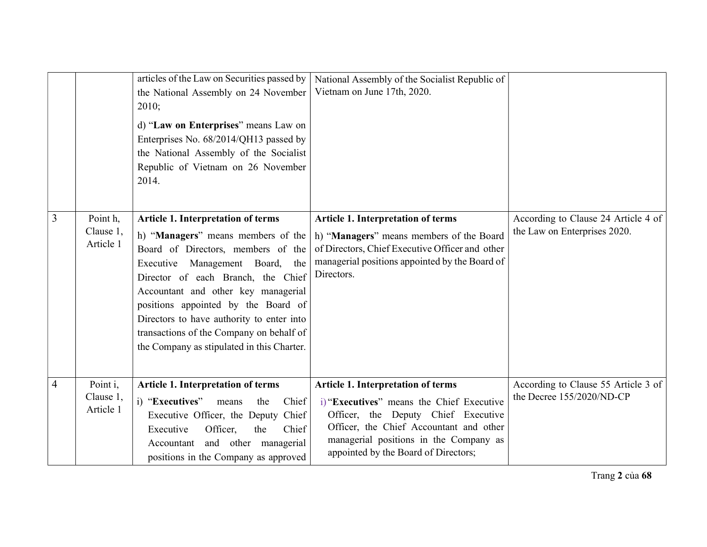|   |                                    | articles of the Law on Securities passed by<br>the National Assembly on 24 November<br>2010;<br>d) "Law on Enterprises" means Law on<br>Enterprises No. 68/2014/QH13 passed by<br>the National Assembly of the Socialist<br>Republic of Vietnam on 26 November<br>2014.                                                                                                                                      | National Assembly of the Socialist Republic of<br>Vietnam on June 17th, 2020.                                                                                                                                                                              |                                                                     |
|---|------------------------------------|--------------------------------------------------------------------------------------------------------------------------------------------------------------------------------------------------------------------------------------------------------------------------------------------------------------------------------------------------------------------------------------------------------------|------------------------------------------------------------------------------------------------------------------------------------------------------------------------------------------------------------------------------------------------------------|---------------------------------------------------------------------|
| 3 | Point h,<br>Clause 1,<br>Article 1 | Article 1. Interpretation of terms<br>h) "Managers" means members of the<br>Board of Directors, members of the<br>Executive Management Board, the<br>Director of each Branch, the Chief<br>Accountant and other key managerial<br>positions appointed by the Board of<br>Directors to have authority to enter into<br>transactions of the Company on behalf of<br>the Company as stipulated in this Charter. | Article 1. Interpretation of terms<br>h) "Managers" means members of the Board<br>of Directors, Chief Executive Officer and other<br>managerial positions appointed by the Board of<br>Directors.                                                          | According to Clause 24 Article 4 of<br>the Law on Enterprises 2020. |
| 4 | Point i,<br>Clause 1,<br>Article 1 | Article 1. Interpretation of terms<br>i) "Executives"<br>Chief<br>means<br>the<br>Executive Officer, the Deputy Chief<br>Officer,<br>Executive<br>Chief<br>the<br>and other managerial<br>Accountant<br>positions in the Company as approved                                                                                                                                                                 | <b>Article 1. Interpretation of terms</b><br>i) "Executives" means the Chief Executive<br>Officer, the Deputy Chief Executive<br>Officer, the Chief Accountant and other<br>managerial positions in the Company as<br>appointed by the Board of Directors; | According to Clause 55 Article 3 of<br>the Decree 155/2020/ND-CP    |

Trang 2 của 68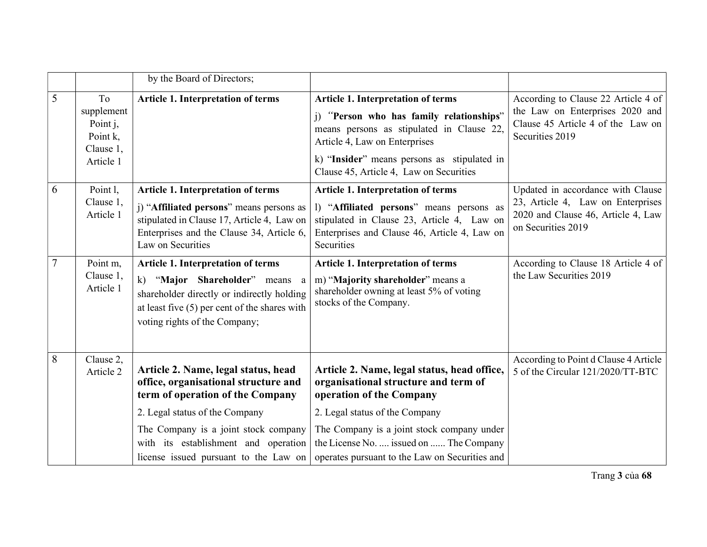|   |                                                                    | by the Board of Directors;                                                                                                                                                                                                                                                 |                                                                                                                                                                                                                                                                                              |                                                                                                                                    |
|---|--------------------------------------------------------------------|----------------------------------------------------------------------------------------------------------------------------------------------------------------------------------------------------------------------------------------------------------------------------|----------------------------------------------------------------------------------------------------------------------------------------------------------------------------------------------------------------------------------------------------------------------------------------------|------------------------------------------------------------------------------------------------------------------------------------|
| 5 | To<br>supplement<br>Point j,<br>Point k,<br>Clause 1,<br>Article 1 | <b>Article 1. Interpretation of terms</b>                                                                                                                                                                                                                                  | <b>Article 1. Interpretation of terms</b><br>j) "Person who has family relationships"<br>means persons as stipulated in Clause 22,<br>Article 4, Law on Enterprises<br>k) "Insider" means persons as stipulated in<br>Clause 45, Article 4, Law on Securities                                | According to Clause 22 Article 4 of<br>the Law on Enterprises 2020 and<br>Clause 45 Article 4 of the Law on<br>Securities 2019     |
| 6 | Point 1,<br>Clause 1,<br>Article 1                                 | <b>Article 1. Interpretation of terms</b><br>j) "Affiliated persons" means persons as<br>stipulated in Clause 17, Article 4, Law on<br>Enterprises and the Clause 34, Article 6,<br>Law on Securities                                                                      | <b>Article 1. Interpretation of terms</b><br>1) "Affiliated persons" means persons as<br>stipulated in Clause 23, Article 4, Law on<br>Enterprises and Clause 46, Article 4, Law on<br>Securities                                                                                            | Updated in accordance with Clause<br>23, Article 4, Law on Enterprises<br>2020 and Clause 46, Article 4, Law<br>on Securities 2019 |
| 7 | Point m,<br>Clause 1,<br>Article 1                                 | Article 1. Interpretation of terms<br>k) "Major Shareholder" means a<br>shareholder directly or indirectly holding<br>at least five $(5)$ per cent of the shares with<br>voting rights of the Company;                                                                     | <b>Article 1. Interpretation of terms</b><br>m) "Majority shareholder" means a<br>shareholder owning at least 5% of voting<br>stocks of the Company.                                                                                                                                         | According to Clause 18 Article 4 of<br>the Law Securities 2019                                                                     |
| 8 | Clause 2,<br>Article 2                                             | Article 2. Name, legal status, head<br>office, organisational structure and<br>term of operation of the Company<br>2. Legal status of the Company<br>The Company is a joint stock company<br>with its establishment and operation<br>license issued pursuant to the Law on | Article 2. Name, legal status, head office,<br>organisational structure and term of<br>operation of the Company<br>2. Legal status of the Company<br>The Company is a joint stock company under<br>the License No.  issued on  The Company<br>operates pursuant to the Law on Securities and | According to Point d Clause 4 Article<br>5 of the Circular 121/2020/TT-BTC                                                         |

Trang 3 của 68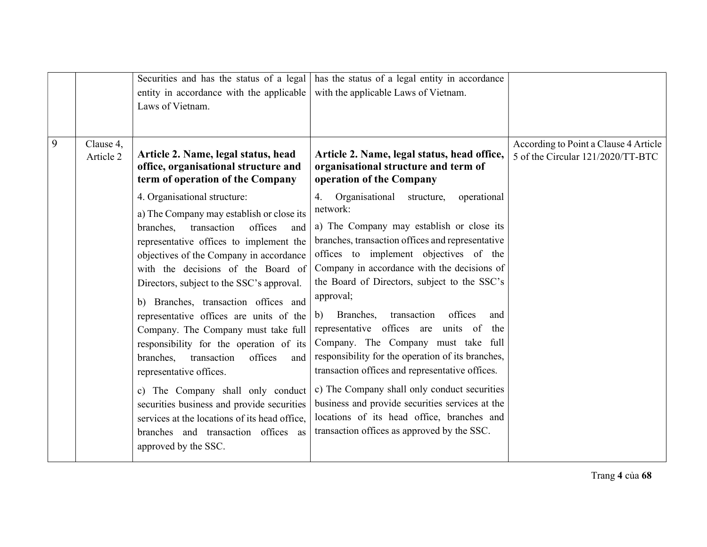|   |                        | Securities and has the status of a legal<br>entity in accordance with the applicable<br>Laws of Vietnam.                                                                                                                                                                                                                                                                                                                                                                                                                                                                                                                                                                                                                                                                                                                                                             | has the status of a legal entity in accordance<br>with the applicable Laws of Vietnam.                                                                                                                                                                                                                                                                                                                                                                                                                                                                                                                                                                                                                                                                                                                                                                                                      |                                                                            |
|---|------------------------|----------------------------------------------------------------------------------------------------------------------------------------------------------------------------------------------------------------------------------------------------------------------------------------------------------------------------------------------------------------------------------------------------------------------------------------------------------------------------------------------------------------------------------------------------------------------------------------------------------------------------------------------------------------------------------------------------------------------------------------------------------------------------------------------------------------------------------------------------------------------|---------------------------------------------------------------------------------------------------------------------------------------------------------------------------------------------------------------------------------------------------------------------------------------------------------------------------------------------------------------------------------------------------------------------------------------------------------------------------------------------------------------------------------------------------------------------------------------------------------------------------------------------------------------------------------------------------------------------------------------------------------------------------------------------------------------------------------------------------------------------------------------------|----------------------------------------------------------------------------|
| 9 | Clause 4,<br>Article 2 | Article 2. Name, legal status, head<br>office, organisational structure and<br>term of operation of the Company<br>4. Organisational structure:<br>a) The Company may establish or close its<br>branches,<br>transaction<br>offices<br>and<br>representative offices to implement the<br>objectives of the Company in accordance<br>with the decisions of the Board of<br>Directors, subject to the SSC's approval.<br>b) Branches, transaction offices and<br>representative offices are units of the<br>Company. The Company must take full<br>responsibility for the operation of its<br>transaction<br>offices<br>branches,<br>and<br>representative offices.<br>c) The Company shall only conduct<br>securities business and provide securities<br>services at the locations of its head office,<br>branches and transaction offices as<br>approved by the SSC. | Article 2. Name, legal status, head office,<br>organisational structure and term of<br>operation of the Company<br>Organisational<br>operational<br>4.<br>structure,<br>network:<br>a) The Company may establish or close its<br>branches, transaction offices and representative<br>offices to implement objectives of the<br>Company in accordance with the decisions of<br>the Board of Directors, subject to the SSC's<br>approval;<br>offices<br>Branches,<br>transaction<br>and<br>b)<br>representative offices are<br>units of<br>the<br>Company. The Company must take full<br>responsibility for the operation of its branches,<br>transaction offices and representative offices.<br>c) The Company shall only conduct securities<br>business and provide securities services at the<br>locations of its head office, branches and<br>transaction offices as approved by the SSC. | According to Point a Clause 4 Article<br>5 of the Circular 121/2020/TT-BTC |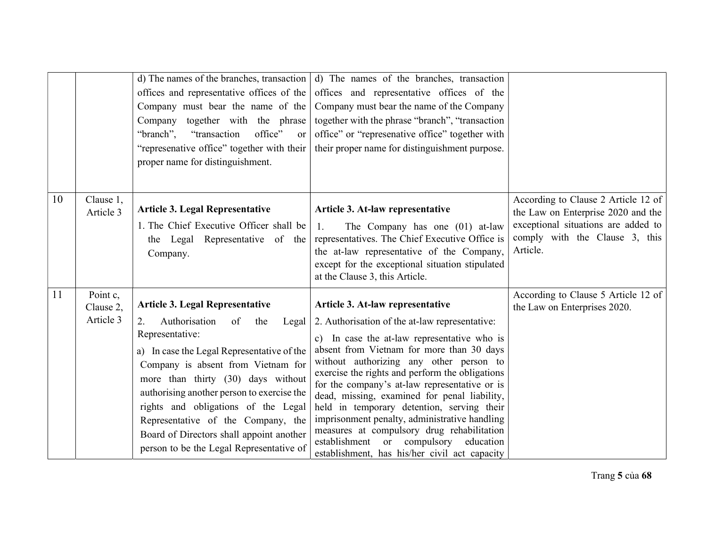| d) The names of the branches, transaction $\vert$ d) The names of the branches, transaction                                                                                                                                                                                                                                     |                                                                           |
|---------------------------------------------------------------------------------------------------------------------------------------------------------------------------------------------------------------------------------------------------------------------------------------------------------------------------------|---------------------------------------------------------------------------|
| offices and representative offices of the<br>offices and representative offices of the                                                                                                                                                                                                                                          |                                                                           |
| Company must bear the name of the<br>Company must bear the name of the Company                                                                                                                                                                                                                                                  |                                                                           |
| together with the phrase<br>together with the phrase "branch", "transaction<br>Company                                                                                                                                                                                                                                          |                                                                           |
| "branch",<br>"transaction"<br>office" or "represenative office" together with<br>office"<br>or                                                                                                                                                                                                                                  |                                                                           |
| "represenative office" together with their<br>their proper name for distinguishment purpose.                                                                                                                                                                                                                                    |                                                                           |
| proper name for distinguishment.                                                                                                                                                                                                                                                                                                |                                                                           |
|                                                                                                                                                                                                                                                                                                                                 |                                                                           |
|                                                                                                                                                                                                                                                                                                                                 |                                                                           |
| 10<br>Clause 1,<br><b>Article 3. Legal Representative</b><br>Article 3. At-law representative<br>Article 3                                                                                                                                                                                                                      | According to Clause 2 Article 12 of<br>the Law on Enterprise 2020 and the |
| 1. The Chief Executive Officer shall be<br>The Company has one (01) at-law<br>1.<br>representatives. The Chief Executive Office is<br>the Legal Representative of the<br>Article.<br>the at-law representative of the Company,<br>Company.<br>except for the exceptional situation stipulated<br>at the Clause 3, this Article. | exceptional situations are added to<br>comply with the Clause 3, this     |
| 11<br>Point c,                                                                                                                                                                                                                                                                                                                  | According to Clause 5 Article 12 of                                       |
| <b>Article 3. Legal Representative</b><br>Article 3. At-law representative<br>Clause 2,<br>the Law on Enterprises 2020.                                                                                                                                                                                                         |                                                                           |
| Article 3<br>Authorisation<br>2. Authorisation of the at-law representative:<br>2.<br>of<br>the<br>Legal                                                                                                                                                                                                                        |                                                                           |
| Representative:<br>c) In case the at-law representative who is                                                                                                                                                                                                                                                                  |                                                                           |
| absent from Vietnam for more than 30 days<br>a) In case the Legal Representative of the                                                                                                                                                                                                                                         |                                                                           |
| without authorizing any other person to<br>Company is absent from Vietnam for                                                                                                                                                                                                                                                   |                                                                           |
| exercise the rights and perform the obligations<br>more than thirty (30) days without                                                                                                                                                                                                                                           |                                                                           |
| for the company's at-law representative or is<br>authorising another person to exercise the<br>dead, missing, examined for penal liability,                                                                                                                                                                                     |                                                                           |
| rights and obligations of the Legal<br>held in temporary detention, serving their                                                                                                                                                                                                                                               |                                                                           |
| imprisonment penalty, administrative handling<br>Representative of the Company, the                                                                                                                                                                                                                                             |                                                                           |
| measures at compulsory drug rehabilitation<br>Board of Directors shall appoint another<br>establishment or compulsory education                                                                                                                                                                                                 |                                                                           |
|                                                                                                                                                                                                                                                                                                                                 |                                                                           |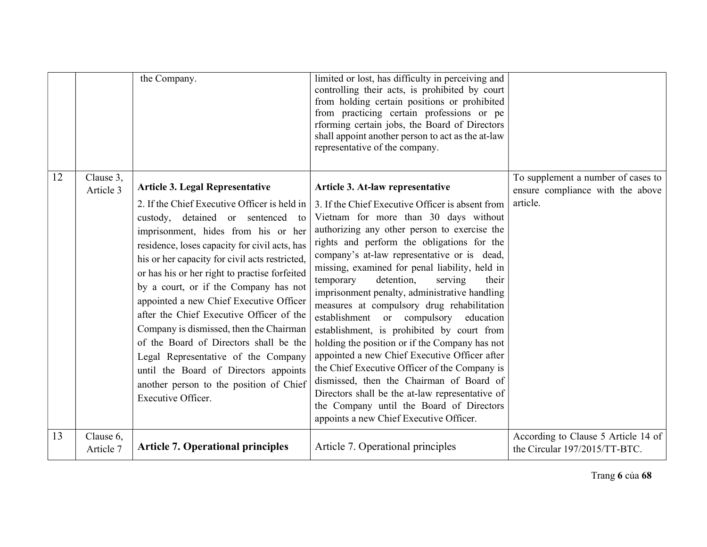|    |                        | the Company.                                                                                                                                                                                                                                                                                                                                                                                                                                                                                                                                                                                                                                                                                    | limited or lost, has difficulty in perceiving and<br>controlling their acts, is prohibited by court<br>from holding certain positions or prohibited<br>from practicing certain professions or pe<br>rforming certain jobs, the Board of Directors<br>shall appoint another person to act as the at-law<br>representative of the company.                                                                                                                                                                                                                                                                                                                                                                                                                                                                                                                                                                    |                                                                                    |
|----|------------------------|-------------------------------------------------------------------------------------------------------------------------------------------------------------------------------------------------------------------------------------------------------------------------------------------------------------------------------------------------------------------------------------------------------------------------------------------------------------------------------------------------------------------------------------------------------------------------------------------------------------------------------------------------------------------------------------------------|-------------------------------------------------------------------------------------------------------------------------------------------------------------------------------------------------------------------------------------------------------------------------------------------------------------------------------------------------------------------------------------------------------------------------------------------------------------------------------------------------------------------------------------------------------------------------------------------------------------------------------------------------------------------------------------------------------------------------------------------------------------------------------------------------------------------------------------------------------------------------------------------------------------|------------------------------------------------------------------------------------|
| 12 | Clause 3,<br>Article 3 | <b>Article 3. Legal Representative</b><br>2. If the Chief Executive Officer is held in<br>custody, detained or sentenced<br>to<br>imprisonment, hides from his or her<br>residence, loses capacity for civil acts, has<br>his or her capacity for civil acts restricted,<br>or has his or her right to practise forfeited<br>by a court, or if the Company has not<br>appointed a new Chief Executive Officer<br>after the Chief Executive Officer of the<br>Company is dismissed, then the Chairman<br>of the Board of Directors shall be the<br>Legal Representative of the Company<br>until the Board of Directors appoints<br>another person to the position of Chief<br>Executive Officer. | Article 3. At-law representative<br>3. If the Chief Executive Officer is absent from<br>Vietnam for more than 30 days without<br>authorizing any other person to exercise the<br>rights and perform the obligations for the<br>company's at-law representative or is dead,<br>missing, examined for penal liability, held in<br>detention,<br>temporary<br>serving<br>their<br>imprisonment penalty, administrative handling<br>measures at compulsory drug rehabilitation<br>establishment or compulsory education<br>establishment, is prohibited by court from<br>holding the position or if the Company has not<br>appointed a new Chief Executive Officer after<br>the Chief Executive Officer of the Company is<br>dismissed, then the Chairman of Board of<br>Directors shall be the at-law representative of<br>the Company until the Board of Directors<br>appoints a new Chief Executive Officer. | To supplement a number of cases to<br>ensure compliance with the above<br>article. |
| 13 | Clause 6,<br>Article 7 | <b>Article 7. Operational principles</b>                                                                                                                                                                                                                                                                                                                                                                                                                                                                                                                                                                                                                                                        | Article 7. Operational principles                                                                                                                                                                                                                                                                                                                                                                                                                                                                                                                                                                                                                                                                                                                                                                                                                                                                           | According to Clause 5 Article 14 of<br>the Circular 197/2015/TT-BTC.               |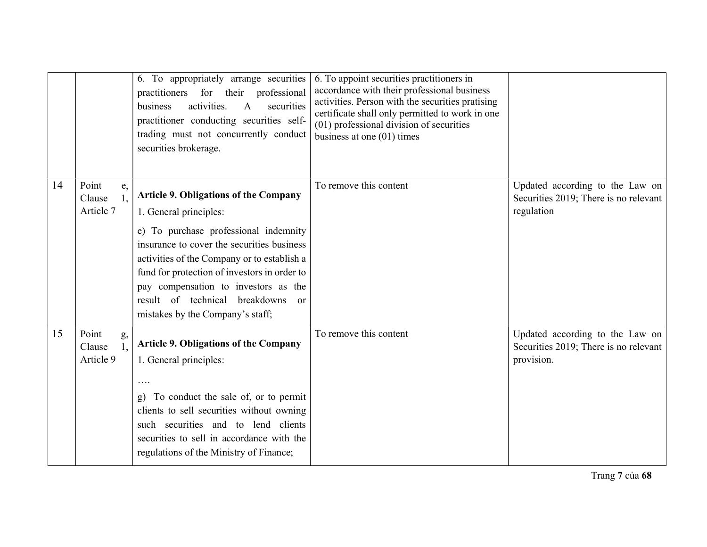|    |                                    | 6. To appropriately arrange securities<br>practitioners for their<br>professional<br>business<br>activities.<br>securities<br>A<br>practitioner conducting securities self-<br>trading must not concurrently conduct<br>securities brokerage.                                                                                                                                    | 6. To appoint securities practitioners in<br>accordance with their professional business<br>activities. Person with the securities pratising<br>certificate shall only permitted to work in one<br>(01) professional division of securities<br>business at one $(01)$ times |                                                                                        |
|----|------------------------------------|----------------------------------------------------------------------------------------------------------------------------------------------------------------------------------------------------------------------------------------------------------------------------------------------------------------------------------------------------------------------------------|-----------------------------------------------------------------------------------------------------------------------------------------------------------------------------------------------------------------------------------------------------------------------------|----------------------------------------------------------------------------------------|
| 14 | Point<br>e,<br>Clause<br>Article 7 | <b>Article 9. Obligations of the Company</b><br>1. General principles:<br>e) To purchase professional indemnity<br>insurance to cover the securities business<br>activities of the Company or to establish a<br>fund for protection of investors in order to<br>pay compensation to investors as the<br>result of technical breakdowns<br>or<br>mistakes by the Company's staff; | To remove this content                                                                                                                                                                                                                                                      | Updated according to the Law on<br>Securities 2019; There is no relevant<br>regulation |
| 15 | Point<br>g,<br>Clause<br>Article 9 | <b>Article 9. Obligations of the Company</b><br>1. General principles:<br>g) To conduct the sale of, or to permit<br>clients to sell securities without owning<br>such securities and to lend clients<br>securities to sell in accordance with the<br>regulations of the Ministry of Finance;                                                                                    | To remove this content                                                                                                                                                                                                                                                      | Updated according to the Law on<br>Securities 2019; There is no relevant<br>provision. |

Trang 7 của 68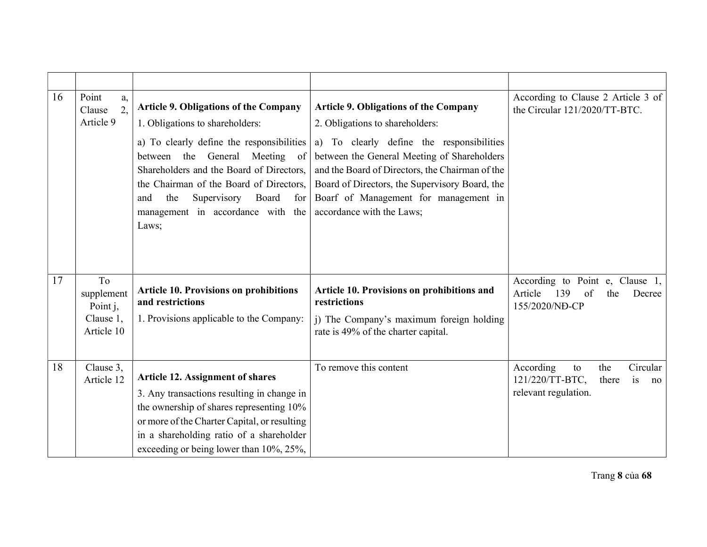| 16 | Point<br>a,<br>2,<br>Clause<br>Article 9                | <b>Article 9. Obligations of the Company</b><br>1. Obligations to shareholders:<br>a) To clearly define the responsibilities<br>between the General Meeting of<br>Shareholders and the Board of Directors,<br>the Chairman of the Board of Directors,<br>the<br>Supervisory Board<br>and<br>for<br>management in accordance with the<br>Laws; | <b>Article 9. Obligations of the Company</b><br>2. Obligations to shareholders:<br>a) To clearly define the responsibilities<br>between the General Meeting of Shareholders<br>and the Board of Directors, the Chairman of the<br>Board of Directors, the Supervisory Board, the<br>Boarf of Management for management in<br>accordance with the Laws; | According to Clause 2 Article 3 of<br>the Circular 121/2020/TT-BTC.                                |
|----|---------------------------------------------------------|-----------------------------------------------------------------------------------------------------------------------------------------------------------------------------------------------------------------------------------------------------------------------------------------------------------------------------------------------|--------------------------------------------------------------------------------------------------------------------------------------------------------------------------------------------------------------------------------------------------------------------------------------------------------------------------------------------------------|----------------------------------------------------------------------------------------------------|
| 17 | To<br>supplement<br>Point j,<br>Clause 1,<br>Article 10 | <b>Article 10. Provisions on prohibitions</b><br>and restrictions<br>1. Provisions applicable to the Company:                                                                                                                                                                                                                                 | <b>Article 10. Provisions on prohibitions and</b><br>restrictions<br>j) The Company's maximum foreign holding<br>rate is 49% of the charter capital.                                                                                                                                                                                                   | According to Point e, Clause 1,<br>Article<br>139<br>of<br>Decree<br>the<br>155/2020/NĐ-CP         |
| 18 | Clause 3,<br>Article 12                                 | <b>Article 12. Assignment of shares</b><br>3. Any transactions resulting in change in<br>the ownership of shares representing 10%<br>or more of the Charter Capital, or resulting<br>in a shareholding ratio of a shareholder<br>exceeding or being lower than 10%, 25%,                                                                      | To remove this content                                                                                                                                                                                                                                                                                                                                 | According<br>Circular<br>the<br>to<br>121/220/TT-BTC,<br>there<br>is<br>no<br>relevant regulation. |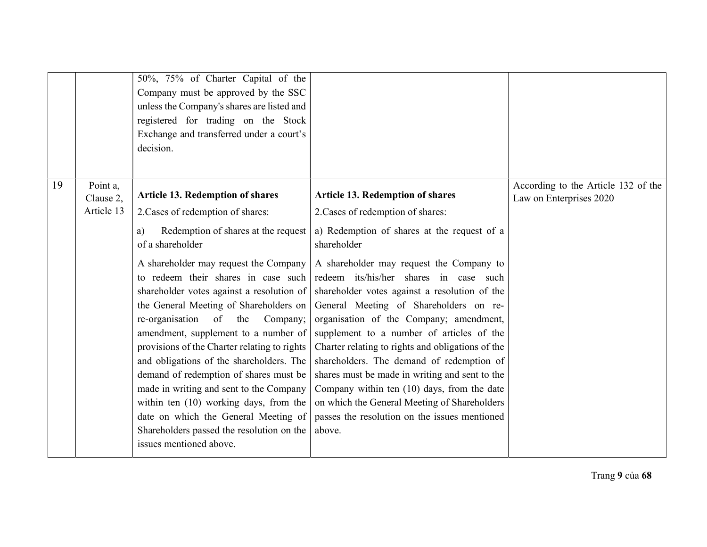|    |                                     | 50%, 75% of Charter Capital of the<br>Company must be approved by the SSC<br>unless the Company's shares are listed and<br>registered for trading on the Stock<br>Exchange and transferred under a court's<br>decision.                                                                                                                                                                                                                                                                                                                                                                                                                                                                                                                             |                                                                                                                                                                                                                                                                                                                                                                                                                                                                                                                                                                                                                                                                                                                                   |                                                                |
|----|-------------------------------------|-----------------------------------------------------------------------------------------------------------------------------------------------------------------------------------------------------------------------------------------------------------------------------------------------------------------------------------------------------------------------------------------------------------------------------------------------------------------------------------------------------------------------------------------------------------------------------------------------------------------------------------------------------------------------------------------------------------------------------------------------------|-----------------------------------------------------------------------------------------------------------------------------------------------------------------------------------------------------------------------------------------------------------------------------------------------------------------------------------------------------------------------------------------------------------------------------------------------------------------------------------------------------------------------------------------------------------------------------------------------------------------------------------------------------------------------------------------------------------------------------------|----------------------------------------------------------------|
| 19 | Point a,<br>Clause 2,<br>Article 13 | <b>Article 13. Redemption of shares</b><br>2. Cases of redemption of shares:<br>Redemption of shares at the request<br>a)<br>of a shareholder<br>A shareholder may request the Company<br>to redeem their shares in case such<br>shareholder votes against a resolution of<br>the General Meeting of Shareholders on<br>re-organisation<br>of<br>the<br>Company;<br>amendment, supplement to a number of<br>provisions of the Charter relating to rights<br>and obligations of the shareholders. The<br>demand of redemption of shares must be<br>made in writing and sent to the Company<br>within ten (10) working days, from the<br>date on which the General Meeting of<br>Shareholders passed the resolution on the<br>issues mentioned above. | <b>Article 13. Redemption of shares</b><br>2. Cases of redemption of shares:<br>a) Redemption of shares at the request of a<br>shareholder<br>A shareholder may request the Company to<br>redeem its/his/her shares in case such<br>shareholder votes against a resolution of the<br>General Meeting of Shareholders on re-<br>organisation of the Company; amendment,<br>supplement to a number of articles of the<br>Charter relating to rights and obligations of the<br>shareholders. The demand of redemption of<br>shares must be made in writing and sent to the<br>Company within ten (10) days, from the date<br>on which the General Meeting of Shareholders<br>passes the resolution on the issues mentioned<br>above. | According to the Article 132 of the<br>Law on Enterprises 2020 |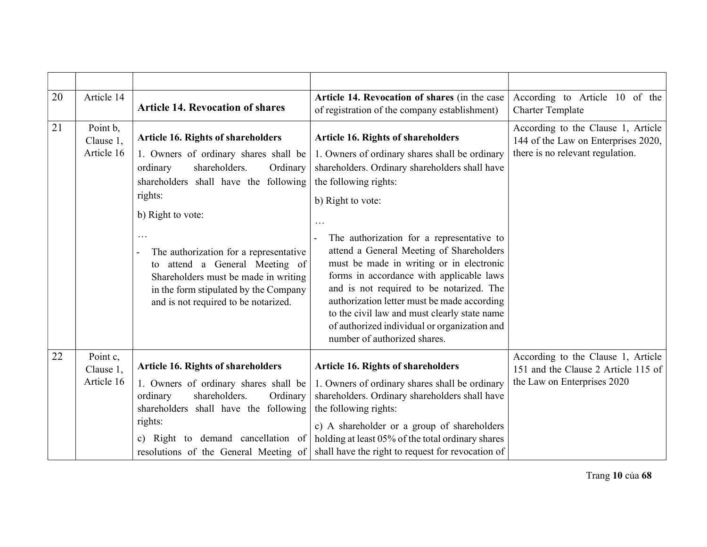| 20 | Article 14            | <b>Article 14. Revocation of shares</b>                                                                                                                                                           | Article 14. Revocation of shares (in the case                                                                                                                                                                                                                                                                                                                                                            | According to Article 10 of the                                            |
|----|-----------------------|---------------------------------------------------------------------------------------------------------------------------------------------------------------------------------------------------|----------------------------------------------------------------------------------------------------------------------------------------------------------------------------------------------------------------------------------------------------------------------------------------------------------------------------------------------------------------------------------------------------------|---------------------------------------------------------------------------|
|    |                       |                                                                                                                                                                                                   | of registration of the company establishment)                                                                                                                                                                                                                                                                                                                                                            | <b>Charter Template</b>                                                   |
| 21 | Point b,<br>Clause 1, | <b>Article 16. Rights of shareholders</b>                                                                                                                                                         | <b>Article 16. Rights of shareholders</b>                                                                                                                                                                                                                                                                                                                                                                | According to the Clause 1, Article<br>144 of the Law on Enterprises 2020, |
|    | Article 16            | 1. Owners of ordinary shares shall be                                                                                                                                                             | 1. Owners of ordinary shares shall be ordinary                                                                                                                                                                                                                                                                                                                                                           | there is no relevant regulation.                                          |
|    |                       | ordinary<br>shareholders.<br>Ordinary                                                                                                                                                             | shareholders. Ordinary shareholders shall have                                                                                                                                                                                                                                                                                                                                                           |                                                                           |
|    |                       | shareholders shall have the following                                                                                                                                                             | the following rights:                                                                                                                                                                                                                                                                                                                                                                                    |                                                                           |
|    |                       | rights:                                                                                                                                                                                           | b) Right to vote:                                                                                                                                                                                                                                                                                                                                                                                        |                                                                           |
|    |                       | b) Right to vote:                                                                                                                                                                                 | $\ddots$                                                                                                                                                                                                                                                                                                                                                                                                 |                                                                           |
|    |                       | The authorization for a representative<br>to attend a General Meeting of<br>Shareholders must be made in writing<br>in the form stipulated by the Company<br>and is not required to be notarized. | The authorization for a representative to<br>attend a General Meeting of Shareholders<br>must be made in writing or in electronic<br>forms in accordance with applicable laws<br>and is not required to be notarized. The<br>authorization letter must be made according<br>to the civil law and must clearly state name<br>of authorized individual or organization and<br>number of authorized shares. |                                                                           |
| 22 | Point c,<br>Clause 1, | <b>Article 16. Rights of shareholders</b>                                                                                                                                                         | <b>Article 16. Rights of shareholders</b>                                                                                                                                                                                                                                                                                                                                                                | According to the Clause 1, Article<br>151 and the Clause 2 Article 115 of |
|    | Article 16            | 1. Owners of ordinary shares shall be<br>ordinary<br>shareholders.<br>Ordinary<br>shareholders shall have the following                                                                           | 1. Owners of ordinary shares shall be ordinary<br>shareholders. Ordinary shareholders shall have<br>the following rights:                                                                                                                                                                                                                                                                                | the Law on Enterprises 2020                                               |
|    |                       | rights:                                                                                                                                                                                           | c) A shareholder or a group of shareholders                                                                                                                                                                                                                                                                                                                                                              |                                                                           |
|    |                       | c) Right to demand cancellation of                                                                                                                                                                | holding at least 05% of the total ordinary shares                                                                                                                                                                                                                                                                                                                                                        |                                                                           |
|    |                       | resolutions of the General Meeting of                                                                                                                                                             | shall have the right to request for revocation of                                                                                                                                                                                                                                                                                                                                                        |                                                                           |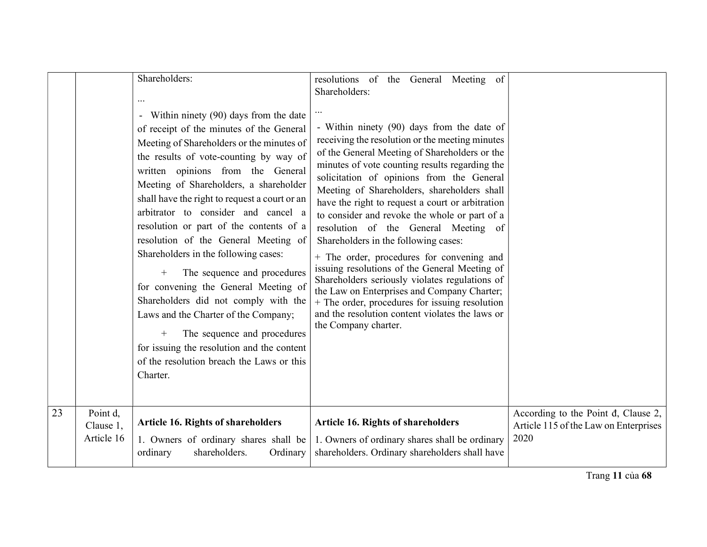| 23 | Point d,                | Shareholders:<br><br>Within ninety (90) days from the date<br>$\blacksquare$<br>of receipt of the minutes of the General<br>Meeting of Shareholders or the minutes of<br>the results of vote-counting by way of<br>written opinions from the General<br>Meeting of Shareholders, a shareholder<br>shall have the right to request a court or an<br>arbitrator to consider and cancel a<br>resolution or part of the contents of a<br>resolution of the General Meeting of<br>Shareholders in the following cases:<br>The sequence and procedures<br>$^{+}$<br>for convening the General Meeting of<br>Shareholders did not comply with the<br>Laws and the Charter of the Company;<br>The sequence and procedures<br>$^+$<br>for issuing the resolution and the content<br>of the resolution breach the Laws or this<br>Charter. | resolutions of<br>the General<br>Meeting of<br>Shareholders:<br>- Within ninety (90) days from the date of<br>receiving the resolution or the meeting minutes<br>of the General Meeting of Shareholders or the<br>minutes of vote counting results regarding the<br>solicitation of opinions from the General<br>Meeting of Shareholders, shareholders shall<br>have the right to request a court or arbitration<br>to consider and revoke the whole or part of a<br>resolution of the General Meeting of<br>Shareholders in the following cases:<br>+ The order, procedures for convening and<br>issuing resolutions of the General Meeting of<br>Shareholders seriously violates regulations of<br>the Law on Enterprises and Company Charter;<br>+ The order, procedures for issuing resolution<br>and the resolution content violates the laws or<br>the Company charter. | According to the Point đ, Clause 2,           |
|----|-------------------------|----------------------------------------------------------------------------------------------------------------------------------------------------------------------------------------------------------------------------------------------------------------------------------------------------------------------------------------------------------------------------------------------------------------------------------------------------------------------------------------------------------------------------------------------------------------------------------------------------------------------------------------------------------------------------------------------------------------------------------------------------------------------------------------------------------------------------------|-------------------------------------------------------------------------------------------------------------------------------------------------------------------------------------------------------------------------------------------------------------------------------------------------------------------------------------------------------------------------------------------------------------------------------------------------------------------------------------------------------------------------------------------------------------------------------------------------------------------------------------------------------------------------------------------------------------------------------------------------------------------------------------------------------------------------------------------------------------------------------|-----------------------------------------------|
|    | Clause 1,<br>Article 16 | <b>Article 16. Rights of shareholders</b><br>1. Owners of ordinary shares shall be<br>ordinary<br>shareholders.<br>Ordinary                                                                                                                                                                                                                                                                                                                                                                                                                                                                                                                                                                                                                                                                                                      | <b>Article 16. Rights of shareholders</b><br>1. Owners of ordinary shares shall be ordinary<br>shareholders. Ordinary shareholders shall have                                                                                                                                                                                                                                                                                                                                                                                                                                                                                                                                                                                                                                                                                                                                 | Article 115 of the Law on Enterprises<br>2020 |

Trang 11 của 68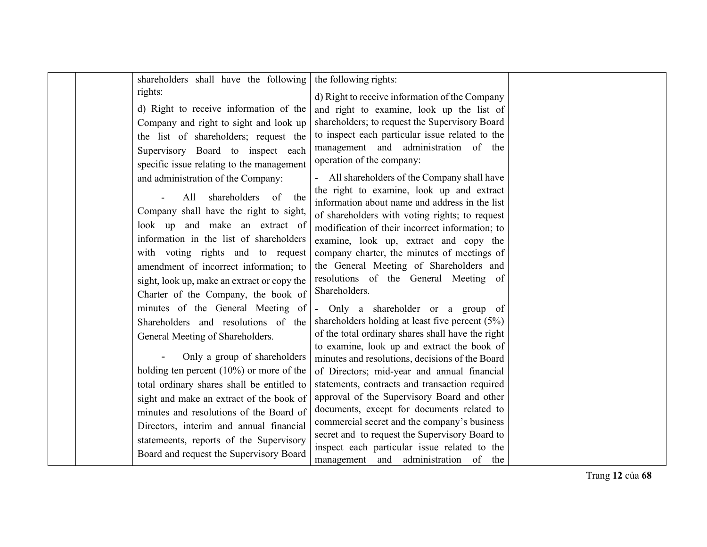| shareholders shall have the following       | the following rights:                                                                      |  |
|---------------------------------------------|--------------------------------------------------------------------------------------------|--|
| rights:                                     |                                                                                            |  |
|                                             | d) Right to receive information of the Company                                             |  |
| d) Right to receive information of the      | and right to examine, look up the list of                                                  |  |
| Company and right to sight and look up      | shareholders; to request the Supervisory Board                                             |  |
| the list of shareholders; request the       | to inspect each particular issue related to the                                            |  |
| Supervisory Board to inspect each           | management and administration of the                                                       |  |
| specific issue relating to the management   | operation of the company:                                                                  |  |
| and administration of the Company:          | - All shareholders of the Company shall have                                               |  |
| shareholders of the<br>All                  | the right to examine, look up and extract                                                  |  |
| Company shall have the right to sight,      | information about name and address in the list                                             |  |
|                                             | of shareholders with voting rights; to request                                             |  |
| look up and make an extract of              | modification of their incorrect information; to                                            |  |
| information in the list of shareholders     | examine, look up, extract and copy the                                                     |  |
| with voting rights and to request           | company charter, the minutes of meetings of                                                |  |
| amendment of incorrect information; to      | the General Meeting of Shareholders and                                                    |  |
| sight, look up, make an extract or copy the | resolutions of the General Meeting of                                                      |  |
| Charter of the Company, the book of         | Shareholders.                                                                              |  |
| minutes of the General Meeting of           | - Only a shareholder or a group of                                                         |  |
| Shareholders and resolutions of the         | shareholders holding at least five percent $(5\%)$                                         |  |
| General Meeting of Shareholders.            | of the total ordinary shares shall have the right                                          |  |
|                                             | to examine, look up and extract the book of                                                |  |
| Only a group of shareholders                | minutes and resolutions, decisions of the Board                                            |  |
| holding ten percent $(10\%)$ or more of the | of Directors; mid-year and annual financial                                                |  |
| total ordinary shares shall be entitled to  | statements, contracts and transaction required                                             |  |
| sight and make an extract of the book of    | approval of the Supervisory Board and other                                                |  |
| minutes and resolutions of the Board of     | documents, except for documents related to                                                 |  |
| Directors, interim and annual financial     | commercial secret and the company's business                                               |  |
| statemeents, reports of the Supervisory     | secret and to request the Supervisory Board to                                             |  |
| Board and request the Supervisory Board     | inspect each particular issue related to the<br>management<br>and<br>administration of the |  |
|                                             |                                                                                            |  |

Trang 12 của 68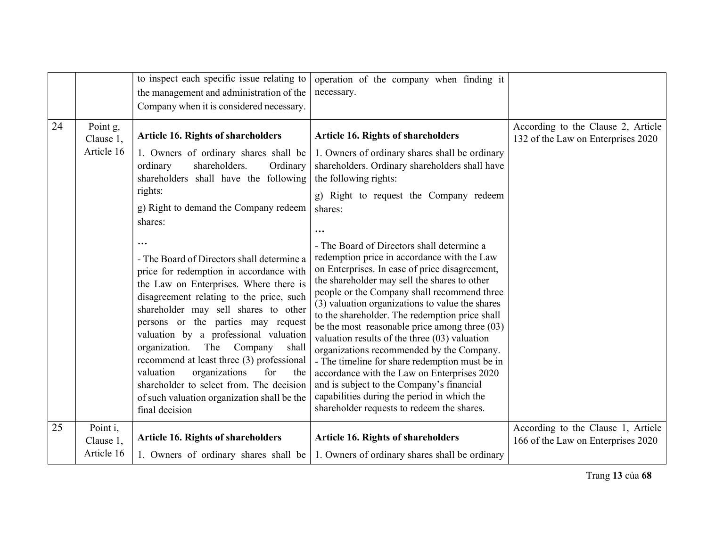|    |                                     | to inspect each specific issue relating to<br>the management and administration of the<br>Company when it is considered necessary.                                                                                                                                                                                                                                                                                                                                                                                                                                | operation of the company when finding it<br>necessary.                                                                                                                                                                                                                                                                                                                                                                                                                                                                                                                                                                                                                                                                                    |                                                                          |
|----|-------------------------------------|-------------------------------------------------------------------------------------------------------------------------------------------------------------------------------------------------------------------------------------------------------------------------------------------------------------------------------------------------------------------------------------------------------------------------------------------------------------------------------------------------------------------------------------------------------------------|-------------------------------------------------------------------------------------------------------------------------------------------------------------------------------------------------------------------------------------------------------------------------------------------------------------------------------------------------------------------------------------------------------------------------------------------------------------------------------------------------------------------------------------------------------------------------------------------------------------------------------------------------------------------------------------------------------------------------------------------|--------------------------------------------------------------------------|
| 24 | Point g,<br>Clause 1,<br>Article 16 | <b>Article 16. Rights of shareholders</b><br>1. Owners of ordinary shares shall be<br>shareholders.<br>ordinary<br>Ordinary<br>shareholders shall have the following<br>rights:<br>g) Right to demand the Company redeem<br>shares:                                                                                                                                                                                                                                                                                                                               | <b>Article 16. Rights of shareholders</b><br>1. Owners of ordinary shares shall be ordinary<br>shareholders. Ordinary shareholders shall have<br>the following rights:<br>g) Right to request the Company redeem<br>shares:<br>$\ddotsc$                                                                                                                                                                                                                                                                                                                                                                                                                                                                                                  | According to the Clause 2, Article<br>132 of the Law on Enterprises 2020 |
|    |                                     | $\ddotsc$<br>- The Board of Directors shall determine a<br>price for redemption in accordance with<br>the Law on Enterprises. Where there is<br>disagreement relating to the price, such<br>shareholder may sell shares to other<br>persons or the parties may request<br>valuation by a professional valuation<br>Company<br>organization.<br>The<br>shall<br>recommend at least three (3) professional<br>organizations<br>valuation<br>for<br>the<br>shareholder to select from. The decision<br>of such valuation organization shall be the<br>final decision | - The Board of Directors shall determine a<br>redemption price in accordance with the Law<br>on Enterprises. In case of price disagreement,<br>the shareholder may sell the shares to other<br>people or the Company shall recommend three<br>(3) valuation organizations to value the shares<br>to the shareholder. The redemption price shall<br>be the most reasonable price among three (03)<br>valuation results of the three (03) valuation<br>organizations recommended by the Company.<br>- The timeline for share redemption must be in<br>accordance with the Law on Enterprises 2020<br>and is subject to the Company's financial<br>capabilities during the period in which the<br>shareholder requests to redeem the shares. |                                                                          |
| 25 | Point i,<br>Clause 1,               | <b>Article 16. Rights of shareholders</b>                                                                                                                                                                                                                                                                                                                                                                                                                                                                                                                         | Article 16. Rights of shareholders                                                                                                                                                                                                                                                                                                                                                                                                                                                                                                                                                                                                                                                                                                        | According to the Clause 1, Article<br>166 of the Law on Enterprises 2020 |
|    | Article 16                          | 1. Owners of ordinary shares shall be                                                                                                                                                                                                                                                                                                                                                                                                                                                                                                                             | 1. Owners of ordinary shares shall be ordinary                                                                                                                                                                                                                                                                                                                                                                                                                                                                                                                                                                                                                                                                                            |                                                                          |

Trang 13 của 68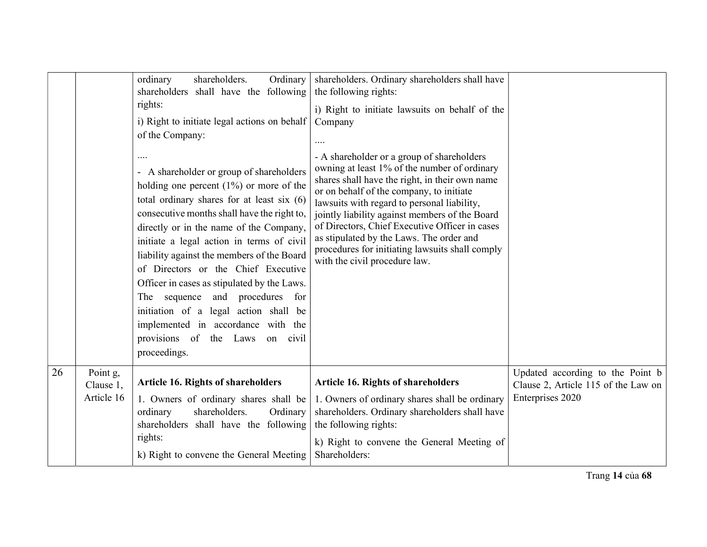|    |                                     | Ordinary<br>ordinary<br>shareholders.<br>shareholders shall have the following<br>rights:<br>i) Right to initiate legal actions on behalf<br>of the Company:<br>$\cdots$<br>- A shareholder or group of shareholders<br>holding one percent $(1\%)$ or more of the<br>total ordinary shares for at least six $(6)$<br>consecutive months shall have the right to,<br>directly or in the name of the Company,<br>initiate a legal action in terms of civil<br>liability against the members of the Board<br>of Directors or the Chief Executive<br>Officer in cases as stipulated by the Laws.<br>The sequence and procedures for<br>initiation of a legal action shall be<br>implemented in accordance with the<br>provisions of the Laws on civil<br>proceedings. | shareholders. Ordinary shareholders shall have<br>the following rights:<br>i) Right to initiate lawsuits on behalf of the<br>Company<br>- A shareholder or a group of shareholders<br>owning at least 1% of the number of ordinary<br>shares shall have the right, in their own name<br>or on behalf of the company, to initiate<br>lawsuits with regard to personal liability,<br>jointly liability against members of the Board<br>of Directors, Chief Executive Officer in cases<br>as stipulated by the Laws. The order and<br>procedures for initiating lawsuits shall comply<br>with the civil procedure law. |                                                                                             |
|----|-------------------------------------|--------------------------------------------------------------------------------------------------------------------------------------------------------------------------------------------------------------------------------------------------------------------------------------------------------------------------------------------------------------------------------------------------------------------------------------------------------------------------------------------------------------------------------------------------------------------------------------------------------------------------------------------------------------------------------------------------------------------------------------------------------------------|---------------------------------------------------------------------------------------------------------------------------------------------------------------------------------------------------------------------------------------------------------------------------------------------------------------------------------------------------------------------------------------------------------------------------------------------------------------------------------------------------------------------------------------------------------------------------------------------------------------------|---------------------------------------------------------------------------------------------|
| 26 | Point g,<br>Clause 1,<br>Article 16 | <b>Article 16. Rights of shareholders</b><br>1. Owners of ordinary shares shall be<br>shareholders.<br>ordinary<br>Ordinary<br>shareholders shall have the following<br>rights:<br>k) Right to convene the General Meeting                                                                                                                                                                                                                                                                                                                                                                                                                                                                                                                                         | <b>Article 16. Rights of shareholders</b><br>1. Owners of ordinary shares shall be ordinary<br>shareholders. Ordinary shareholders shall have<br>the following rights:<br>k) Right to convene the General Meeting of<br>Shareholders:                                                                                                                                                                                                                                                                                                                                                                               | Updated according to the Point b<br>Clause 2, Article 115 of the Law on<br>Enterprises 2020 |

Trang 14 của 68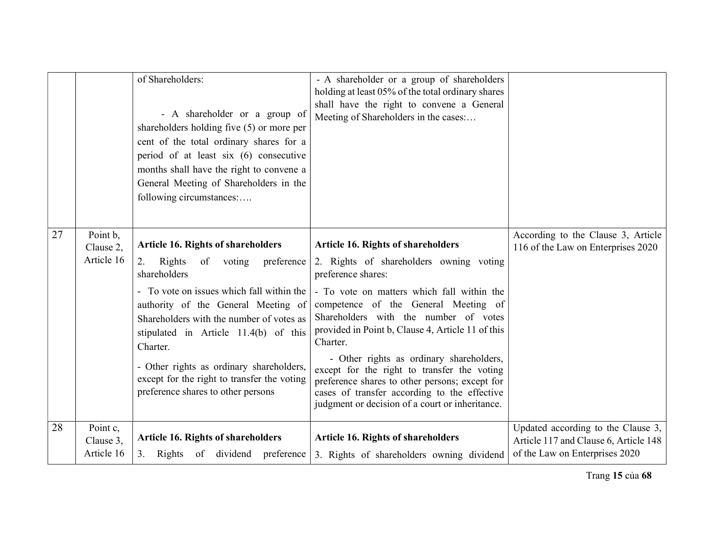|    |                                     | of Shareholders:<br>- A shareholder or a group of<br>shareholders holding five (5) or more per<br>cent of the total ordinary shares for a<br>period of at least six (6) consecutive<br>months shall have the right to convene a<br>General Meeting of Shareholders in the<br>following circumstances:                                                                                                                         | - A shareholder or a group of shareholders<br>holding at least 05% of the total ordinary shares<br>shall have the right to convene a General<br>Meeting of Shareholders in the cases:                                                                                                                                                                                                                                                                                                                                                                      |                                                                                                               |
|----|-------------------------------------|-------------------------------------------------------------------------------------------------------------------------------------------------------------------------------------------------------------------------------------------------------------------------------------------------------------------------------------------------------------------------------------------------------------------------------|------------------------------------------------------------------------------------------------------------------------------------------------------------------------------------------------------------------------------------------------------------------------------------------------------------------------------------------------------------------------------------------------------------------------------------------------------------------------------------------------------------------------------------------------------------|---------------------------------------------------------------------------------------------------------------|
| 27 | Point b,<br>Clause 2,<br>Article 16 | <b>Article 16. Rights of shareholders</b><br>Rights<br>preference<br>of<br>voting<br>2.<br>shareholders<br>- To vote on issues which fall within the<br>authority of the General Meeting of<br>Shareholders with the number of votes as<br>stipulated in Article 11.4(b) of this<br>Charter.<br>- Other rights as ordinary shareholders,<br>except for the right to transfer the voting<br>preference shares to other persons | <b>Article 16. Rights of shareholders</b><br>2. Rights of shareholders owning voting<br>preference shares:<br>- To vote on matters which fall within the<br>competence of the General Meeting of<br>Shareholders with the number of votes<br>provided in Point b, Clause 4, Article 11 of this<br>Charter.<br>- Other rights as ordinary shareholders,<br>except for the right to transfer the voting<br>preference shares to other persons; except for<br>cases of transfer according to the effective<br>judgment or decision of a court or inheritance. | According to the Clause 3, Article<br>116 of the Law on Enterprises 2020                                      |
| 28 | Point c,<br>Clause 3,<br>Article 16 | <b>Article 16. Rights of shareholders</b><br>Rights of dividend preference<br>3.                                                                                                                                                                                                                                                                                                                                              | <b>Article 16. Rights of shareholders</b><br>3. Rights of shareholders owning dividend                                                                                                                                                                                                                                                                                                                                                                                                                                                                     | Updated according to the Clause 3,<br>Article 117 and Clause 6, Article 148<br>of the Law on Enterprises 2020 |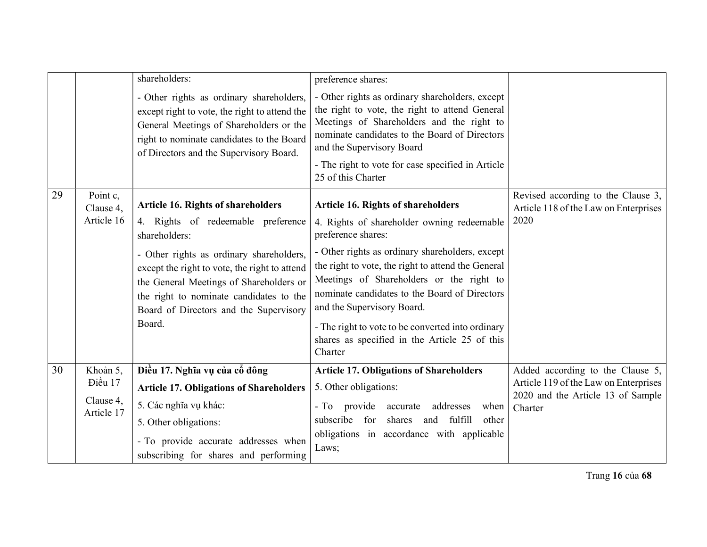|    |                                                | shareholders:<br>- Other rights as ordinary shareholders,<br>except right to vote, the right to attend the<br>General Meetings of Shareholders or the<br>right to nominate candidates to the Board<br>of Directors and the Supervisory Board.                                                                                           | preference shares:<br>- Other rights as ordinary shareholders, except<br>the right to vote, the right to attend General<br>Meetings of Shareholders and the right to<br>nominate candidates to the Board of Directors<br>and the Supervisory Board<br>- The right to vote for case specified in Article<br>25 of this Charter                                                                                                                                      |                                                                                                                           |
|----|------------------------------------------------|-----------------------------------------------------------------------------------------------------------------------------------------------------------------------------------------------------------------------------------------------------------------------------------------------------------------------------------------|--------------------------------------------------------------------------------------------------------------------------------------------------------------------------------------------------------------------------------------------------------------------------------------------------------------------------------------------------------------------------------------------------------------------------------------------------------------------|---------------------------------------------------------------------------------------------------------------------------|
| 29 | Point c,<br>Clause 4,<br>Article 16            | <b>Article 16. Rights of shareholders</b><br>4. Rights of redeemable preference<br>shareholders:<br>- Other rights as ordinary shareholders,<br>except the right to vote, the right to attend<br>the General Meetings of Shareholders or<br>the right to nominate candidates to the<br>Board of Directors and the Supervisory<br>Board. | <b>Article 16. Rights of shareholders</b><br>4. Rights of shareholder owning redeemable<br>preference shares:<br>- Other rights as ordinary shareholders, except<br>the right to vote, the right to attend the General<br>Meetings of Shareholders or the right to<br>nominate candidates to the Board of Directors<br>and the Supervisory Board.<br>- The right to vote to be converted into ordinary<br>shares as specified in the Article 25 of this<br>Charter | Revised according to the Clause 3,<br>Article 118 of the Law on Enterprises<br>2020                                       |
| 30 | Khoản 5,<br>Điều 17<br>Clause 4,<br>Article 17 | Điều 17. Nghĩa vụ của cổ đông<br><b>Article 17. Obligations of Shareholders</b><br>5. Các nghĩa vụ khác:<br>5. Other obligations:<br>- To provide accurate addresses when<br>subscribing for shares and performing                                                                                                                      | <b>Article 17. Obligations of Shareholders</b><br>5. Other obligations:<br>- To provide accurate<br>addresses<br>when<br>subscribe for<br>shares<br>fulfill<br>and<br>other<br>obligations in accordance with applicable<br>Laws;                                                                                                                                                                                                                                  | Added according to the Clause 5,<br>Article 119 of the Law on Enterprises<br>2020 and the Article 13 of Sample<br>Charter |

Trang 16 của 68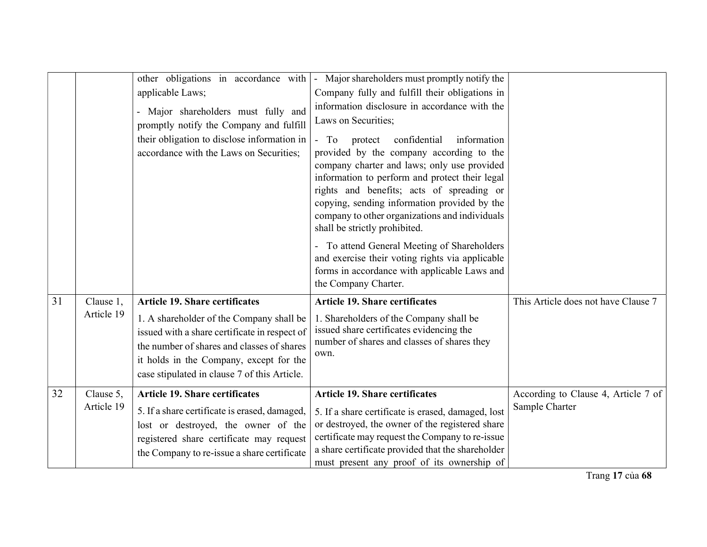|    |                         | applicable Laws;<br>Major shareholders must fully and<br>promptly notify the Company and fulfill<br>their obligation to disclose information in<br>accordance with the Laws on Securities;                                                                                  | other obligations in accordance with $\vert$ - Major shareholders must promptly notify the<br>Company fully and fulfill their obligations in<br>information disclosure in accordance with the<br>Laws on Securities;<br>confidential<br>information<br>$-$ To<br>protect<br>provided by the company according to the<br>company charter and laws; only use provided<br>information to perform and protect their legal<br>rights and benefits; acts of spreading or |                                                       |
|----|-------------------------|-----------------------------------------------------------------------------------------------------------------------------------------------------------------------------------------------------------------------------------------------------------------------------|--------------------------------------------------------------------------------------------------------------------------------------------------------------------------------------------------------------------------------------------------------------------------------------------------------------------------------------------------------------------------------------------------------------------------------------------------------------------|-------------------------------------------------------|
|    |                         |                                                                                                                                                                                                                                                                             | copying, sending information provided by the<br>company to other organizations and individuals<br>shall be strictly prohibited.<br>- To attend General Meeting of Shareholders<br>and exercise their voting rights via applicable<br>forms in accordance with applicable Laws and<br>the Company Charter.                                                                                                                                                          |                                                       |
| 31 | Clause 1,<br>Article 19 | <b>Article 19. Share certificates</b><br>1. A shareholder of the Company shall be<br>issued with a share certificate in respect of<br>the number of shares and classes of shares<br>it holds in the Company, except for the<br>case stipulated in clause 7 of this Article. | <b>Article 19. Share certificates</b><br>1. Shareholders of the Company shall be<br>issued share certificates evidencing the<br>number of shares and classes of shares they<br>own.                                                                                                                                                                                                                                                                                | This Article does not have Clause 7                   |
| 32 | Clause 5,<br>Article 19 | <b>Article 19. Share certificates</b><br>5. If a share certificate is erased, damaged,<br>lost or destroyed, the owner of the<br>registered share certificate may request<br>the Company to re-issue a share certificate                                                    | <b>Article 19. Share certificates</b><br>5. If a share certificate is erased, damaged, lost<br>or destroyed, the owner of the registered share<br>certificate may request the Company to re-issue<br>a share certificate provided that the shareholder<br>must present any proof of its ownership of                                                                                                                                                               | According to Clause 4, Article 7 of<br>Sample Charter |

Trang 17 của 68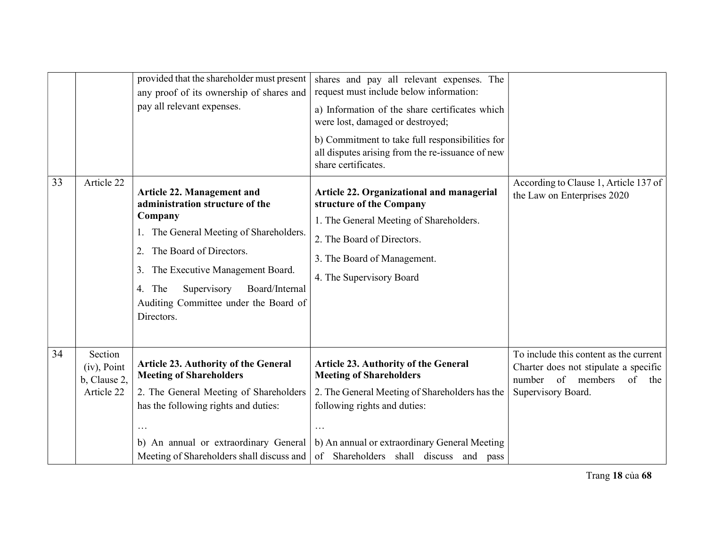|    |                                                         | provided that the shareholder must present<br>any proof of its ownership of shares and<br>pay all relevant expenses.                                                                                                                                                                                   | shares and pay all relevant expenses. The<br>request must include below information:<br>a) Information of the share certificates which<br>were lost, damaged or destroyed;<br>b) Commitment to take full responsibilities for<br>all disputes arising from the re-issuance of new<br>share certificates. |                                                                                                                                            |
|----|---------------------------------------------------------|--------------------------------------------------------------------------------------------------------------------------------------------------------------------------------------------------------------------------------------------------------------------------------------------------------|----------------------------------------------------------------------------------------------------------------------------------------------------------------------------------------------------------------------------------------------------------------------------------------------------------|--------------------------------------------------------------------------------------------------------------------------------------------|
| 33 | Article 22                                              | <b>Article 22. Management and</b><br>administration structure of the<br>Company<br>1. The General Meeting of Shareholders.<br>The Board of Directors.<br>2.<br>The Executive Management Board.<br>3.<br>4. The<br>Supervisory<br>Board/Internal<br>Auditing Committee under the Board of<br>Directors. | Article 22. Organizational and managerial<br>structure of the Company<br>1. The General Meeting of Shareholders.<br>2. The Board of Directors.<br>3. The Board of Management.<br>4. The Supervisory Board                                                                                                | According to Clause 1, Article 137 of<br>the Law on Enterprises 2020                                                                       |
| 34 | Section<br>$(iv)$ , Point<br>b, Clause 2,<br>Article 22 | <b>Article 23. Authority of the General</b><br><b>Meeting of Shareholders</b><br>2. The General Meeting of Shareholders<br>has the following rights and duties:<br>b) An annual or extraordinary General<br>Meeting of Shareholders shall discuss and                                                  | <b>Article 23. Authority of the General</b><br><b>Meeting of Shareholders</b><br>2. The General Meeting of Shareholders has the<br>following rights and duties:<br>$\ddots$<br>b) An annual or extraordinary General Meeting<br>of Shareholders shall discuss and pass                                   | To include this content as the current<br>Charter does not stipulate a specific<br>of members<br>number<br>of<br>the<br>Supervisory Board. |

Trang 18 của 68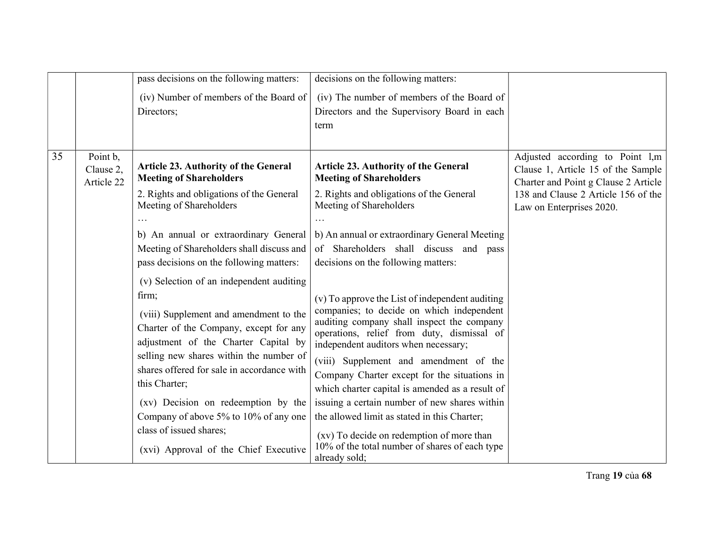|    |                                     | pass decisions on the following matters:                                                                                                                                                                                                                                                                                                                                                                                                    | decisions on the following matters:                                                                                                                                                                                                                                                                                                                                                                                                                                                                                                                                                            |                                                                                                               |
|----|-------------------------------------|---------------------------------------------------------------------------------------------------------------------------------------------------------------------------------------------------------------------------------------------------------------------------------------------------------------------------------------------------------------------------------------------------------------------------------------------|------------------------------------------------------------------------------------------------------------------------------------------------------------------------------------------------------------------------------------------------------------------------------------------------------------------------------------------------------------------------------------------------------------------------------------------------------------------------------------------------------------------------------------------------------------------------------------------------|---------------------------------------------------------------------------------------------------------------|
|    |                                     | (iv) Number of members of the Board of                                                                                                                                                                                                                                                                                                                                                                                                      | (iv) The number of members of the Board of                                                                                                                                                                                                                                                                                                                                                                                                                                                                                                                                                     |                                                                                                               |
|    |                                     | Directors;                                                                                                                                                                                                                                                                                                                                                                                                                                  | Directors and the Supervisory Board in each<br>term                                                                                                                                                                                                                                                                                                                                                                                                                                                                                                                                            |                                                                                                               |
| 35 | Point b,<br>Clause 2,<br>Article 22 | <b>Article 23. Authority of the General</b><br><b>Meeting of Shareholders</b>                                                                                                                                                                                                                                                                                                                                                               | <b>Article 23. Authority of the General</b><br><b>Meeting of Shareholders</b>                                                                                                                                                                                                                                                                                                                                                                                                                                                                                                                  | Adjusted according to Point 1,m<br>Clause 1, Article 15 of the Sample<br>Charter and Point g Clause 2 Article |
|    |                                     | 2. Rights and obligations of the General<br>Meeting of Shareholders                                                                                                                                                                                                                                                                                                                                                                         | 2. Rights and obligations of the General<br>Meeting of Shareholders<br>$\ddotsc$                                                                                                                                                                                                                                                                                                                                                                                                                                                                                                               | 138 and Clause 2 Article 156 of the<br>Law on Enterprises 2020.                                               |
|    |                                     | b) An annual or extraordinary General<br>Meeting of Shareholders shall discuss and<br>pass decisions on the following matters:                                                                                                                                                                                                                                                                                                              | b) An annual or extraordinary General Meeting<br>of Shareholders shall discuss and pass<br>decisions on the following matters:                                                                                                                                                                                                                                                                                                                                                                                                                                                                 |                                                                                                               |
|    |                                     | (v) Selection of an independent auditing<br>firm;<br>(viii) Supplement and amendment to the<br>Charter of the Company, except for any<br>adjustment of the Charter Capital by<br>selling new shares within the number of<br>shares offered for sale in accordance with<br>this Charter;<br>(xv) Decision on redeemption by the<br>Company of above 5% to 10% of any one<br>class of issued shares;<br>(xvi) Approval of the Chief Executive | (v) To approve the List of independent auditing<br>companies; to decide on which independent<br>auditing company shall inspect the company<br>operations, relief from duty, dismissal of<br>independent auditors when necessary;<br>(viii) Supplement and amendment of the<br>Company Charter except for the situations in<br>which charter capital is amended as a result of<br>issuing a certain number of new shares within<br>the allowed limit as stated in this Charter;<br>(xv) To decide on redemption of more than<br>10% of the total number of shares of each type<br>already sold; |                                                                                                               |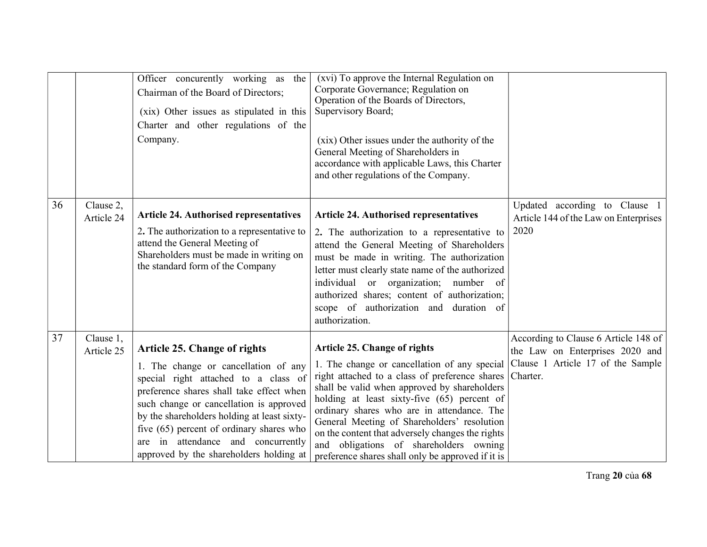|    |                         | Officer concurently working as<br>the<br>Chairman of the Board of Directors;<br>(xix) Other issues as stipulated in this<br>Charter and other regulations of the<br>Company.                                                                                                                                                                                                    | (xvi) To approve the Internal Regulation on<br>Corporate Governance; Regulation on<br>Operation of the Boards of Directors,<br>Supervisory Board;<br>(xix) Other issues under the authority of the<br>General Meeting of Shareholders in<br>accordance with applicable Laws, this Charter<br>and other regulations of the Company.                                                                                                                                            |                                                                                                                          |
|----|-------------------------|---------------------------------------------------------------------------------------------------------------------------------------------------------------------------------------------------------------------------------------------------------------------------------------------------------------------------------------------------------------------------------|-------------------------------------------------------------------------------------------------------------------------------------------------------------------------------------------------------------------------------------------------------------------------------------------------------------------------------------------------------------------------------------------------------------------------------------------------------------------------------|--------------------------------------------------------------------------------------------------------------------------|
| 36 | Clause 2,<br>Article 24 | <b>Article 24. Authorised representatives</b><br>2. The authorization to a representative to<br>attend the General Meeting of<br>Shareholders must be made in writing on<br>the standard form of the Company                                                                                                                                                                    | <b>Article 24. Authorised representatives</b><br>2. The authorization to a representative to<br>attend the General Meeting of Shareholders<br>must be made in writing. The authorization<br>letter must clearly state name of the authorized<br>individual or organization; number of<br>authorized shares; content of authorization;<br>scope of authorization and duration of<br>authorization.                                                                             | Updated according to Clause 1<br>Article 144 of the Law on Enterprises<br>2020                                           |
| 37 | Clause 1,<br>Article 25 | Article 25. Change of rights<br>1. The change or cancellation of any<br>special right attached to a class of<br>preference shares shall take effect when<br>such change or cancellation is approved<br>by the shareholders holding at least sixty-<br>five (65) percent of ordinary shares who<br>are in attendance and concurrently<br>approved by the shareholders holding at | Article 25. Change of rights<br>1. The change or cancellation of any special<br>right attached to a class of preference shares<br>shall be valid when approved by shareholders<br>holding at least sixty-five (65) percent of<br>ordinary shares who are in attendance. The<br>General Meeting of Shareholders' resolution<br>on the content that adversely changes the rights<br>and obligations of shareholders owning<br>preference shares shall only be approved if it is | According to Clause 6 Article 148 of<br>the Law on Enterprises 2020 and<br>Clause 1 Article 17 of the Sample<br>Charter. |

Trang 20 của 68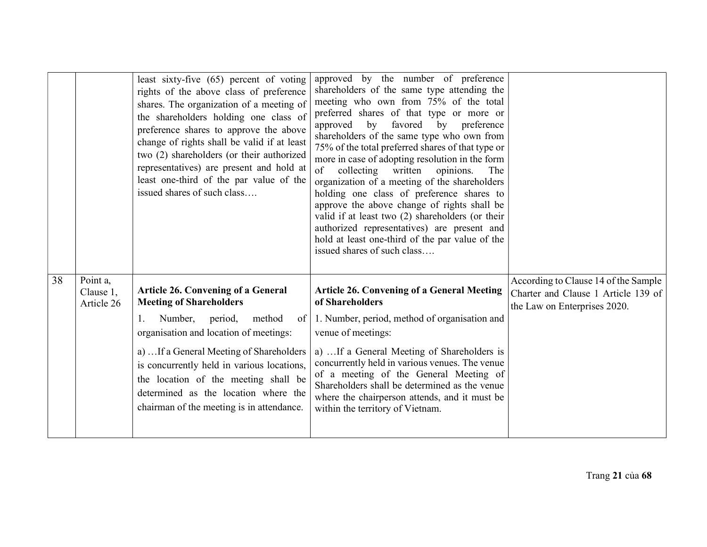|    |                                     | least sixty-five (65) percent of voting<br>rights of the above class of preference<br>shares. The organization of a meeting of<br>the shareholders holding one class of<br>preference shares to approve the above<br>change of rights shall be valid if at least<br>two (2) shareholders (or their authorized<br>representatives) are present and hold at<br>least one-third of the par value of the<br>issued shares of such class | approved by the number of preference<br>shareholders of the same type attending the<br>meeting who own from 75% of the total<br>preferred shares of that type or more or<br>by<br>favored by preference<br>approved<br>shareholders of the same type who own from<br>75% of the total preferred shares of that type or<br>more in case of adopting resolution in the form<br>written<br>of<br>collecting<br>opinions.<br>The<br>organization of a meeting of the shareholders<br>holding one class of preference shares to<br>approve the above change of rights shall be<br>valid if at least two (2) shareholders (or their<br>authorized representatives) are present and<br>hold at least one-third of the par value of the<br>issued shares of such class |                                                                                                             |
|----|-------------------------------------|-------------------------------------------------------------------------------------------------------------------------------------------------------------------------------------------------------------------------------------------------------------------------------------------------------------------------------------------------------------------------------------------------------------------------------------|----------------------------------------------------------------------------------------------------------------------------------------------------------------------------------------------------------------------------------------------------------------------------------------------------------------------------------------------------------------------------------------------------------------------------------------------------------------------------------------------------------------------------------------------------------------------------------------------------------------------------------------------------------------------------------------------------------------------------------------------------------------|-------------------------------------------------------------------------------------------------------------|
| 38 | Point a,<br>Clause 1,<br>Article 26 | <b>Article 26. Convening of a General</b><br><b>Meeting of Shareholders</b>                                                                                                                                                                                                                                                                                                                                                         | <b>Article 26. Convening of a General Meeting</b><br>of Shareholders                                                                                                                                                                                                                                                                                                                                                                                                                                                                                                                                                                                                                                                                                           | According to Clause 14 of the Sample<br>Charter and Clause 1 Article 139 of<br>the Law on Enterprises 2020. |
|    |                                     | period,<br>method<br>Number,<br>1.<br>of l<br>organisation and location of meetings:                                                                                                                                                                                                                                                                                                                                                | 1. Number, period, method of organisation and<br>venue of meetings:                                                                                                                                                                                                                                                                                                                                                                                                                                                                                                                                                                                                                                                                                            |                                                                                                             |
|    |                                     | a)  If a General Meeting of Shareholders<br>is concurrently held in various locations,<br>the location of the meeting shall be<br>determined as the location where the<br>chairman of the meeting is in attendance.                                                                                                                                                                                                                 | a)  If a General Meeting of Shareholders is<br>concurrently held in various venues. The venue<br>of a meeting of the General Meeting of<br>Shareholders shall be determined as the venue<br>where the chairperson attends, and it must be<br>within the territory of Vietnam.                                                                                                                                                                                                                                                                                                                                                                                                                                                                                  |                                                                                                             |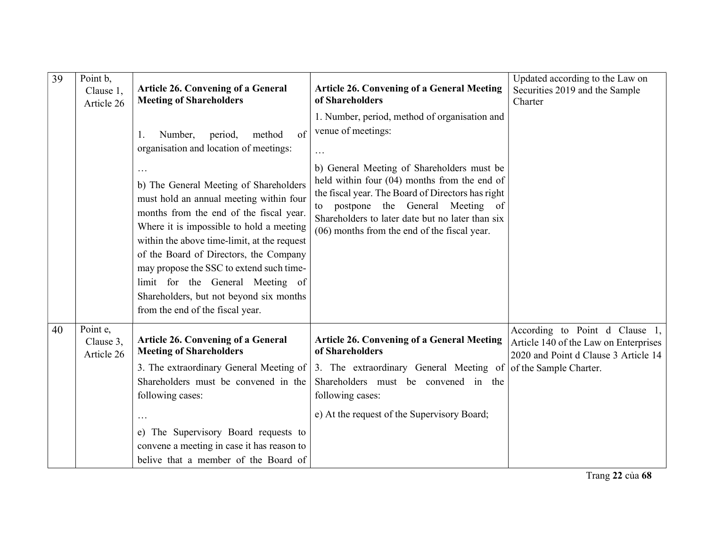| 39 | Point b,<br>Clause 1,<br>Article 26 | <b>Article 26. Convening of a General</b><br><b>Meeting of Shareholders</b><br>period,<br>of<br>Number,<br>method<br>1.<br>organisation and location of meetings:<br>$\cdots$<br>b) The General Meeting of Shareholders<br>must hold an annual meeting within four<br>months from the end of the fiscal year.<br>Where it is impossible to hold a meeting<br>within the above time-limit, at the request<br>of the Board of Directors, the Company<br>may propose the SSC to extend such time-<br>limit for the General Meeting of<br>Shareholders, but not beyond six months | <b>Article 26. Convening of a General Meeting</b><br>of Shareholders<br>1. Number, period, method of organisation and<br>venue of meetings:<br>b) General Meeting of Shareholders must be<br>held within four (04) months from the end of<br>the fiscal year. The Board of Directors has right<br>postpone the General Meeting of<br>to<br>Shareholders to later date but no later than six<br>(06) months from the end of the fiscal year. | Updated according to the Law on<br>Securities 2019 and the Sample<br>Charter                                    |
|----|-------------------------------------|-------------------------------------------------------------------------------------------------------------------------------------------------------------------------------------------------------------------------------------------------------------------------------------------------------------------------------------------------------------------------------------------------------------------------------------------------------------------------------------------------------------------------------------------------------------------------------|---------------------------------------------------------------------------------------------------------------------------------------------------------------------------------------------------------------------------------------------------------------------------------------------------------------------------------------------------------------------------------------------------------------------------------------------|-----------------------------------------------------------------------------------------------------------------|
| 40 | Point e,<br>Clause 3,<br>Article 26 | from the end of the fiscal year.<br><b>Article 26. Convening of a General</b><br><b>Meeting of Shareholders</b><br>3. The extraordinary General Meeting of<br>Shareholders must be convened in the<br>following cases:<br>e) The Supervisory Board requests to<br>convene a meeting in case it has reason to<br>belive that a member of the Board of                                                                                                                                                                                                                          | <b>Article 26. Convening of a General Meeting</b><br>of Shareholders<br>3. The extraordinary General Meeting of of the Sample Charter.<br>Shareholders must be convened in the<br>following cases:<br>e) At the request of the Supervisory Board;                                                                                                                                                                                           | According to Point d Clause 1,<br>Article 140 of the Law on Enterprises<br>2020 and Point d Clause 3 Article 14 |

Trang 22 của 68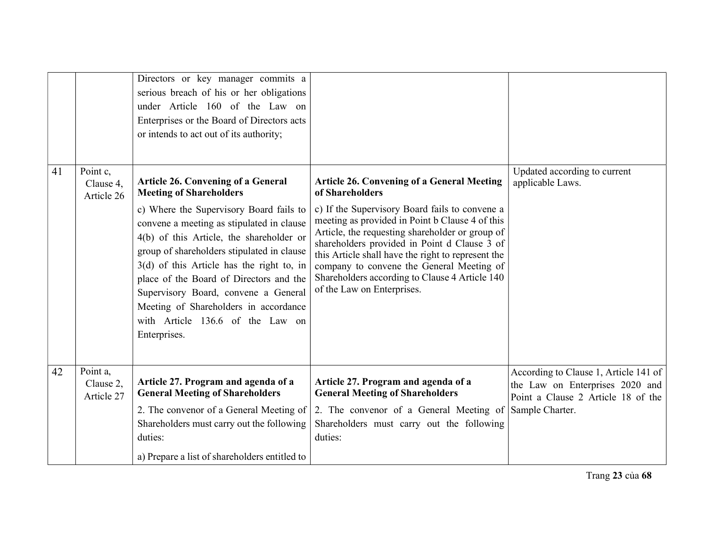|    |                                     | Directors or key manager commits a<br>serious breach of his or her obligations<br>under Article 160 of the Law on<br>Enterprises or the Board of Directors acts<br>or intends to act out of its authority;                                                                                                                                                                                                                                                                                   |                                                                                                                                                                                                                                                                                                                                                                                                                                                                 |                                                                                                                                   |
|----|-------------------------------------|----------------------------------------------------------------------------------------------------------------------------------------------------------------------------------------------------------------------------------------------------------------------------------------------------------------------------------------------------------------------------------------------------------------------------------------------------------------------------------------------|-----------------------------------------------------------------------------------------------------------------------------------------------------------------------------------------------------------------------------------------------------------------------------------------------------------------------------------------------------------------------------------------------------------------------------------------------------------------|-----------------------------------------------------------------------------------------------------------------------------------|
| 41 | Point c,<br>Clause 4,<br>Article 26 | <b>Article 26. Convening of a General</b><br><b>Meeting of Shareholders</b><br>c) Where the Supervisory Board fails to<br>convene a meeting as stipulated in clause<br>4(b) of this Article, the shareholder or<br>group of shareholders stipulated in clause<br>$3(d)$ of this Article has the right to, in<br>place of the Board of Directors and the<br>Supervisory Board, convene a General<br>Meeting of Shareholders in accordance<br>with Article 136.6 of the Law on<br>Enterprises. | <b>Article 26. Convening of a General Meeting</b><br>of Shareholders<br>c) If the Supervisory Board fails to convene a<br>meeting as provided in Point b Clause 4 of this<br>Article, the requesting shareholder or group of<br>shareholders provided in Point d Clause 3 of<br>this Article shall have the right to represent the<br>company to convene the General Meeting of<br>Shareholders according to Clause 4 Article 140<br>of the Law on Enterprises. | Updated according to current<br>applicable Laws.                                                                                  |
| 42 | Point a,<br>Clause 2,<br>Article 27 | Article 27. Program and agenda of a<br><b>General Meeting of Shareholders</b><br>2. The convenor of a General Meeting of<br>Shareholders must carry out the following<br>duties:<br>a) Prepare a list of shareholders entitled to                                                                                                                                                                                                                                                            | Article 27. Program and agenda of a<br><b>General Meeting of Shareholders</b><br>2. The convenor of a General Meeting of<br>Shareholders must carry out the following<br>duties:                                                                                                                                                                                                                                                                                | According to Clause 1, Article 141 of<br>the Law on Enterprises 2020 and<br>Point a Clause 2 Article 18 of the<br>Sample Charter. |

Trang 23 của 68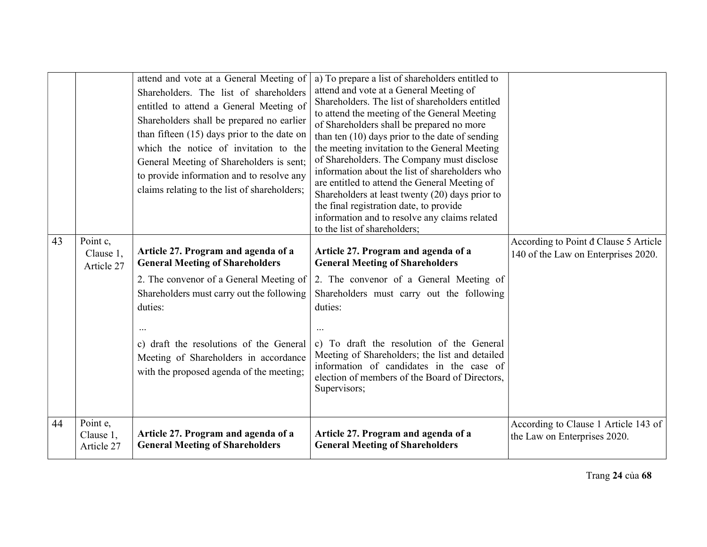|    |                                     | attend and vote at a General Meeting of<br>Shareholders. The list of shareholders<br>entitled to attend a General Meeting of<br>Shareholders shall be prepared no earlier<br>than fifteen (15) days prior to the date on<br>which the notice of invitation to the<br>General Meeting of Shareholders is sent;<br>to provide information and to resolve any<br>claims relating to the list of shareholders; | a) To prepare a list of shareholders entitled to<br>attend and vote at a General Meeting of<br>Shareholders. The list of shareholders entitled<br>to attend the meeting of the General Meeting<br>of Shareholders shall be prepared no more<br>than ten $(10)$ days prior to the date of sending<br>the meeting invitation to the General Meeting<br>of Shareholders. The Company must disclose<br>information about the list of shareholders who<br>are entitled to attend the General Meeting of<br>Shareholders at least twenty (20) days prior to<br>the final registration date, to provide<br>information and to resolve any claims related<br>to the list of shareholders; |                                                                              |
|----|-------------------------------------|------------------------------------------------------------------------------------------------------------------------------------------------------------------------------------------------------------------------------------------------------------------------------------------------------------------------------------------------------------------------------------------------------------|-----------------------------------------------------------------------------------------------------------------------------------------------------------------------------------------------------------------------------------------------------------------------------------------------------------------------------------------------------------------------------------------------------------------------------------------------------------------------------------------------------------------------------------------------------------------------------------------------------------------------------------------------------------------------------------|------------------------------------------------------------------------------|
| 43 | Point c,<br>Clause 1,<br>Article 27 | Article 27. Program and agenda of a<br><b>General Meeting of Shareholders</b><br>2. The convenor of a General Meeting of<br>Shareholders must carry out the following<br>duties:<br>c) draft the resolutions of the General<br>Meeting of Shareholders in accordance<br>with the proposed agenda of the meeting;                                                                                           | Article 27. Program and agenda of a<br><b>General Meeting of Shareholders</b><br>2. The convenor of a General Meeting of<br>Shareholders must carry out the following<br>duties:<br>c) To draft the resolution of the General<br>Meeting of Shareholders; the list and detailed<br>information of candidates in the case of<br>election of members of the Board of Directors,<br>Supervisors;                                                                                                                                                                                                                                                                                     | According to Point d Clause 5 Article<br>140 of the Law on Enterprises 2020. |
| 44 | Point e,<br>Clause 1,<br>Article 27 | Article 27. Program and agenda of a<br><b>General Meeting of Shareholders</b>                                                                                                                                                                                                                                                                                                                              | Article 27. Program and agenda of a<br><b>General Meeting of Shareholders</b>                                                                                                                                                                                                                                                                                                                                                                                                                                                                                                                                                                                                     | According to Clause 1 Article 143 of<br>the Law on Enterprises 2020.         |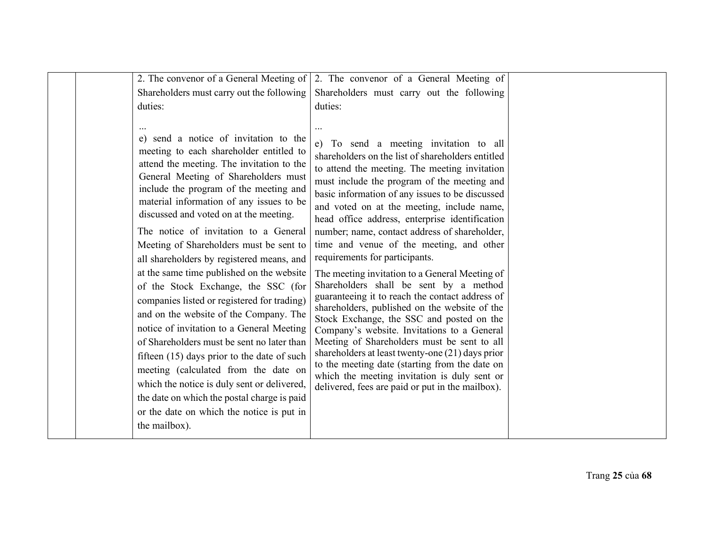|                                                                                                                                                                                                                                                                                                                                                                                                                                                                                                                                                                                                                                                                                                                                                                                                                                                                                                                                                    | 2. The convenor of a General Meeting of $\vert$ 2. The convenor of a General Meeting of                                                                                                                                                                                                                                                                                                                                                                                                                                                                                                                                                                                                                                                                                                                                                                                                                                                                                                                                            |  |
|----------------------------------------------------------------------------------------------------------------------------------------------------------------------------------------------------------------------------------------------------------------------------------------------------------------------------------------------------------------------------------------------------------------------------------------------------------------------------------------------------------------------------------------------------------------------------------------------------------------------------------------------------------------------------------------------------------------------------------------------------------------------------------------------------------------------------------------------------------------------------------------------------------------------------------------------------|------------------------------------------------------------------------------------------------------------------------------------------------------------------------------------------------------------------------------------------------------------------------------------------------------------------------------------------------------------------------------------------------------------------------------------------------------------------------------------------------------------------------------------------------------------------------------------------------------------------------------------------------------------------------------------------------------------------------------------------------------------------------------------------------------------------------------------------------------------------------------------------------------------------------------------------------------------------------------------------------------------------------------------|--|
| Shareholders must carry out the following                                                                                                                                                                                                                                                                                                                                                                                                                                                                                                                                                                                                                                                                                                                                                                                                                                                                                                          | Shareholders must carry out the following                                                                                                                                                                                                                                                                                                                                                                                                                                                                                                                                                                                                                                                                                                                                                                                                                                                                                                                                                                                          |  |
| duties:                                                                                                                                                                                                                                                                                                                                                                                                                                                                                                                                                                                                                                                                                                                                                                                                                                                                                                                                            | duties:                                                                                                                                                                                                                                                                                                                                                                                                                                                                                                                                                                                                                                                                                                                                                                                                                                                                                                                                                                                                                            |  |
| e) send a notice of invitation to the<br>meeting to each shareholder entitled to<br>attend the meeting. The invitation to the<br>General Meeting of Shareholders must<br>include the program of the meeting and<br>material information of any issues to be<br>discussed and voted on at the meeting.<br>The notice of invitation to a General<br>Meeting of Shareholders must be sent to<br>all shareholders by registered means, and<br>at the same time published on the website<br>of the Stock Exchange, the SSC (for<br>companies listed or registered for trading)<br>and on the website of the Company. The<br>notice of invitation to a General Meeting<br>of Shareholders must be sent no later than<br>fifteen $(15)$ days prior to the date of such<br>meeting (calculated from the date on<br>which the notice is duly sent or delivered,<br>the date on which the postal charge is paid<br>or the date on which the notice is put in | e) To send a meeting invitation to all<br>shareholders on the list of shareholders entitled<br>to attend the meeting. The meeting invitation<br>must include the program of the meeting and<br>basic information of any issues to be discussed<br>and voted on at the meeting, include name,<br>head office address, enterprise identification<br>number; name, contact address of shareholder,<br>time and venue of the meeting, and other<br>requirements for participants.<br>The meeting invitation to a General Meeting of<br>Shareholders shall be sent by a method<br>guaranteeing it to reach the contact address of<br>shareholders, published on the website of the<br>Stock Exchange, the SSC and posted on the<br>Company's website. Invitations to a General<br>Meeting of Shareholders must be sent to all<br>shareholders at least twenty-one (21) days prior<br>to the meeting date (starting from the date on<br>which the meeting invitation is duly sent or<br>delivered, fees are paid or put in the mailbox). |  |
| the mailbox).                                                                                                                                                                                                                                                                                                                                                                                                                                                                                                                                                                                                                                                                                                                                                                                                                                                                                                                                      |                                                                                                                                                                                                                                                                                                                                                                                                                                                                                                                                                                                                                                                                                                                                                                                                                                                                                                                                                                                                                                    |  |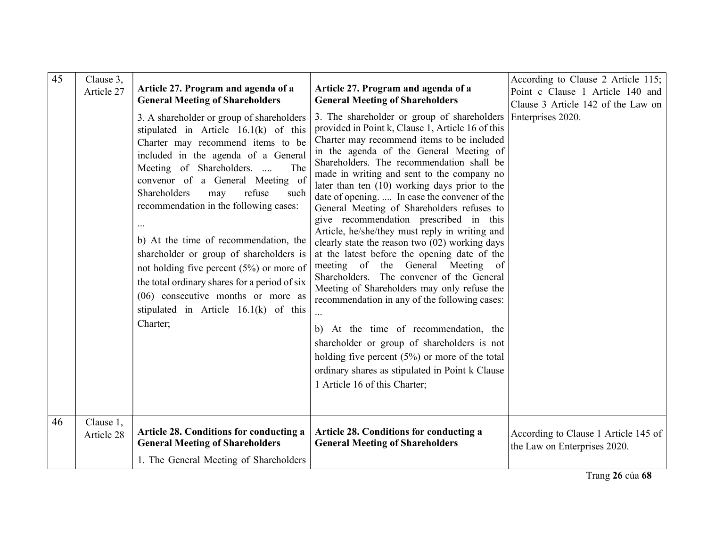| 45 | Clause 3,<br>Article 27 | Article 27. Program and agenda of a<br><b>General Meeting of Shareholders</b><br>3. A shareholder or group of shareholders<br>stipulated in Article 16.1(k) of this<br>Charter may recommend items to be<br>included in the agenda of a General<br>Meeting of Shareholders.<br>The<br>convenor of a General Meeting of<br>Shareholders<br>refuse<br>may<br>such<br>recommendation in the following cases:<br>b) At the time of recommendation, the<br>shareholder or group of shareholders is<br>not holding five percent $(5%)$ or more of<br>the total ordinary shares for a period of six<br>$(06)$ consecutive months or more as<br>stipulated in Article 16.1(k) of this<br>Charter; | Article 27. Program and agenda of a<br><b>General Meeting of Shareholders</b><br>3. The shareholder or group of shareholders<br>provided in Point k, Clause 1, Article 16 of this<br>Charter may recommend items to be included<br>in the agenda of the General Meeting of<br>Shareholders. The recommendation shall be<br>made in writing and sent to the company no<br>later than ten $(10)$ working days prior to the<br>date of opening.  In case the convener of the<br>General Meeting of Shareholders refuses to<br>give recommendation prescribed in this<br>Article, he/she/they must reply in writing and<br>clearly state the reason two (02) working days<br>at the latest before the opening date of the<br>meeting of the General Meeting of<br>Shareholders. The convener of the General<br>Meeting of Shareholders may only refuse the<br>recommendation in any of the following cases:<br>b) At the time of recommendation, the<br>shareholder or group of shareholders is not<br>holding five percent $(5\%)$ or more of the total<br>ordinary shares as stipulated in Point k Clause<br>1 Article 16 of this Charter; | According to Clause 2 Article 115;<br>Point c Clause 1 Article 140 and<br>Clause 3 Article 142 of the Law on<br>Enterprises 2020. |
|----|-------------------------|-------------------------------------------------------------------------------------------------------------------------------------------------------------------------------------------------------------------------------------------------------------------------------------------------------------------------------------------------------------------------------------------------------------------------------------------------------------------------------------------------------------------------------------------------------------------------------------------------------------------------------------------------------------------------------------------|------------------------------------------------------------------------------------------------------------------------------------------------------------------------------------------------------------------------------------------------------------------------------------------------------------------------------------------------------------------------------------------------------------------------------------------------------------------------------------------------------------------------------------------------------------------------------------------------------------------------------------------------------------------------------------------------------------------------------------------------------------------------------------------------------------------------------------------------------------------------------------------------------------------------------------------------------------------------------------------------------------------------------------------------------------------------------------------------------------------------------------------|-----------------------------------------------------------------------------------------------------------------------------------|
| 46 | Clause 1,<br>Article 28 | Article 28. Conditions for conducting a<br><b>General Meeting of Shareholders</b><br>1. The General Meeting of Shareholders                                                                                                                                                                                                                                                                                                                                                                                                                                                                                                                                                               | Article 28. Conditions for conducting a<br><b>General Meeting of Shareholders</b>                                                                                                                                                                                                                                                                                                                                                                                                                                                                                                                                                                                                                                                                                                                                                                                                                                                                                                                                                                                                                                                        | According to Clause 1 Article 145 of<br>the Law on Enterprises 2020.                                                              |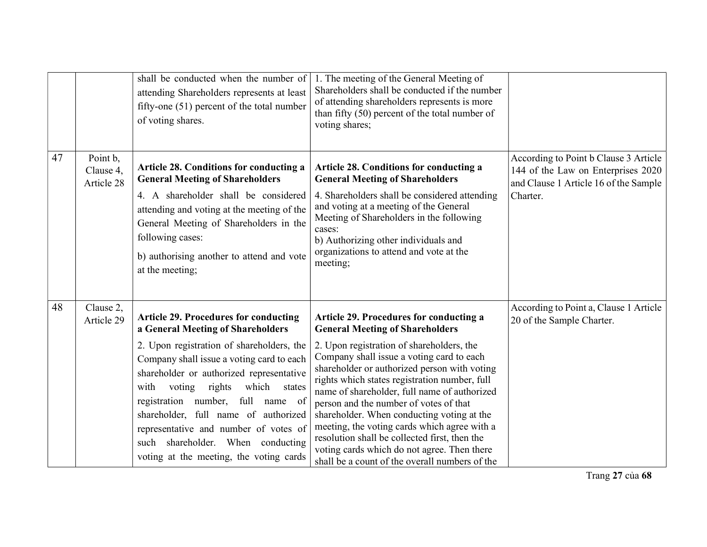|    |                                     | shall be conducted when the number of<br>attending Shareholders represents at least<br>fifty-one $(51)$ percent of the total number<br>of voting shares.                                                                                                                                                                                                                                                                                                                     | 1. The meeting of the General Meeting of<br>Shareholders shall be conducted if the number<br>of attending shareholders represents is more<br>than fifty (50) percent of the total number of<br>voting shares;                                                                                                                                                                                                                                                                                                                                                                                                                 |                                                                                                                                  |
|----|-------------------------------------|------------------------------------------------------------------------------------------------------------------------------------------------------------------------------------------------------------------------------------------------------------------------------------------------------------------------------------------------------------------------------------------------------------------------------------------------------------------------------|-------------------------------------------------------------------------------------------------------------------------------------------------------------------------------------------------------------------------------------------------------------------------------------------------------------------------------------------------------------------------------------------------------------------------------------------------------------------------------------------------------------------------------------------------------------------------------------------------------------------------------|----------------------------------------------------------------------------------------------------------------------------------|
| 47 | Point b,<br>Clause 4,<br>Article 28 | Article 28. Conditions for conducting a<br><b>General Meeting of Shareholders</b><br>4. A shareholder shall be considered<br>attending and voting at the meeting of the<br>General Meeting of Shareholders in the<br>following cases:<br>b) authorising another to attend and vote<br>at the meeting;                                                                                                                                                                        | <b>Article 28. Conditions for conducting a</b><br><b>General Meeting of Shareholders</b><br>4. Shareholders shall be considered attending<br>and voting at a meeting of the General<br>Meeting of Shareholders in the following<br>cases:<br>b) Authorizing other individuals and<br>organizations to attend and vote at the<br>meeting;                                                                                                                                                                                                                                                                                      | According to Point b Clause 3 Article<br>144 of the Law on Enterprises 2020<br>and Clause 1 Article 16 of the Sample<br>Charter. |
| 48 | Clause 2,<br>Article 29             | <b>Article 29. Procedures for conducting</b><br>a General Meeting of Shareholders<br>2. Upon registration of shareholders, the<br>Company shall issue a voting card to each<br>shareholder or authorized representative<br>voting rights<br>which<br>with<br>states<br>registration number, full<br>name of<br>shareholder, full name of authorized<br>representative and number of votes of<br>such shareholder. When conducting<br>voting at the meeting, the voting cards | <b>Article 29. Procedures for conducting a</b><br><b>General Meeting of Shareholders</b><br>2. Upon registration of shareholders, the<br>Company shall issue a voting card to each<br>shareholder or authorized person with voting<br>rights which states registration number, full<br>name of shareholder, full name of authorized<br>person and the number of votes of that<br>shareholder. When conducting voting at the<br>meeting, the voting cards which agree with a<br>resolution shall be collected first, then the<br>voting cards which do not agree. Then there<br>shall be a count of the overall numbers of the | According to Point a, Clause 1 Article<br>20 of the Sample Charter.                                                              |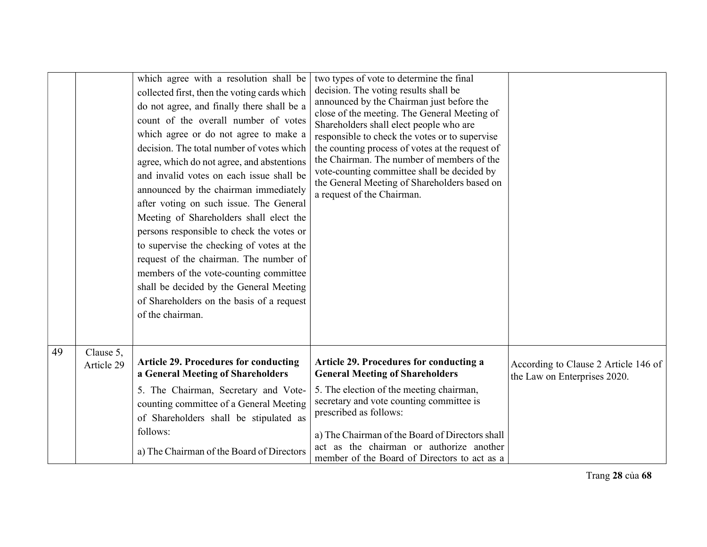|    |                         | which agree with a resolution shall be<br>collected first, then the voting cards which<br>do not agree, and finally there shall be a<br>count of the overall number of votes<br>which agree or do not agree to make a<br>decision. The total number of votes which<br>agree, which do not agree, and abstentions<br>and invalid votes on each issue shall be<br>announced by the chairman immediately<br>after voting on such issue. The General<br>Meeting of Shareholders shall elect the<br>persons responsible to check the votes or<br>to supervise the checking of votes at the<br>request of the chairman. The number of<br>members of the vote-counting committee<br>shall be decided by the General Meeting<br>of Shareholders on the basis of a request<br>of the chairman. | two types of vote to determine the final<br>decision. The voting results shall be<br>announced by the Chairman just before the<br>close of the meeting. The General Meeting of<br>Shareholders shall elect people who are<br>responsible to check the votes or to supervise<br>the counting process of votes at the request of<br>the Chairman. The number of members of the<br>vote-counting committee shall be decided by<br>the General Meeting of Shareholders based on<br>a request of the Chairman. |                                                                      |
|----|-------------------------|---------------------------------------------------------------------------------------------------------------------------------------------------------------------------------------------------------------------------------------------------------------------------------------------------------------------------------------------------------------------------------------------------------------------------------------------------------------------------------------------------------------------------------------------------------------------------------------------------------------------------------------------------------------------------------------------------------------------------------------------------------------------------------------|-----------------------------------------------------------------------------------------------------------------------------------------------------------------------------------------------------------------------------------------------------------------------------------------------------------------------------------------------------------------------------------------------------------------------------------------------------------------------------------------------------------|----------------------------------------------------------------------|
| 49 | Clause 5,<br>Article 29 | <b>Article 29. Procedures for conducting</b><br>a General Meeting of Shareholders                                                                                                                                                                                                                                                                                                                                                                                                                                                                                                                                                                                                                                                                                                     | Article 29. Procedures for conducting a<br><b>General Meeting of Shareholders</b>                                                                                                                                                                                                                                                                                                                                                                                                                         | According to Clause 2 Article 146 of<br>the Law on Enterprises 2020. |
|    |                         | 5. The Chairman, Secretary and Vote-<br>counting committee of a General Meeting<br>of Shareholders shall be stipulated as<br>follows:                                                                                                                                                                                                                                                                                                                                                                                                                                                                                                                                                                                                                                                 | 5. The election of the meeting chairman,<br>secretary and vote counting committee is<br>prescribed as follows:                                                                                                                                                                                                                                                                                                                                                                                            |                                                                      |
|    |                         | a) The Chairman of the Board of Directors                                                                                                                                                                                                                                                                                                                                                                                                                                                                                                                                                                                                                                                                                                                                             | a) The Chairman of the Board of Directors shall<br>act as the chairman or authorize another<br>member of the Board of Directors to act as a                                                                                                                                                                                                                                                                                                                                                               |                                                                      |

Trang 28 của 68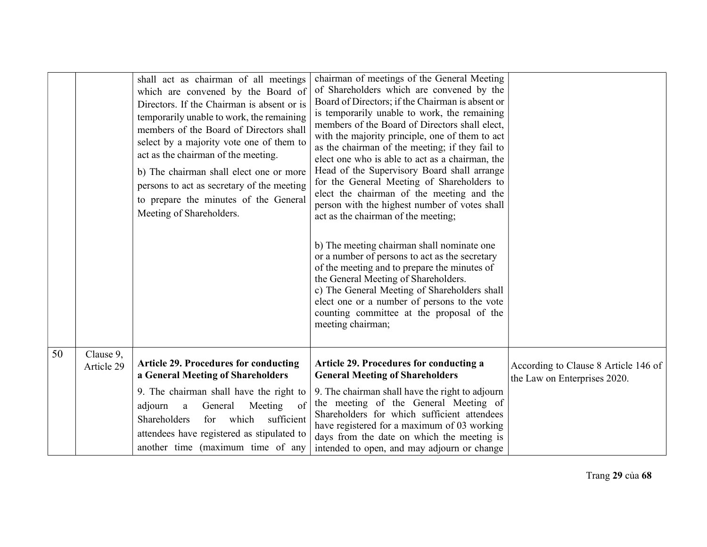|    |                         | shall act as chairman of all meetings<br>which are convened by the Board of<br>Directors. If the Chairman is absent or is<br>temporarily unable to work, the remaining<br>members of the Board of Directors shall<br>select by a majority vote one of them to<br>act as the chairman of the meeting.<br>b) The chairman shall elect one or more<br>persons to act as secretary of the meeting<br>to prepare the minutes of the General<br>Meeting of Shareholders. | chairman of meetings of the General Meeting<br>of Shareholders which are convened by the<br>Board of Directors; if the Chairman is absent or<br>is temporarily unable to work, the remaining<br>members of the Board of Directors shall elect,<br>with the majority principle, one of them to act<br>as the chairman of the meeting; if they fail to<br>elect one who is able to act as a chairman, the<br>Head of the Supervisory Board shall arrange<br>for the General Meeting of Shareholders to<br>elect the chairman of the meeting and the<br>person with the highest number of votes shall<br>act as the chairman of the meeting;<br>b) The meeting chairman shall nominate one<br>or a number of persons to act as the secretary<br>of the meeting and to prepare the minutes of<br>the General Meeting of Shareholders.<br>c) The General Meeting of Shareholders shall<br>elect one or a number of persons to the vote<br>counting committee at the proposal of the<br>meeting chairman; |                                                                      |
|----|-------------------------|--------------------------------------------------------------------------------------------------------------------------------------------------------------------------------------------------------------------------------------------------------------------------------------------------------------------------------------------------------------------------------------------------------------------------------------------------------------------|-----------------------------------------------------------------------------------------------------------------------------------------------------------------------------------------------------------------------------------------------------------------------------------------------------------------------------------------------------------------------------------------------------------------------------------------------------------------------------------------------------------------------------------------------------------------------------------------------------------------------------------------------------------------------------------------------------------------------------------------------------------------------------------------------------------------------------------------------------------------------------------------------------------------------------------------------------------------------------------------------------|----------------------------------------------------------------------|
| 50 | Clause 9,<br>Article 29 | <b>Article 29. Procedures for conducting</b><br>a General Meeting of Shareholders                                                                                                                                                                                                                                                                                                                                                                                  | Article 29. Procedures for conducting a<br><b>General Meeting of Shareholders</b>                                                                                                                                                                                                                                                                                                                                                                                                                                                                                                                                                                                                                                                                                                                                                                                                                                                                                                                   | According to Clause 8 Article 146 of<br>the Law on Enterprises 2020. |
|    |                         | 9. The chairman shall have the right to<br>Meeting<br>of<br>adjourn<br>General<br>a<br>Shareholders<br>which<br>for<br>sufficient<br>attendees have registered as stipulated to<br>another time (maximum time of any                                                                                                                                                                                                                                               | 9. The chairman shall have the right to adjourn<br>the meeting of the General Meeting of<br>Shareholders for which sufficient attendees<br>have registered for a maximum of 03 working<br>days from the date on which the meeting is<br>intended to open, and may adjourn or change                                                                                                                                                                                                                                                                                                                                                                                                                                                                                                                                                                                                                                                                                                                 |                                                                      |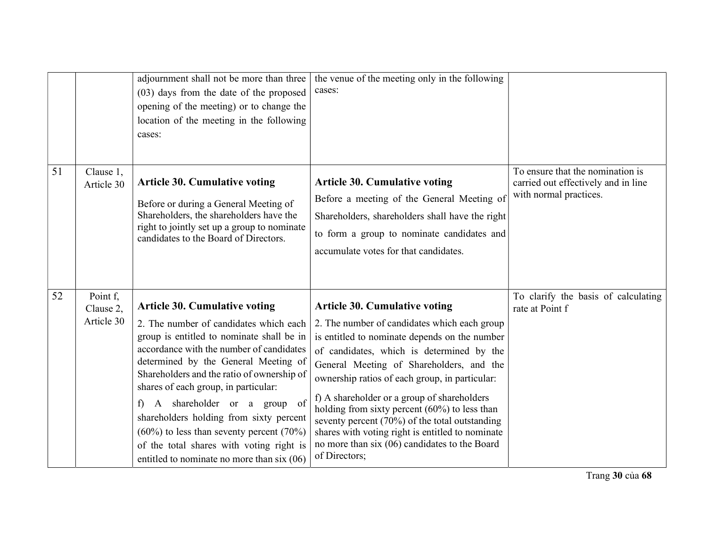|    |                                     | adjournment shall not be more than three<br>(03) days from the date of the proposed<br>opening of the meeting) or to change the<br>location of the meeting in the following<br>cases:                                                                                                                                                                                                                                                                                                                                               | the venue of the meeting only in the following<br>cases:                                                                                                                                                                                                                                                                                                                                                                                                                                                                                                     |                                                                                                   |
|----|-------------------------------------|-------------------------------------------------------------------------------------------------------------------------------------------------------------------------------------------------------------------------------------------------------------------------------------------------------------------------------------------------------------------------------------------------------------------------------------------------------------------------------------------------------------------------------------|--------------------------------------------------------------------------------------------------------------------------------------------------------------------------------------------------------------------------------------------------------------------------------------------------------------------------------------------------------------------------------------------------------------------------------------------------------------------------------------------------------------------------------------------------------------|---------------------------------------------------------------------------------------------------|
| 51 | Clause 1,<br>Article 30             | <b>Article 30. Cumulative voting</b><br>Before or during a General Meeting of<br>Shareholders, the shareholders have the<br>right to jointly set up a group to nominate<br>candidates to the Board of Directors.                                                                                                                                                                                                                                                                                                                    | <b>Article 30. Cumulative voting</b><br>Before a meeting of the General Meeting of<br>Shareholders, shareholders shall have the right<br>to form a group to nominate candidates and<br>accumulate votes for that candidates.                                                                                                                                                                                                                                                                                                                                 | To ensure that the nomination is<br>carried out effectively and in line<br>with normal practices. |
| 52 | Point f,<br>Clause 2,<br>Article 30 | <b>Article 30. Cumulative voting</b><br>2. The number of candidates which each<br>group is entitled to nominate shall be in<br>accordance with the number of candidates<br>determined by the General Meeting of<br>Shareholders and the ratio of ownership of<br>shares of each group, in particular:<br>A shareholder or a group of<br>f)<br>shareholders holding from sixty percent<br>$(60\%)$ to less than seventy percent $(70\%)$<br>of the total shares with voting right is<br>entitled to nominate no more than six $(06)$ | <b>Article 30. Cumulative voting</b><br>2. The number of candidates which each group<br>is entitled to nominate depends on the number<br>of candidates, which is determined by the<br>General Meeting of Shareholders, and the<br>ownership ratios of each group, in particular:<br>f) A shareholder or a group of shareholders<br>holding from sixty percent $(60\%)$ to less than<br>seventy percent (70%) of the total outstanding<br>shares with voting right is entitled to nominate<br>no more than $six(06)$ candidates to the Board<br>of Directors; | To clarify the basis of calculating<br>rate at Point f                                            |

Trang 30 của 68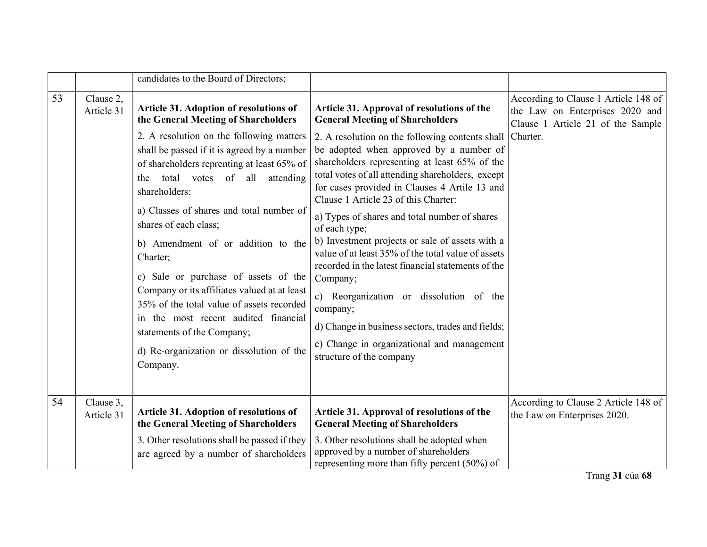|    |                         | candidates to the Board of Directors;                                                                                                                |                                                                                                                                                                                                                                        |                                                                                                                          |
|----|-------------------------|------------------------------------------------------------------------------------------------------------------------------------------------------|----------------------------------------------------------------------------------------------------------------------------------------------------------------------------------------------------------------------------------------|--------------------------------------------------------------------------------------------------------------------------|
| 53 | Clause 2,<br>Article 31 | Article 31. Adoption of resolutions of<br>the General Meeting of Shareholders<br>2. A resolution on the following matters                            | Article 31. Approval of resolutions of the<br><b>General Meeting of Shareholders</b><br>2. A resolution on the following contents shall                                                                                                | According to Clause 1 Article 148 of<br>the Law on Enterprises 2020 and<br>Clause 1 Article 21 of the Sample<br>Charter. |
|    |                         | shall be passed if it is agreed by a number<br>of shareholders reprenting at least 65% of<br>total votes of all<br>the<br>attending<br>shareholders: | be adopted when approved by a number of<br>shareholders representing at least 65% of the<br>total votes of all attending shareholders, except<br>for cases provided in Clauses 4 Artile 13 and<br>Clause 1 Article 23 of this Charter: |                                                                                                                          |
|    |                         | a) Classes of shares and total number of<br>shares of each class;                                                                                    | a) Types of shares and total number of shares<br>of each type;                                                                                                                                                                         |                                                                                                                          |
|    |                         | b) Amendment of or addition to the<br>Charter;                                                                                                       | b) Investment projects or sale of assets with a<br>value of at least 35% of the total value of assets<br>recorded in the latest financial statements of the                                                                            |                                                                                                                          |
|    |                         | c) Sale or purchase of assets of the<br>Company or its affiliates valued at at least<br>35% of the total value of assets recorded                    | Company;<br>c) Reorganization or dissolution of the<br>company;                                                                                                                                                                        |                                                                                                                          |
|    |                         | in the most recent audited financial<br>statements of the Company;                                                                                   | d) Change in business sectors, trades and fields;                                                                                                                                                                                      |                                                                                                                          |
|    |                         | d) Re-organization or dissolution of the<br>Company.                                                                                                 | e) Change in organizational and management<br>structure of the company                                                                                                                                                                 |                                                                                                                          |
| 54 | Clause 3,<br>Article 31 | Article 31. Adoption of resolutions of<br>the General Meeting of Shareholders                                                                        | Article 31. Approval of resolutions of the<br><b>General Meeting of Shareholders</b>                                                                                                                                                   | According to Clause 2 Article 148 of<br>the Law on Enterprises 2020.                                                     |
|    |                         | 3. Other resolutions shall be passed if they<br>are agreed by a number of shareholders                                                               | 3. Other resolutions shall be adopted when<br>approved by a number of shareholders<br>representing more than fifty percent (50%) of                                                                                                    |                                                                                                                          |

Trang 31 của 68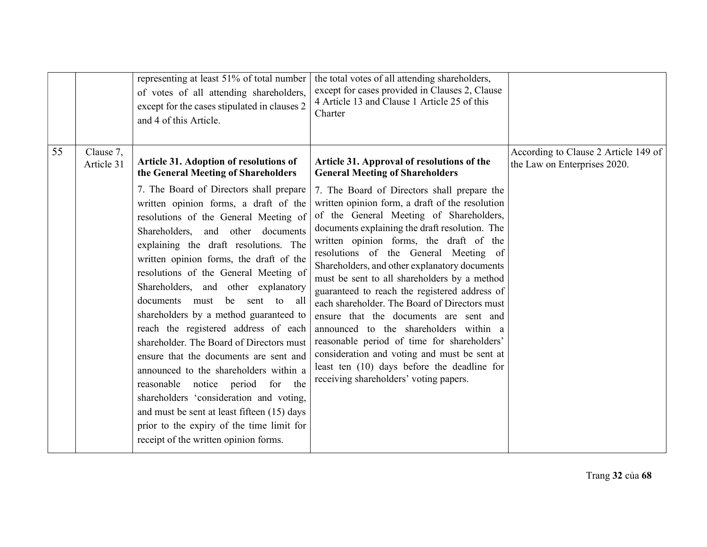|    |                         | representing at least 51% of total number<br>of votes of all attending shareholders,<br>except for the cases stipulated in clauses 2<br>and 4 of this Article.                                                                                                                                                                                                                                                                                                                                                                                                                                                                                                                                                                                                                                                                                           | the total votes of all attending shareholders,<br>except for cases provided in Clauses 2, Clause<br>4 Article 13 and Clause 1 Article 25 of this<br>Charter                                                                                                                                                                                                                                                                                                                                                                                                                                                                                                                                                                                                                                                                                            |                                                                      |
|----|-------------------------|----------------------------------------------------------------------------------------------------------------------------------------------------------------------------------------------------------------------------------------------------------------------------------------------------------------------------------------------------------------------------------------------------------------------------------------------------------------------------------------------------------------------------------------------------------------------------------------------------------------------------------------------------------------------------------------------------------------------------------------------------------------------------------------------------------------------------------------------------------|--------------------------------------------------------------------------------------------------------------------------------------------------------------------------------------------------------------------------------------------------------------------------------------------------------------------------------------------------------------------------------------------------------------------------------------------------------------------------------------------------------------------------------------------------------------------------------------------------------------------------------------------------------------------------------------------------------------------------------------------------------------------------------------------------------------------------------------------------------|----------------------------------------------------------------------|
| 55 | Clause 7,<br>Article 31 | <b>Article 31. Adoption of resolutions of</b><br>the General Meeting of Shareholders<br>7. The Board of Directors shall prepare<br>written opinion forms, a draft of the<br>resolutions of the General Meeting of<br>Shareholders, and other documents<br>explaining the draft resolutions. The<br>written opinion forms, the draft of the<br>resolutions of the General Meeting of<br>Shareholders, and other explanatory<br>documents must be sent to all<br>shareholders by a method guaranteed to<br>reach the registered address of each<br>shareholder. The Board of Directors must<br>ensure that the documents are sent and<br>announced to the shareholders within a<br>reasonable notice period for the<br>shareholders 'consideration and voting,<br>and must be sent at least fifteen (15) days<br>prior to the expiry of the time limit for | Article 31. Approval of resolutions of the<br><b>General Meeting of Shareholders</b><br>7. The Board of Directors shall prepare the<br>written opinion form, a draft of the resolution<br>of the General Meeting of Shareholders,<br>documents explaining the draft resolution. The<br>written opinion forms, the draft of the<br>resolutions of the General Meeting of<br>Shareholders, and other explanatory documents<br>must be sent to all shareholders by a method<br>guaranteed to reach the registered address of<br>each shareholder. The Board of Directors must<br>ensure that the documents are sent and<br>announced to the shareholders within a<br>reasonable period of time for shareholders'<br>consideration and voting and must be sent at<br>least ten (10) days before the deadline for<br>receiving shareholders' voting papers. | According to Clause 2 Article 149 of<br>the Law on Enterprises 2020. |
|    |                         | receipt of the written opinion forms.                                                                                                                                                                                                                                                                                                                                                                                                                                                                                                                                                                                                                                                                                                                                                                                                                    |                                                                                                                                                                                                                                                                                                                                                                                                                                                                                                                                                                                                                                                                                                                                                                                                                                                        |                                                                      |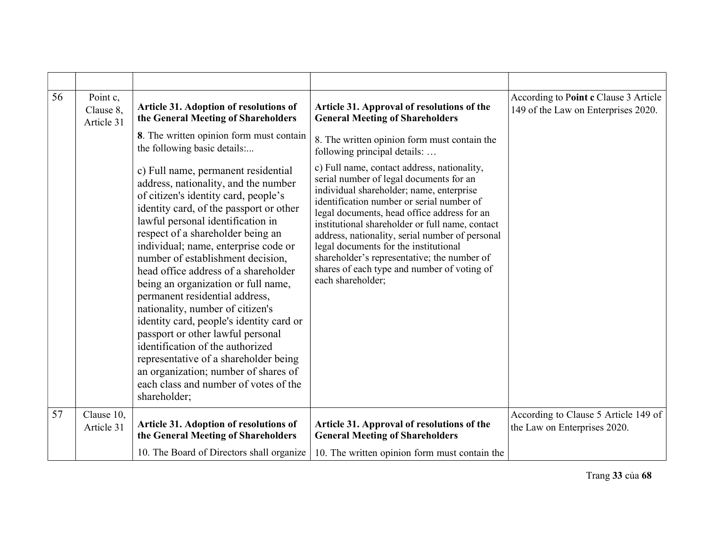| 56 | Point c,<br>Clause 8,<br>Article 31 | <b>Article 31. Adoption of resolutions of</b><br>the General Meeting of Shareholders                                                                                                                                                                                                                                                                                                                                                                                                                                                                                                                                                                                                                                                      | Article 31. Approval of resolutions of the<br><b>General Meeting of Shareholders</b>                                                                                                                                                                                                                                                                                                                                                                                                             | According to Point c Clause 3 Article<br>149 of the Law on Enterprises 2020. |
|----|-------------------------------------|-------------------------------------------------------------------------------------------------------------------------------------------------------------------------------------------------------------------------------------------------------------------------------------------------------------------------------------------------------------------------------------------------------------------------------------------------------------------------------------------------------------------------------------------------------------------------------------------------------------------------------------------------------------------------------------------------------------------------------------------|--------------------------------------------------------------------------------------------------------------------------------------------------------------------------------------------------------------------------------------------------------------------------------------------------------------------------------------------------------------------------------------------------------------------------------------------------------------------------------------------------|------------------------------------------------------------------------------|
|    |                                     | 8. The written opinion form must contain<br>the following basic details:                                                                                                                                                                                                                                                                                                                                                                                                                                                                                                                                                                                                                                                                  | 8. The written opinion form must contain the<br>following principal details:                                                                                                                                                                                                                                                                                                                                                                                                                     |                                                                              |
|    |                                     | c) Full name, permanent residential<br>address, nationality, and the number<br>of citizen's identity card, people's<br>identity card, of the passport or other<br>lawful personal identification in<br>respect of a shareholder being an<br>individual; name, enterprise code or<br>number of establishment decision,<br>head office address of a shareholder<br>being an organization or full name,<br>permanent residential address,<br>nationality, number of citizen's<br>identity card, people's identity card or<br>passport or other lawful personal<br>identification of the authorized<br>representative of a shareholder being<br>an organization; number of shares of<br>each class and number of votes of the<br>shareholder; | c) Full name, contact address, nationality,<br>serial number of legal documents for an<br>individual shareholder; name, enterprise<br>identification number or serial number of<br>legal documents, head office address for an<br>institutional shareholder or full name, contact<br>address, nationality, serial number of personal<br>legal documents for the institutional<br>shareholder's representative; the number of<br>shares of each type and number of voting of<br>each shareholder; |                                                                              |
| 57 | Clause 10,<br>Article 31            | Article 31. Adoption of resolutions of<br>the General Meeting of Shareholders                                                                                                                                                                                                                                                                                                                                                                                                                                                                                                                                                                                                                                                             | Article 31. Approval of resolutions of the<br><b>General Meeting of Shareholders</b>                                                                                                                                                                                                                                                                                                                                                                                                             | According to Clause 5 Article 149 of<br>the Law on Enterprises 2020.         |
|    |                                     | 10. The Board of Directors shall organize                                                                                                                                                                                                                                                                                                                                                                                                                                                                                                                                                                                                                                                                                                 | 10. The written opinion form must contain the                                                                                                                                                                                                                                                                                                                                                                                                                                                    |                                                                              |

Trang 33 của 68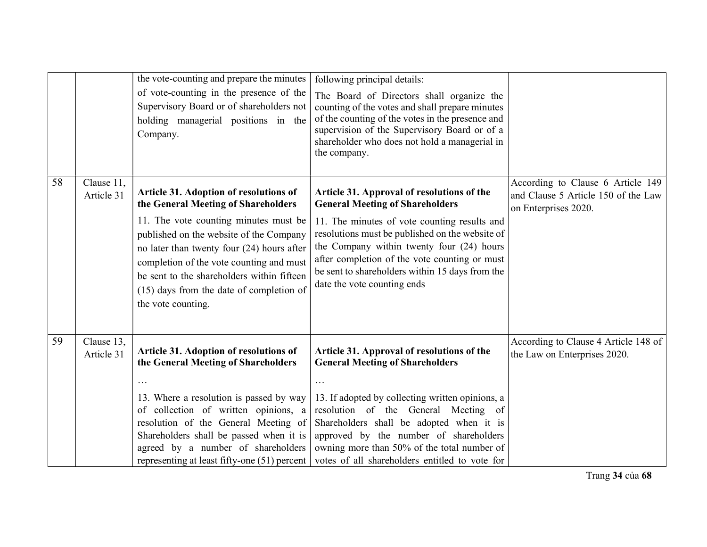|    |                          | the vote-counting and prepare the minutes<br>of vote-counting in the presence of the<br>Supervisory Board or of shareholders not<br>holding managerial positions in the<br>Company.                                                                                                                                                                                         | following principal details:<br>The Board of Directors shall organize the<br>counting of the votes and shall prepare minutes<br>of the counting of the votes in the presence and<br>supervision of the Supervisory Board or of a<br>shareholder who does not hold a managerial in<br>the company.                                                                                   |                                                                                                  |
|----|--------------------------|-----------------------------------------------------------------------------------------------------------------------------------------------------------------------------------------------------------------------------------------------------------------------------------------------------------------------------------------------------------------------------|-------------------------------------------------------------------------------------------------------------------------------------------------------------------------------------------------------------------------------------------------------------------------------------------------------------------------------------------------------------------------------------|--------------------------------------------------------------------------------------------------|
| 58 | Clause 11,<br>Article 31 | Article 31. Adoption of resolutions of<br>the General Meeting of Shareholders<br>11. The vote counting minutes must be<br>published on the website of the Company<br>no later than twenty four (24) hours after<br>completion of the vote counting and must<br>be sent to the shareholders within fifteen<br>(15) days from the date of completion of<br>the vote counting. | Article 31. Approval of resolutions of the<br><b>General Meeting of Shareholders</b><br>11. The minutes of vote counting results and<br>resolutions must be published on the website of<br>the Company within twenty four (24) hours<br>after completion of the vote counting or must<br>be sent to shareholders within 15 days from the<br>date the vote counting ends             | According to Clause 6 Article 149<br>and Clause 5 Article 150 of the Law<br>on Enterprises 2020. |
| 59 | Clause 13,<br>Article 31 | Article 31. Adoption of resolutions of<br>the General Meeting of Shareholders<br>.<br>13. Where a resolution is passed by way<br>of collection of written opinions, a<br>resolution of the General Meeting of<br>Shareholders shall be passed when it is<br>agreed by a number of shareholders<br>representing at least fifty-one (51) percent                              | Article 31. Approval of resolutions of the<br><b>General Meeting of Shareholders</b><br>$\ldots$<br>13. If adopted by collecting written opinions, a<br>resolution of the General Meeting of<br>Shareholders shall be adopted when it is<br>approved by the number of shareholders<br>owning more than 50% of the total number of<br>votes of all shareholders entitled to vote for | According to Clause 4 Article 148 of<br>the Law on Enterprises 2020.                             |

Trang 34 của 68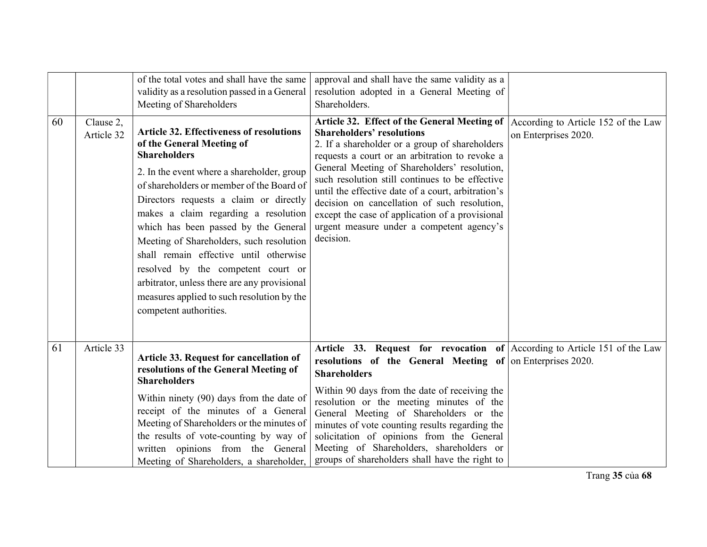| 60 | Clause 2,<br>Article 32 | of the total votes and shall have the same<br>validity as a resolution passed in a General<br>Meeting of Shareholders<br><b>Article 32. Effectiveness of resolutions</b><br>of the General Meeting of<br><b>Shareholders</b><br>2. In the event where a shareholder, group<br>of shareholders or member of the Board of<br>Directors requests a claim or directly<br>makes a claim regarding a resolution<br>which has been passed by the General<br>Meeting of Shareholders, such resolution<br>shall remain effective until otherwise<br>resolved by the competent court or<br>arbitrator, unless there are any provisional<br>measures applied to such resolution by the<br>competent authorities. | approval and shall have the same validity as a<br>resolution adopted in a General Meeting of<br>Shareholders.<br>Article 32. Effect of the General Meeting of<br><b>Shareholders' resolutions</b><br>2. If a shareholder or a group of shareholders<br>requests a court or an arbitration to revoke a<br>General Meeting of Shareholders' resolution,<br>such resolution still continues to be effective<br>until the effective date of a court, arbitration's<br>decision on cancellation of such resolution,<br>except the case of application of a provisional<br>urgent measure under a competent agency's<br>decision. | According to Article 152 of the Law<br>on Enterprises 2020. |
|----|-------------------------|-------------------------------------------------------------------------------------------------------------------------------------------------------------------------------------------------------------------------------------------------------------------------------------------------------------------------------------------------------------------------------------------------------------------------------------------------------------------------------------------------------------------------------------------------------------------------------------------------------------------------------------------------------------------------------------------------------|-----------------------------------------------------------------------------------------------------------------------------------------------------------------------------------------------------------------------------------------------------------------------------------------------------------------------------------------------------------------------------------------------------------------------------------------------------------------------------------------------------------------------------------------------------------------------------------------------------------------------------|-------------------------------------------------------------|
| 61 | Article 33              | Article 33. Request for cancellation of<br>resolutions of the General Meeting of<br><b>Shareholders</b><br>Within ninety (90) days from the date of<br>receipt of the minutes of a General<br>Meeting of Shareholders or the minutes of<br>the results of vote-counting by way of<br>written opinions from the General<br>Meeting of Shareholders, a shareholder,                                                                                                                                                                                                                                                                                                                                     | Article 33. Request for revocation of According to Article 151 of the Law<br>resolutions of the General Meeting of on Enterprises 2020.<br><b>Shareholders</b><br>Within 90 days from the date of receiving the<br>resolution or the meeting minutes of the<br>General Meeting of Shareholders or the<br>minutes of vote counting results regarding the<br>solicitation of opinions from the General<br>Meeting of Shareholders, shareholders or<br>groups of shareholders shall have the right to                                                                                                                          |                                                             |

Trang 35 của 68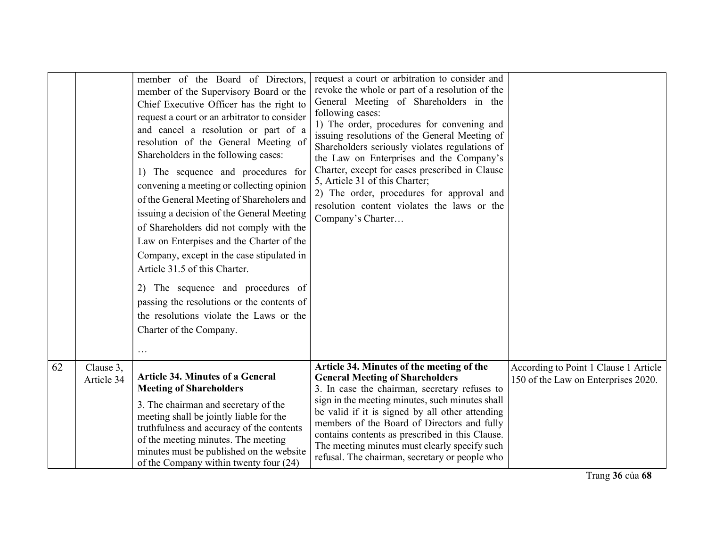|    |                         | member of the Board of Directors,<br>member of the Supervisory Board or the<br>Chief Executive Officer has the right to<br>request a court or an arbitrator to consider<br>and cancel a resolution or part of a<br>resolution of the General Meeting of<br>Shareholders in the following cases:<br>1) The sequence and procedures for<br>convening a meeting or collecting opinion<br>of the General Meeting of Shareholers and<br>issuing a decision of the General Meeting<br>of Shareholders did not comply with the<br>Law on Enterpises and the Charter of the<br>Company, except in the case stipulated in<br>Article 31.5 of this Charter.<br>2) The sequence and procedures of<br>passing the resolutions or the contents of<br>the resolutions violate the Laws or the<br>Charter of the Company. | request a court or arbitration to consider and<br>revoke the whole or part of a resolution of the<br>General Meeting of Shareholders in the<br>following cases:<br>1) The order, procedures for convening and<br>issuing resolutions of the General Meeting of<br>Shareholders seriously violates regulations of<br>the Law on Enterprises and the Company's<br>Charter, except for cases prescribed in Clause<br>5, Article 31 of this Charter;<br>2) The order, procedures for approval and<br>resolution content violates the laws or the<br>Company's Charter |                                                                              |
|----|-------------------------|------------------------------------------------------------------------------------------------------------------------------------------------------------------------------------------------------------------------------------------------------------------------------------------------------------------------------------------------------------------------------------------------------------------------------------------------------------------------------------------------------------------------------------------------------------------------------------------------------------------------------------------------------------------------------------------------------------------------------------------------------------------------------------------------------------|-------------------------------------------------------------------------------------------------------------------------------------------------------------------------------------------------------------------------------------------------------------------------------------------------------------------------------------------------------------------------------------------------------------------------------------------------------------------------------------------------------------------------------------------------------------------|------------------------------------------------------------------------------|
| 62 | Clause 3,<br>Article 34 | <b>Article 34. Minutes of a General</b><br><b>Meeting of Shareholders</b><br>3. The chairman and secretary of the<br>meeting shall be jointly liable for the<br>truthfulness and accuracy of the contents<br>of the meeting minutes. The meeting<br>minutes must be published on the website<br>of the Company within twenty four (24)                                                                                                                                                                                                                                                                                                                                                                                                                                                                     | Article 34. Minutes of the meeting of the<br><b>General Meeting of Shareholders</b><br>3. In case the chairman, secretary refuses to<br>sign in the meeting minutes, such minutes shall<br>be valid if it is signed by all other attending<br>members of the Board of Directors and fully<br>contains contents as prescribed in this Clause.<br>The meeting minutes must clearly specify such<br>refusal. The chairman, secretary or people who                                                                                                                   | According to Point 1 Clause 1 Article<br>150 of the Law on Enterprises 2020. |

Trang 36 của 68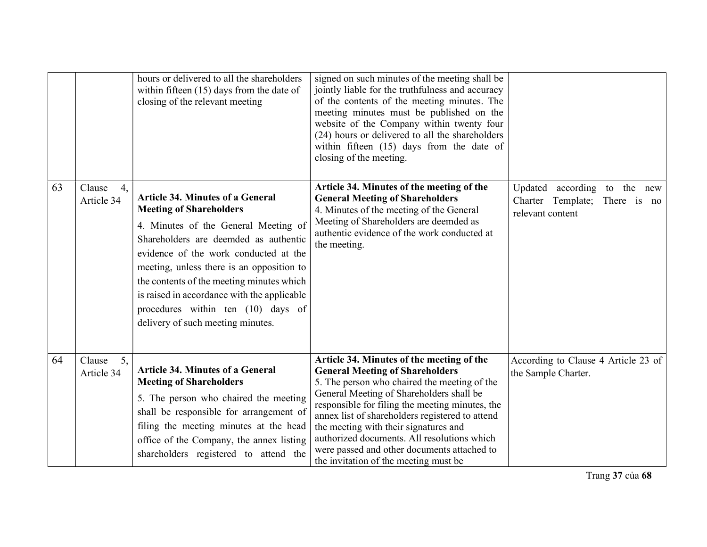|    |                            | hours or delivered to all the shareholders<br>within fifteen $(15)$ days from the date of<br>closing of the relevant meeting                                                                                                                                                                                                                                                                                            | signed on such minutes of the meeting shall be<br>jointly liable for the truthfulness and accuracy<br>of the contents of the meeting minutes. The<br>meeting minutes must be published on the<br>website of the Company within twenty four<br>(24) hours or delivered to all the shareholders<br>within fifteen (15) days from the date of<br>closing of the meeting.                                                                                                 |                                                                                         |
|----|----------------------------|-------------------------------------------------------------------------------------------------------------------------------------------------------------------------------------------------------------------------------------------------------------------------------------------------------------------------------------------------------------------------------------------------------------------------|-----------------------------------------------------------------------------------------------------------------------------------------------------------------------------------------------------------------------------------------------------------------------------------------------------------------------------------------------------------------------------------------------------------------------------------------------------------------------|-----------------------------------------------------------------------------------------|
| 63 | Clause<br>4,<br>Article 34 | <b>Article 34. Minutes of a General</b><br><b>Meeting of Shareholders</b><br>4. Minutes of the General Meeting of<br>Shareholders are deemded as authentic<br>evidence of the work conducted at the<br>meeting, unless there is an opposition to<br>the contents of the meeting minutes which<br>is raised in accordance with the applicable<br>procedures within ten (10) days of<br>delivery of such meeting minutes. | Article 34. Minutes of the meeting of the<br><b>General Meeting of Shareholders</b><br>4. Minutes of the meeting of the General<br>Meeting of Shareholders are deemded as<br>authentic evidence of the work conducted at<br>the meeting.                                                                                                                                                                                                                              | Updated<br>according to the new<br>Charter Template;<br>There is no<br>relevant content |
| 64 | 5.<br>Clause<br>Article 34 | <b>Article 34. Minutes of a General</b><br><b>Meeting of Shareholders</b><br>5. The person who chaired the meeting<br>shall be responsible for arrangement of<br>filing the meeting minutes at the head<br>office of the Company, the annex listing<br>shareholders registered to attend the                                                                                                                            | Article 34. Minutes of the meeting of the<br><b>General Meeting of Shareholders</b><br>5. The person who chaired the meeting of the<br>General Meeting of Shareholders shall be<br>responsible for filing the meeting minutes, the<br>annex list of shareholders registered to attend<br>the meeting with their signatures and<br>authorized documents. All resolutions which<br>were passed and other documents attached to<br>the invitation of the meeting must be | According to Clause 4 Article 23 of<br>the Sample Charter.                              |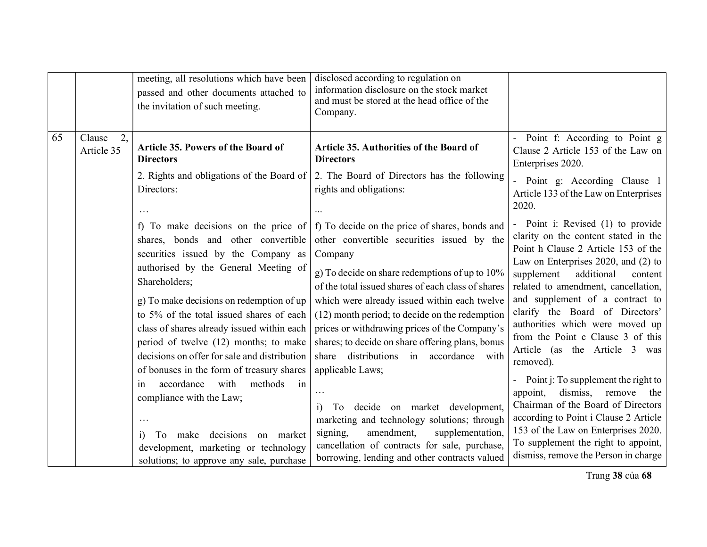|                                  | meeting, all resolutions which have been<br>passed and other documents attached to<br>the invitation of such meeting.                                                                                                                                                                                                                                                                                                                                                                                                                                                                                                                                                  | disclosed according to regulation on<br>information disclosure on the stock market<br>and must be stored at the head office of the<br>Company.                                                                                                                                                                                                                                                                                                                                                                                                                                                                                                                                                                                             |                                                                                                                                                                                                                                                                                                                                                                                                                                                                                                                                                                                                                                                                                                                   |
|----------------------------------|------------------------------------------------------------------------------------------------------------------------------------------------------------------------------------------------------------------------------------------------------------------------------------------------------------------------------------------------------------------------------------------------------------------------------------------------------------------------------------------------------------------------------------------------------------------------------------------------------------------------------------------------------------------------|--------------------------------------------------------------------------------------------------------------------------------------------------------------------------------------------------------------------------------------------------------------------------------------------------------------------------------------------------------------------------------------------------------------------------------------------------------------------------------------------------------------------------------------------------------------------------------------------------------------------------------------------------------------------------------------------------------------------------------------------|-------------------------------------------------------------------------------------------------------------------------------------------------------------------------------------------------------------------------------------------------------------------------------------------------------------------------------------------------------------------------------------------------------------------------------------------------------------------------------------------------------------------------------------------------------------------------------------------------------------------------------------------------------------------------------------------------------------------|
| 65<br>2.<br>Clause<br>Article 35 | Article 35. Powers of the Board of<br><b>Directors</b><br>2. Rights and obligations of the Board of<br>Directors:                                                                                                                                                                                                                                                                                                                                                                                                                                                                                                                                                      | <b>Article 35. Authorities of the Board of</b><br><b>Directors</b><br>2. The Board of Directors has the following<br>rights and obligations:                                                                                                                                                                                                                                                                                                                                                                                                                                                                                                                                                                                               | - Point f: According to Point g<br>Clause 2 Article 153 of the Law on<br>Enterprises 2020.<br>Point g: According Clause 1<br>Article 133 of the Law on Enterprises<br>2020.                                                                                                                                                                                                                                                                                                                                                                                                                                                                                                                                       |
|                                  | f) To make decisions on the price of<br>shares, bonds and other convertible<br>securities issued by the Company as<br>authorised by the General Meeting of<br>Shareholders;<br>g) To make decisions on redemption of up<br>to 5% of the total issued shares of each<br>class of shares already issued within each<br>period of twelve (12) months; to make<br>decisions on offer for sale and distribution<br>of bonuses in the form of treasury shares<br>accordance<br>methods<br>with<br>in<br>1n<br>compliance with the Law;<br>To make decisions<br>on market<br>$\mathbf{1}$<br>development, marketing or technology<br>solutions; to approve any sale, purchase | f) To decide on the price of shares, bonds and<br>other convertible securities issued by the<br>Company<br>g) To decide on share redemptions of up to $10\%$<br>of the total issued shares of each class of shares<br>which were already issued within each twelve<br>(12) month period; to decide on the redemption<br>prices or withdrawing prices of the Company's<br>shares; to decide on share offering plans, bonus<br>share distributions in accordance with<br>applicable Laws;<br>To decide on market development,<br>$\mathbf{i}$<br>marketing and technology solutions; through<br>amendment,<br>signing,<br>supplementation,<br>cancellation of contracts for sale, purchase,<br>borrowing, lending and other contracts valued | Point i: Revised (1) to provide<br>clarity on the content stated in the<br>Point h Clause 2 Article 153 of the<br>Law on Enterprises 2020, and (2) to<br>supplement<br>additional<br>content<br>related to amendment, cancellation,<br>and supplement of a contract to<br>clarify the Board of Directors'<br>authorities which were moved up<br>from the Point c Clause 3 of this<br>Article (as the Article 3 was<br>removed).<br>Point j: To supplement the right to<br>appoint,<br>dismiss, remove<br>the<br>Chairman of the Board of Directors<br>according to Point i Clause 2 Article<br>153 of the Law on Enterprises 2020.<br>To supplement the right to appoint,<br>dismiss, remove the Person in charge |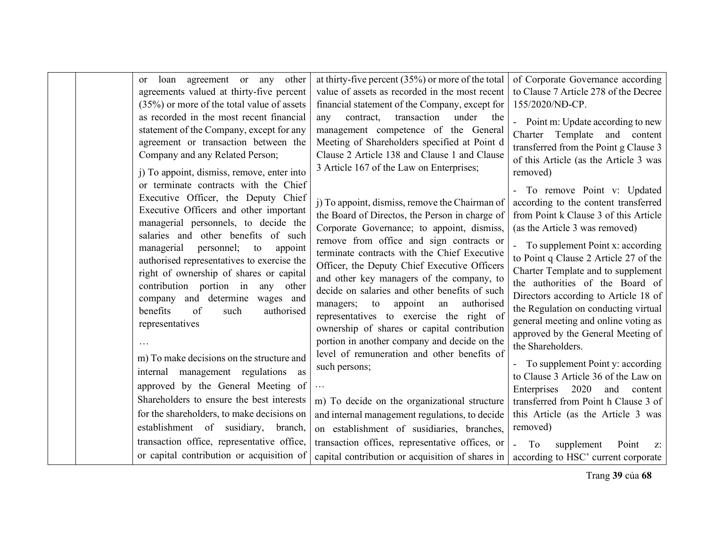| loan agreement or any other<br><sub>or</sub><br>agreements valued at thirty-five percent<br>(35%) or more of the total value of assets<br>as recorded in the most recent financial<br>statement of the Company, except for any                                                                                                                                                                                                                                                                                              | at thirty-five percent $(35%)$ or more of the total<br>value of assets as recorded in the most recent<br>financial statement of the Company, except for<br>transaction<br>under the<br>contract,<br>any<br>management competence of the General                                                                                                                                                                                                                                                                                                                                                                                   | of Corporate Governance according<br>to Clause 7 Article 278 of the Decree<br>155/2020/NĐ-CP.<br>- Point m: Update according to new                                                                                                                                                                                                                                                                                                                                                      |
|-----------------------------------------------------------------------------------------------------------------------------------------------------------------------------------------------------------------------------------------------------------------------------------------------------------------------------------------------------------------------------------------------------------------------------------------------------------------------------------------------------------------------------|-----------------------------------------------------------------------------------------------------------------------------------------------------------------------------------------------------------------------------------------------------------------------------------------------------------------------------------------------------------------------------------------------------------------------------------------------------------------------------------------------------------------------------------------------------------------------------------------------------------------------------------|------------------------------------------------------------------------------------------------------------------------------------------------------------------------------------------------------------------------------------------------------------------------------------------------------------------------------------------------------------------------------------------------------------------------------------------------------------------------------------------|
| agreement or transaction between the<br>Company and any Related Person;<br>j) To appoint, dismiss, remove, enter into                                                                                                                                                                                                                                                                                                                                                                                                       | Meeting of Shareholders specified at Point d<br>Clause 2 Article 138 and Clause 1 and Clause<br>3 Article 167 of the Law on Enterprises;                                                                                                                                                                                                                                                                                                                                                                                                                                                                                          | Charter Template and content<br>transferred from the Point g Clause 3<br>of this Article (as the Article 3 was<br>removed)                                                                                                                                                                                                                                                                                                                                                               |
| or terminate contracts with the Chief<br>Executive Officer, the Deputy Chief<br>Executive Officers and other important<br>managerial personnels, to decide the<br>salaries and other benefits of such<br>managerial personnel; to<br>appoint<br>authorised representatives to exercise the<br>right of ownership of shares or capital<br>contribution portion in any other<br>company and determine wages and<br>benefits<br>$\sigma$<br>authorised<br>such<br>representatives<br>m) To make decisions on the structure and | j) To appoint, dismiss, remove the Chairman of<br>the Board of Directos, the Person in charge of<br>Corporate Governance; to appoint, dismiss,<br>remove from office and sign contracts or<br>terminate contracts with the Chief Executive<br>Officer, the Deputy Chief Executive Officers<br>and other key managers of the company, to<br>decide on salaries and other benefits of such<br>managers; to<br>appoint<br>authorised<br>an<br>representatives to exercise the right of<br>ownership of shares or capital contribution<br>portion in another company and decide on the<br>level of remuneration and other benefits of | - To remove Point v: Updated<br>according to the content transferred<br>from Point k Clause 3 of this Article<br>(as the Article 3 was removed)<br>To supplement Point x: according<br>to Point q Clause 2 Article 27 of the<br>Charter Template and to supplement<br>the authorities of the Board of<br>Directors according to Article 18 of<br>the Regulation on conducting virtual<br>general meeting and online voting as<br>approved by the General Meeting of<br>the Shareholders. |
| internal management regulations as<br>approved by the General Meeting of                                                                                                                                                                                                                                                                                                                                                                                                                                                    | such persons;                                                                                                                                                                                                                                                                                                                                                                                                                                                                                                                                                                                                                     | - To supplement Point y: according<br>to Clause 3 Article 36 of the Law on<br>Enterprises<br>2020<br>and<br>content                                                                                                                                                                                                                                                                                                                                                                      |
| Shareholders to ensure the best interests<br>for the shareholders, to make decisions on<br>establishment of susidiary, branch,<br>transaction office, representative office,                                                                                                                                                                                                                                                                                                                                                | m) To decide on the organizational structure<br>and internal management regulations, to decide<br>on establishment of susidiaries, branches,<br>transaction offices, representative offices, or                                                                                                                                                                                                                                                                                                                                                                                                                                   | transferred from Point h Clause 3 of<br>this Article (as the Article 3 was<br>removed)                                                                                                                                                                                                                                                                                                                                                                                                   |
| or capital contribution or acquisition of                                                                                                                                                                                                                                                                                                                                                                                                                                                                                   | capital contribution or acquisition of shares in                                                                                                                                                                                                                                                                                                                                                                                                                                                                                                                                                                                  | To<br>$\omega_{\rm{max}}$<br>supplement<br>Point<br>$Z$ :<br>according to HSC' current corporate                                                                                                                                                                                                                                                                                                                                                                                         |

Trang 39 của 68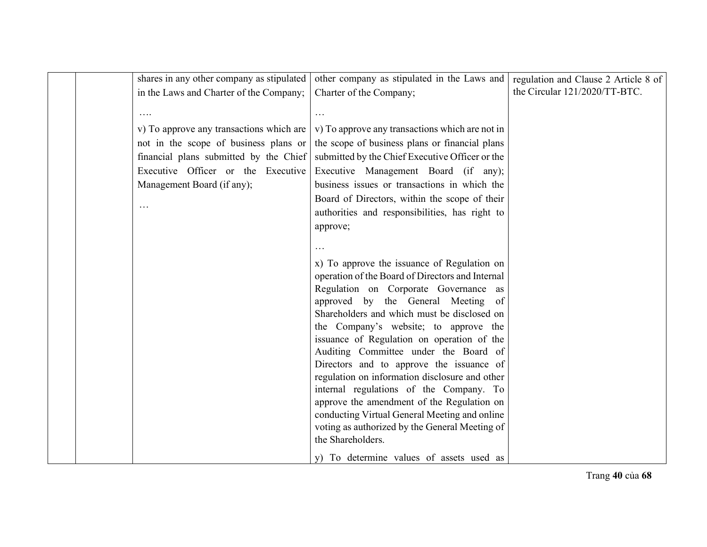|  | shares in any other company as stipulated | other company as stipulated in the Laws and                                           | regulation and Clause 2 Article 8 of |
|--|-------------------------------------------|---------------------------------------------------------------------------------------|--------------------------------------|
|  | in the Laws and Charter of the Company;   | Charter of the Company;                                                               | the Circular 121/2020/TT-BTC.        |
|  |                                           |                                                                                       |                                      |
|  | .                                         | .                                                                                     |                                      |
|  | v) To approve any transactions which are  | v) To approve any transactions which are not in                                       |                                      |
|  | not in the scope of business plans or     | the scope of business plans or financial plans                                        |                                      |
|  | financial plans submitted by the Chief    | submitted by the Chief Executive Officer or the                                       |                                      |
|  | Executive Officer or the Executive        | Executive Management Board (if any);                                                  |                                      |
|  | Management Board (if any);                | business issues or transactions in which the                                          |                                      |
|  |                                           | Board of Directors, within the scope of their                                         |                                      |
|  | .                                         | authorities and responsibilities, has right to                                        |                                      |
|  |                                           | approve;                                                                              |                                      |
|  |                                           |                                                                                       |                                      |
|  |                                           |                                                                                       |                                      |
|  |                                           | x) To approve the issuance of Regulation on                                           |                                      |
|  |                                           | operation of the Board of Directors and Internal                                      |                                      |
|  |                                           | Regulation on Corporate Governance as                                                 |                                      |
|  |                                           | approved by the General Meeting of                                                    |                                      |
|  |                                           | Shareholders and which must be disclosed on                                           |                                      |
|  |                                           | the Company's website; to approve the                                                 |                                      |
|  |                                           | issuance of Regulation on operation of the                                            |                                      |
|  |                                           | Auditing Committee under the Board of                                                 |                                      |
|  |                                           | Directors and to approve the issuance of                                              |                                      |
|  |                                           | regulation on information disclosure and other                                        |                                      |
|  |                                           | internal regulations of the Company. To<br>approve the amendment of the Regulation on |                                      |
|  |                                           | conducting Virtual General Meeting and online                                         |                                      |
|  |                                           | voting as authorized by the General Meeting of                                        |                                      |
|  |                                           | the Shareholders.                                                                     |                                      |
|  |                                           |                                                                                       |                                      |
|  |                                           | y) To determine values of assets used as                                              |                                      |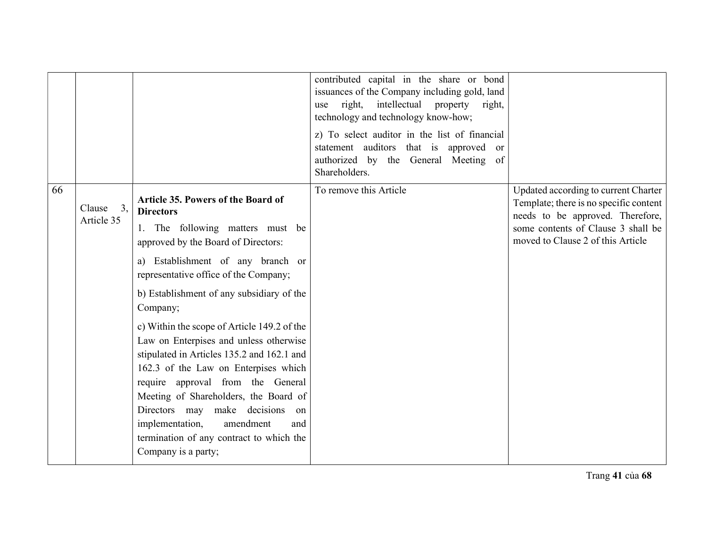|    |                                        |                                                                                                                                                                                                                                                                                                                                                                                                                                                                                                                                                                                                                                                                                              | contributed capital in the share or bond<br>issuances of the Company including gold, land<br>intellectual property<br>right,<br>use<br>right,<br>technology and technology know-how;<br>z) To select auditor in the list of financial<br>statement auditors that is approved or<br>authorized by the General Meeting of<br>Shareholders. |                                                                                                                                                                                               |
|----|----------------------------------------|----------------------------------------------------------------------------------------------------------------------------------------------------------------------------------------------------------------------------------------------------------------------------------------------------------------------------------------------------------------------------------------------------------------------------------------------------------------------------------------------------------------------------------------------------------------------------------------------------------------------------------------------------------------------------------------------|------------------------------------------------------------------------------------------------------------------------------------------------------------------------------------------------------------------------------------------------------------------------------------------------------------------------------------------|-----------------------------------------------------------------------------------------------------------------------------------------------------------------------------------------------|
| 66 | 3 <sub>1</sub><br>Clause<br>Article 35 | <b>Article 35. Powers of the Board of</b><br><b>Directors</b><br>1. The following matters must be<br>approved by the Board of Directors:<br>a) Establishment of any branch or<br>representative office of the Company;<br>b) Establishment of any subsidiary of the<br>Company;<br>c) Within the scope of Article 149.2 of the<br>Law on Enterpises and unless otherwise<br>stipulated in Articles 135.2 and 162.1 and<br>162.3 of the Law on Enterpises which<br>require approval from the General<br>Meeting of Shareholders, the Board of<br>Directors may make decisions<br>on<br>implementation,<br>amendment<br>and<br>termination of any contract to which the<br>Company is a party; | To remove this Article                                                                                                                                                                                                                                                                                                                   | Updated according to current Charter<br>Template; there is no specific content<br>needs to be approved. Therefore,<br>some contents of Clause 3 shall be<br>moved to Clause 2 of this Article |

Trang 41 của 68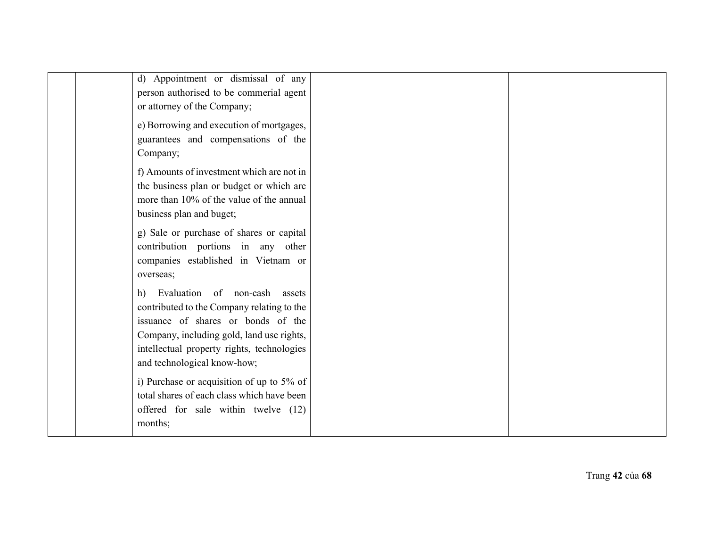| d) Appointment or dismissal of any<br>person authorised to be commerial agent<br>or attorney of the Company;<br>e) Borrowing and execution of mortgages,<br>guarantees and compensations of the<br>Company;                                       |  |
|---------------------------------------------------------------------------------------------------------------------------------------------------------------------------------------------------------------------------------------------------|--|
| f) Amounts of investment which are not in<br>the business plan or budget or which are<br>more than 10% of the value of the annual<br>business plan and buget;                                                                                     |  |
| g) Sale or purchase of shares or capital<br>contribution portions in any other<br>companies established in Vietnam or<br>overseas;                                                                                                                |  |
| h) Evaluation of non-cash<br>assets<br>contributed to the Company relating to the<br>issuance of shares or bonds of the<br>Company, including gold, land use rights,<br>intellectual property rights, technologies<br>and technological know-how; |  |
| i) Purchase or acquisition of up to 5% of<br>total shares of each class which have been<br>offered for sale within twelve (12)<br>months;                                                                                                         |  |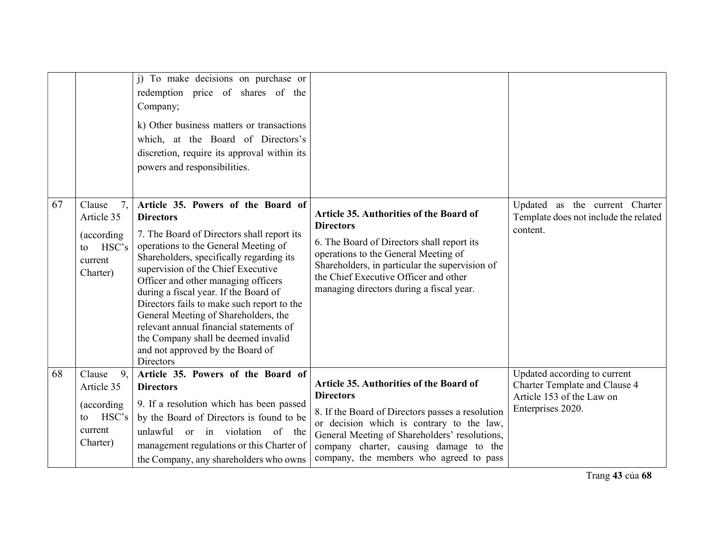|    |                                                                                 | i) To make decisions on purchase or<br>redemption price of shares of the<br>Company;<br>k) Other business matters or transactions<br>which, at the Board of Directors's<br>discretion, require its approval within its<br>powers and responsibilities.                                                                                                                                                                                                                                                                                  |                                                                                                                                                                                                                                                                                                    |                                                                                                                        |
|----|---------------------------------------------------------------------------------|-----------------------------------------------------------------------------------------------------------------------------------------------------------------------------------------------------------------------------------------------------------------------------------------------------------------------------------------------------------------------------------------------------------------------------------------------------------------------------------------------------------------------------------------|----------------------------------------------------------------------------------------------------------------------------------------------------------------------------------------------------------------------------------------------------------------------------------------------------|------------------------------------------------------------------------------------------------------------------------|
| 67 | 7.<br>Clause<br>Article 35<br>(according)<br>HSC's<br>to<br>current<br>Charter) | Article 35. Powers of the Board of<br><b>Directors</b><br>7. The Board of Directors shall report its<br>operations to the General Meeting of<br>Shareholders, specifically regarding its<br>supervision of the Chief Executive<br>Officer and other managing officers<br>during a fiscal year. If the Board of<br>Directors fails to make such report to the<br>General Meeting of Shareholders, the<br>relevant annual financial statements of<br>the Company shall be deemed invalid<br>and not approved by the Board of<br>Directors | <b>Article 35. Authorities of the Board of</b><br><b>Directors</b><br>6. The Board of Directors shall report its<br>operations to the General Meeting of<br>Shareholders, in particular the supervision of<br>the Chief Executive Officer and other<br>managing directors during a fiscal year.    | Updated as the current Charter<br>Template does not include the related<br>content.                                    |
| 68 | 9.<br>Clause<br>Article 35<br>(according)<br>HSC's<br>to<br>current<br>Charter) | Article 35. Powers of the Board of<br><b>Directors</b><br>9. If a resolution which has been passed<br>by the Board of Directors is found to be<br>unlawful or in violation<br>of the<br>management regulations or this Charter of<br>the Company, any shareholders who owns                                                                                                                                                                                                                                                             | Article 35. Authorities of the Board of<br><b>Directors</b><br>8. If the Board of Directors passes a resolution<br>or decision which is contrary to the law,<br>General Meeting of Shareholders' resolutions,<br>company charter, causing damage to the<br>company, the members who agreed to pass | Updated according to current<br><b>Charter Template and Clause 4</b><br>Article 153 of the Law on<br>Enterprises 2020. |

Trang 43 của 68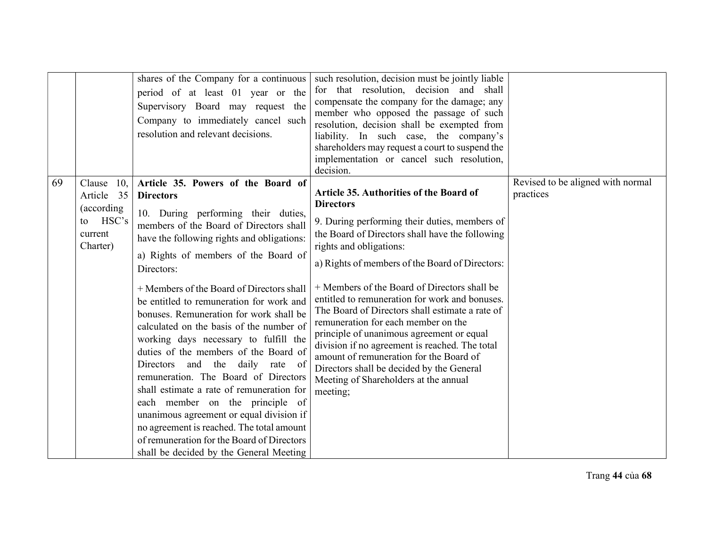|    |                                                                              | shares of the Company for a continuous<br>period of at least 01 year or the<br>Supervisory Board may request the<br>Company to immediately cancel such<br>resolution and relevant decisions.                                                                                                                                                                                                                                                                                                                                                                                                                                                                                                                                                                                                                                                                | such resolution, decision must be jointly liable<br>for that resolution, decision and shall<br>compensate the company for the damage; any<br>member who opposed the passage of such<br>resolution, decision shall be exempted from<br>liability. In such case, the company's<br>shareholders may request a court to suspend the<br>implementation or cancel such resolution,<br>decision.                                                                                                                                                                                                                                                                                             |                                                |
|----|------------------------------------------------------------------------------|-------------------------------------------------------------------------------------------------------------------------------------------------------------------------------------------------------------------------------------------------------------------------------------------------------------------------------------------------------------------------------------------------------------------------------------------------------------------------------------------------------------------------------------------------------------------------------------------------------------------------------------------------------------------------------------------------------------------------------------------------------------------------------------------------------------------------------------------------------------|---------------------------------------------------------------------------------------------------------------------------------------------------------------------------------------------------------------------------------------------------------------------------------------------------------------------------------------------------------------------------------------------------------------------------------------------------------------------------------------------------------------------------------------------------------------------------------------------------------------------------------------------------------------------------------------|------------------------------------------------|
| 69 | Clause 10,<br>Article 35<br>(according<br>HSC's<br>to<br>current<br>Charter) | Article 35. Powers of the Board of<br><b>Directors</b><br>10. During performing their duties,<br>members of the Board of Directors shall<br>have the following rights and obligations:<br>a) Rights of members of the Board of<br>Directors:<br>+ Members of the Board of Directors shall<br>be entitled to remuneration for work and<br>bonuses. Remuneration for work shall be<br>calculated on the basis of the number of<br>working days necessary to fulfill the<br>duties of the members of the Board of<br>Directors and the daily rate of<br>remuneration. The Board of Directors<br>shall estimate a rate of remuneration for<br>each member on the principle of<br>unanimous agreement or equal division if<br>no agreement is reached. The total amount<br>of remuneration for the Board of Directors<br>shall be decided by the General Meeting | Article 35. Authorities of the Board of<br><b>Directors</b><br>9. During performing their duties, members of<br>the Board of Directors shall have the following<br>rights and obligations:<br>a) Rights of members of the Board of Directors:<br>+ Members of the Board of Directors shall be<br>entitled to remuneration for work and bonuses.<br>The Board of Directors shall estimate a rate of<br>remuneration for each member on the<br>principle of unanimous agreement or equal<br>division if no agreement is reached. The total<br>amount of remuneration for the Board of<br>Directors shall be decided by the General<br>Meeting of Shareholders at the annual<br>meeting; | Revised to be aligned with normal<br>practices |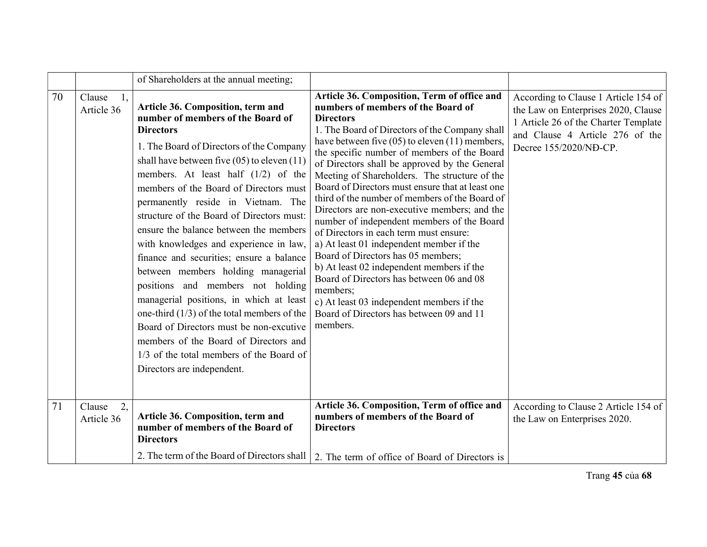|    |                            | of Shareholders at the annual meeting;                                                                                                                                                                                                                                                                                                                                                                                                                                                                                                                                                                                                                                                                                                                                                                                               |                                                                                                                                                                                                                                                                                                                                                                                                                                                                                                                                                                                                                                                                                                                                                                                                                                                                                                          |                                                                                                                                                                                  |
|----|----------------------------|--------------------------------------------------------------------------------------------------------------------------------------------------------------------------------------------------------------------------------------------------------------------------------------------------------------------------------------------------------------------------------------------------------------------------------------------------------------------------------------------------------------------------------------------------------------------------------------------------------------------------------------------------------------------------------------------------------------------------------------------------------------------------------------------------------------------------------------|----------------------------------------------------------------------------------------------------------------------------------------------------------------------------------------------------------------------------------------------------------------------------------------------------------------------------------------------------------------------------------------------------------------------------------------------------------------------------------------------------------------------------------------------------------------------------------------------------------------------------------------------------------------------------------------------------------------------------------------------------------------------------------------------------------------------------------------------------------------------------------------------------------|----------------------------------------------------------------------------------------------------------------------------------------------------------------------------------|
| 70 | Clause<br>1,<br>Article 36 | Article 36. Composition, term and<br>number of members of the Board of<br><b>Directors</b><br>1. The Board of Directors of the Company<br>shall have between five $(05)$ to eleven $(11)$<br>members. At least half $(1/2)$ of the<br>members of the Board of Directors must<br>permanently reside in Vietnam. The<br>structure of the Board of Directors must:<br>ensure the balance between the members<br>with knowledges and experience in law,<br>finance and securities; ensure a balance<br>between members holding managerial<br>positions and members not holding<br>managerial positions, in which at least<br>one-third $(1/3)$ of the total members of the<br>Board of Directors must be non-excutive<br>members of the Board of Directors and<br>1/3 of the total members of the Board of<br>Directors are independent. | Article 36. Composition, Term of office and<br>numbers of members of the Board of<br><b>Directors</b><br>1. The Board of Directors of the Company shall<br>have between five $(05)$ to eleven $(11)$ members,<br>the specific number of members of the Board<br>of Directors shall be approved by the General<br>Meeting of Shareholders. The structure of the<br>Board of Directors must ensure that at least one<br>third of the number of members of the Board of<br>Directors are non-executive members; and the<br>number of independent members of the Board<br>of Directors in each term must ensure:<br>a) At least 01 independent member if the<br>Board of Directors has 05 members;<br>b) At least 02 independent members if the<br>Board of Directors has between 06 and 08<br>members;<br>c) At least 03 independent members if the<br>Board of Directors has between 09 and 11<br>members. | According to Clause 1 Article 154 of<br>the Law on Enterprises 2020, Clause<br>1 Article 26 of the Charter Template<br>and Clause 4 Article 276 of the<br>Decree 155/2020/NĐ-CP. |
| 71 | 2,<br>Clause<br>Article 36 | Article 36. Composition, term and<br>number of members of the Board of<br><b>Directors</b>                                                                                                                                                                                                                                                                                                                                                                                                                                                                                                                                                                                                                                                                                                                                           | Article 36. Composition, Term of office and<br>numbers of members of the Board of<br><b>Directors</b>                                                                                                                                                                                                                                                                                                                                                                                                                                                                                                                                                                                                                                                                                                                                                                                                    | According to Clause 2 Article 154 of<br>the Law on Enterprises 2020.                                                                                                             |
|    |                            | 2. The term of the Board of Directors shall                                                                                                                                                                                                                                                                                                                                                                                                                                                                                                                                                                                                                                                                                                                                                                                          | 2. The term of office of Board of Directors is                                                                                                                                                                                                                                                                                                                                                                                                                                                                                                                                                                                                                                                                                                                                                                                                                                                           |                                                                                                                                                                                  |

Trang 45 của 68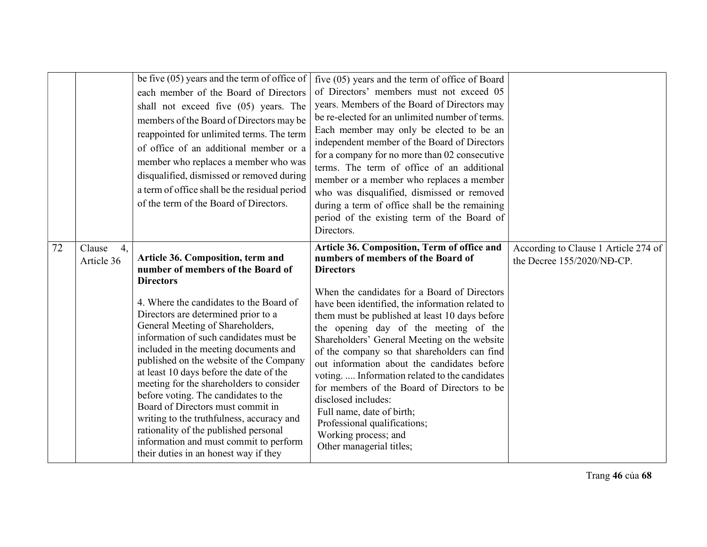|    |                            | be five $(05)$ years and the term of office of<br>each member of the Board of Directors<br>shall not exceed five (05) years. The<br>members of the Board of Directors may be<br>reappointed for unlimited terms. The term<br>of office of an additional member or a<br>member who replaces a member who was<br>disqualified, dismissed or removed during<br>a term of office shall be the residual period<br>of the term of the Board of Directors.                                                                                                                                                                                                                                         | five (05) years and the term of office of Board<br>of Directors' members must not exceed 05<br>years. Members of the Board of Directors may<br>be re-elected for an unlimited number of terms.<br>Each member may only be elected to be an<br>independent member of the Board of Directors<br>for a company for no more than 02 consecutive<br>terms. The term of office of an additional<br>member or a member who replaces a member<br>who was disqualified, dismissed or removed<br>during a term of office shall be the remaining<br>period of the existing term of the Board of<br>Directors.                                                                                           |                                                                    |
|----|----------------------------|---------------------------------------------------------------------------------------------------------------------------------------------------------------------------------------------------------------------------------------------------------------------------------------------------------------------------------------------------------------------------------------------------------------------------------------------------------------------------------------------------------------------------------------------------------------------------------------------------------------------------------------------------------------------------------------------|----------------------------------------------------------------------------------------------------------------------------------------------------------------------------------------------------------------------------------------------------------------------------------------------------------------------------------------------------------------------------------------------------------------------------------------------------------------------------------------------------------------------------------------------------------------------------------------------------------------------------------------------------------------------------------------------|--------------------------------------------------------------------|
| 72 | Clause<br>4,<br>Article 36 | Article 36. Composition, term and<br>number of members of the Board of<br><b>Directors</b><br>4. Where the candidates to the Board of<br>Directors are determined prior to a<br>General Meeting of Shareholders,<br>information of such candidates must be<br>included in the meeting documents and<br>published on the website of the Company<br>at least 10 days before the date of the<br>meeting for the shareholders to consider<br>before voting. The candidates to the<br>Board of Directors must commit in<br>writing to the truthfulness, accuracy and<br>rationality of the published personal<br>information and must commit to perform<br>their duties in an honest way if they | Article 36. Composition, Term of office and<br>numbers of members of the Board of<br><b>Directors</b><br>When the candidates for a Board of Directors<br>have been identified, the information related to<br>them must be published at least 10 days before<br>the opening day of the meeting of the<br>Shareholders' General Meeting on the website<br>of the company so that shareholders can find<br>out information about the candidates before<br>voting.  Information related to the candidates<br>for members of the Board of Directors to be<br>disclosed includes:<br>Full name, date of birth;<br>Professional qualifications;<br>Working process; and<br>Other managerial titles; | According to Clause 1 Article 274 of<br>the Decree 155/2020/NĐ-CP. |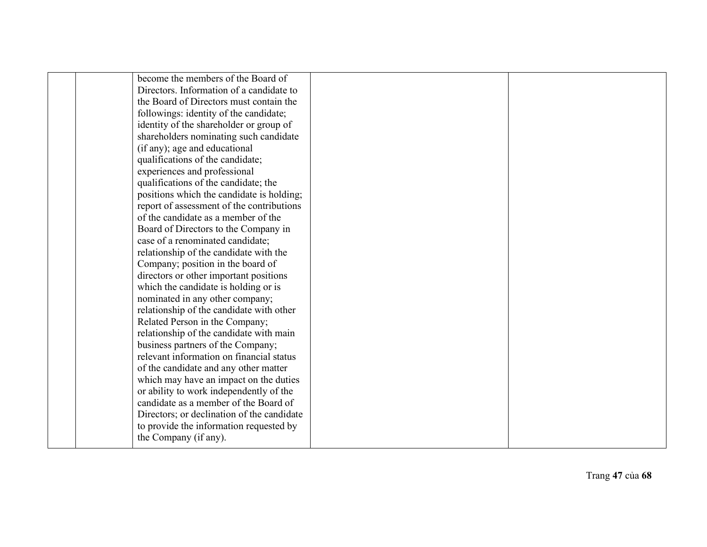| become the members of the Board of         |  |
|--------------------------------------------|--|
| Directors. Information of a candidate to   |  |
| the Board of Directors must contain the    |  |
| followings: identity of the candidate;     |  |
| identity of the shareholder or group of    |  |
| shareholders nominating such candidate     |  |
| (if any); age and educational              |  |
| qualifications of the candidate;           |  |
| experiences and professional               |  |
| qualifications of the candidate; the       |  |
| positions which the candidate is holding;  |  |
| report of assessment of the contributions  |  |
| of the candidate as a member of the        |  |
| Board of Directors to the Company in       |  |
| case of a renominated candidate;           |  |
| relationship of the candidate with the     |  |
| Company; position in the board of          |  |
| directors or other important positions     |  |
| which the candidate is holding or is       |  |
|                                            |  |
| nominated in any other company;            |  |
| relationship of the candidate with other   |  |
| Related Person in the Company;             |  |
| relationship of the candidate with main    |  |
| business partners of the Company;          |  |
| relevant information on financial status   |  |
| of the candidate and any other matter      |  |
| which may have an impact on the duties     |  |
| or ability to work independently of the    |  |
| candidate as a member of the Board of      |  |
| Directors; or declination of the candidate |  |
| to provide the information requested by    |  |
| the Company (if any).                      |  |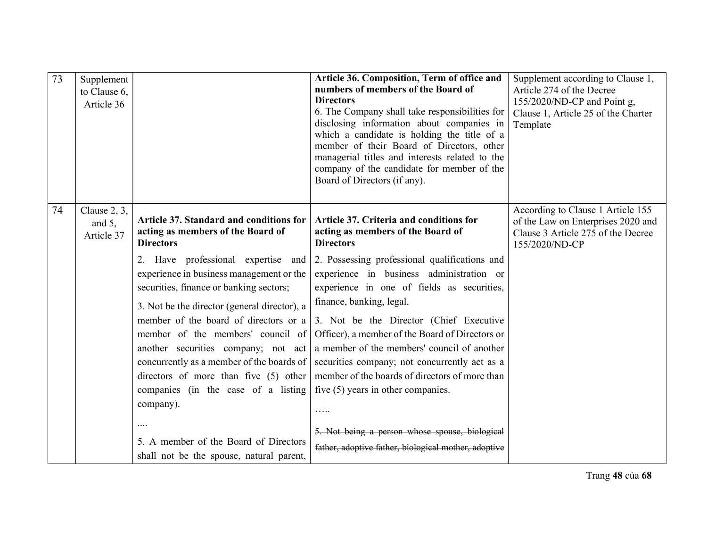| 73 | Supplement<br>to Clause 6,<br>Article 36   |                                                                                                                                                                                                                                                                                                                                                                                                                                                                                                                                                                                                                                       | Article 36. Composition, Term of office and<br>numbers of members of the Board of<br><b>Directors</b><br>6. The Company shall take responsibilities for<br>disclosing information about companies in<br>which a candidate is holding the title of a<br>member of their Board of Directors, other<br>managerial titles and interests related to the<br>company of the candidate for member of the<br>Board of Directors (if any).                                                                                                                                                                                                                                               | Supplement according to Clause 1,<br>Article 274 of the Decree<br>155/2020/NĐ-CP and Point g,<br>Clause 1, Article 25 of the Charter<br>Template |
|----|--------------------------------------------|---------------------------------------------------------------------------------------------------------------------------------------------------------------------------------------------------------------------------------------------------------------------------------------------------------------------------------------------------------------------------------------------------------------------------------------------------------------------------------------------------------------------------------------------------------------------------------------------------------------------------------------|--------------------------------------------------------------------------------------------------------------------------------------------------------------------------------------------------------------------------------------------------------------------------------------------------------------------------------------------------------------------------------------------------------------------------------------------------------------------------------------------------------------------------------------------------------------------------------------------------------------------------------------------------------------------------------|--------------------------------------------------------------------------------------------------------------------------------------------------|
| 74 | Clause $2, 3$ ,<br>and $5$ ,<br>Article 37 | Article 37. Standard and conditions for<br>acting as members of the Board of<br><b>Directors</b><br>2. Have professional expertise and<br>experience in business management or the<br>securities, finance or banking sectors;<br>3. Not be the director (general director), a<br>member of the board of directors or a<br>member of the members' council of<br>another securities company; not act<br>concurrently as a member of the boards of<br>directors of more than five (5) other<br>companies (in the case of a listing<br>company).<br><br>5. A member of the Board of Directors<br>shall not be the spouse, natural parent, | Article 37. Criteria and conditions for<br>acting as members of the Board of<br><b>Directors</b><br>2. Possessing professional qualifications and<br>experience in business administration or<br>experience in one of fields as securities,<br>finance, banking, legal.<br>3. Not be the Director (Chief Executive<br>Officer), a member of the Board of Directors or<br>a member of the members' council of another<br>securities company; not concurrently act as a<br>member of the boards of directors of more than<br>five $(5)$ years in other companies.<br>.<br>5. Not being a person whose spouse, biological<br>father, adoptive father, biological mother, adoptive | According to Clause 1 Article 155<br>of the Law on Enterprises 2020 and<br>Clause 3 Article 275 of the Decree<br>155/2020/NĐ-CP                  |

Trang 48 của 68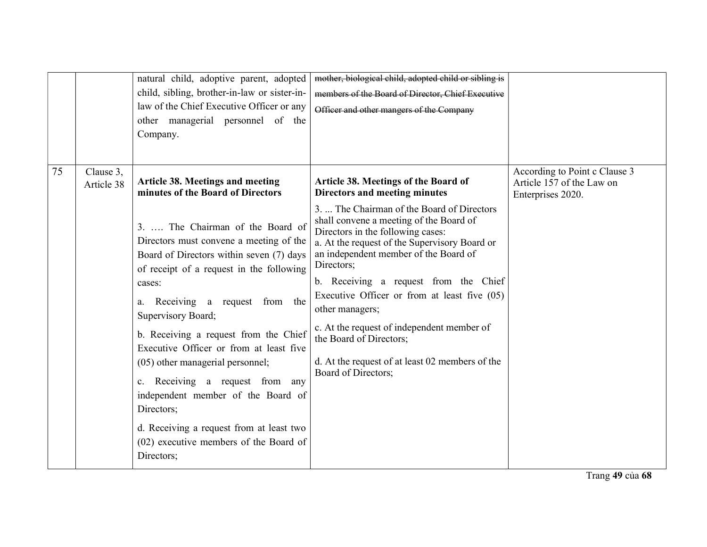|    |                         | natural child, adoptive parent, adopted<br>child, sibling, brother-in-law or sister-in-<br>law of the Chief Executive Officer or any<br>other managerial personnel of the<br>Company.                                                                                                                                                                                                                                                                                                                                                                                                                                                     | mother, biological child, adopted child or sibling is<br>members of the Board of Director, Chief Executive<br>Officer and other mangers of the Company                                                                                                                                                                                                                                                                                                                                                                                                                     |                                                                                 |
|----|-------------------------|-------------------------------------------------------------------------------------------------------------------------------------------------------------------------------------------------------------------------------------------------------------------------------------------------------------------------------------------------------------------------------------------------------------------------------------------------------------------------------------------------------------------------------------------------------------------------------------------------------------------------------------------|----------------------------------------------------------------------------------------------------------------------------------------------------------------------------------------------------------------------------------------------------------------------------------------------------------------------------------------------------------------------------------------------------------------------------------------------------------------------------------------------------------------------------------------------------------------------------|---------------------------------------------------------------------------------|
| 75 | Clause 3,<br>Article 38 | <b>Article 38. Meetings and meeting</b><br>minutes of the Board of Directors<br>3.  The Chairman of the Board of<br>Directors must convene a meeting of the<br>Board of Directors within seven (7) days<br>of receipt of a request in the following<br>cases:<br>a. Receiving a request from the<br>Supervisory Board;<br>b. Receiving a request from the Chief<br>Executive Officer or from at least five<br>(05) other managerial personnel;<br>c. Receiving a request from any<br>independent member of the Board of<br>Directors;<br>d. Receiving a request from at least two<br>(02) executive members of the Board of<br>Directors; | Article 38. Meetings of the Board of<br>Directors and meeting minutes<br>3.  The Chairman of the Board of Directors<br>shall convene a meeting of the Board of<br>Directors in the following cases:<br>a. At the request of the Supervisory Board or<br>an independent member of the Board of<br>Directors;<br>b. Receiving a request from the Chief<br>Executive Officer or from at least five (05)<br>other managers;<br>c. At the request of independent member of<br>the Board of Directors;<br>d. At the request of at least 02 members of the<br>Board of Directors; | According to Point c Clause 3<br>Article 157 of the Law on<br>Enterprises 2020. |

Trang 49 của 68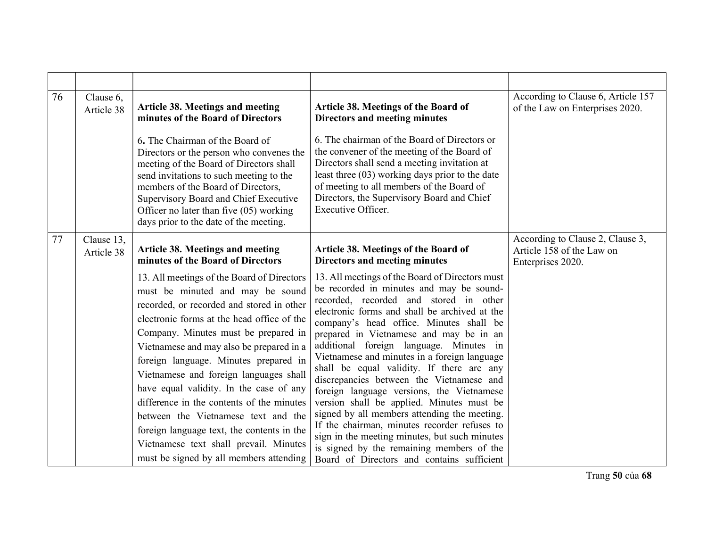| 76 | Clause 6,<br>Article 38  | Article 38. Meetings and meeting<br>minutes of the Board of Directors<br>6. The Chairman of the Board of<br>Directors or the person who convenes the<br>meeting of the Board of Directors shall<br>send invitations to such meeting to the<br>members of the Board of Directors,<br>Supervisory Board and Chief Executive<br>Officer no later than five $(05)$ working                                                                                                                                                                                                                                                                                  | Article 38. Meetings of the Board of<br>Directors and meeting minutes<br>6. The chairman of the Board of Directors or<br>the convener of the meeting of the Board of<br>Directors shall send a meeting invitation at<br>least three (03) working days prior to the date<br>of meeting to all members of the Board of<br>Directors, the Supervisory Board and Chief<br>Executive Officer.                                                                                                                                                                                                                                                                                                                                            | According to Clause 6, Article 157<br>of the Law on Enterprises 2020.              |
|----|--------------------------|---------------------------------------------------------------------------------------------------------------------------------------------------------------------------------------------------------------------------------------------------------------------------------------------------------------------------------------------------------------------------------------------------------------------------------------------------------------------------------------------------------------------------------------------------------------------------------------------------------------------------------------------------------|-------------------------------------------------------------------------------------------------------------------------------------------------------------------------------------------------------------------------------------------------------------------------------------------------------------------------------------------------------------------------------------------------------------------------------------------------------------------------------------------------------------------------------------------------------------------------------------------------------------------------------------------------------------------------------------------------------------------------------------|------------------------------------------------------------------------------------|
| 77 | Clause 13,<br>Article 38 | days prior to the date of the meeting.<br><b>Article 38. Meetings and meeting</b><br>minutes of the Board of Directors<br>13. All meetings of the Board of Directors<br>must be minuted and may be sound<br>recorded, or recorded and stored in other<br>electronic forms at the head office of the<br>Company. Minutes must be prepared in<br>Vietnamese and may also be prepared in a<br>foreign language. Minutes prepared in<br>Vietnamese and foreign languages shall<br>have equal validity. In the case of any<br>difference in the contents of the minutes<br>between the Vietnamese text and the<br>foreign language text, the contents in the | Article 38. Meetings of the Board of<br>Directors and meeting minutes<br>13. All meetings of the Board of Directors must<br>be recorded in minutes and may be sound-<br>recorded, recorded and stored in other<br>electronic forms and shall be archived at the<br>company's head office. Minutes shall be<br>prepared in Vietnamese and may be in an<br>additional foreign language. Minutes in<br>Vietnamese and minutes in a foreign language<br>shall be equal validity. If there are any<br>discrepancies between the Vietnamese and<br>foreign language versions, the Vietnamese<br>version shall be applied. Minutes must be<br>signed by all members attending the meeting.<br>If the chairman, minutes recorder refuses to | According to Clause 2, Clause 3,<br>Article 158 of the Law on<br>Enterprises 2020. |
|    |                          | Vietnamese text shall prevail. Minutes<br>must be signed by all members attending                                                                                                                                                                                                                                                                                                                                                                                                                                                                                                                                                                       | sign in the meeting minutes, but such minutes<br>is signed by the remaining members of the<br>Board of Directors and contains sufficient                                                                                                                                                                                                                                                                                                                                                                                                                                                                                                                                                                                            |                                                                                    |

Trang 50 của 68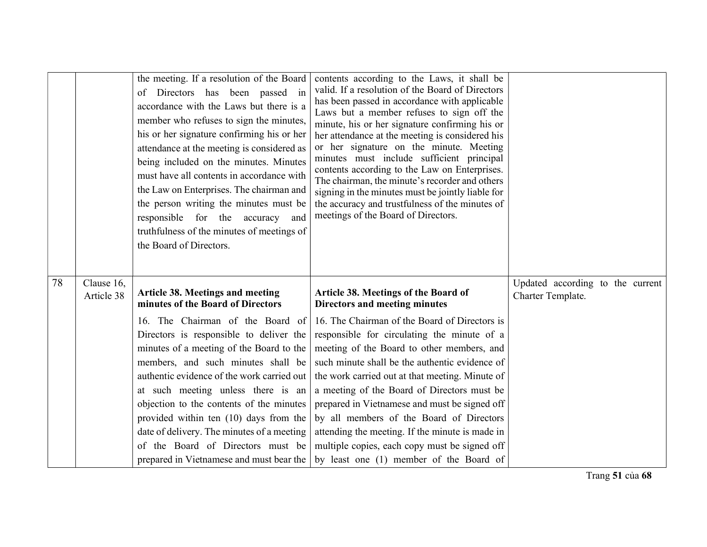|    |                          | the meeting. If a resolution of the Board<br>of Directors has been passed in<br>accordance with the Laws but there is a<br>member who refuses to sign the minutes,<br>his or her signature confirming his or her<br>attendance at the meeting is considered as<br>being included on the minutes. Minutes<br>must have all contents in accordance with<br>the Law on Enterprises. The chairman and<br>the person writing the minutes must be<br>responsible for the accuracy<br>and<br>truthfulness of the minutes of meetings of<br>the Board of Directors. | contents according to the Laws, it shall be<br>valid. If a resolution of the Board of Directors<br>has been passed in accordance with applicable<br>Laws but a member refuses to sign off the<br>minute, his or her signature confirming his or<br>her attendance at the meeting is considered his<br>or her signature on the minute. Meeting<br>minutes must include sufficient principal<br>contents according to the Law on Enterprises.<br>The chairman, the minute's recorder and others<br>signing in the minutes must be jointly liable for<br>the accuracy and trustfulness of the minutes of<br>meetings of the Board of Directors. |                                                       |
|----|--------------------------|-------------------------------------------------------------------------------------------------------------------------------------------------------------------------------------------------------------------------------------------------------------------------------------------------------------------------------------------------------------------------------------------------------------------------------------------------------------------------------------------------------------------------------------------------------------|----------------------------------------------------------------------------------------------------------------------------------------------------------------------------------------------------------------------------------------------------------------------------------------------------------------------------------------------------------------------------------------------------------------------------------------------------------------------------------------------------------------------------------------------------------------------------------------------------------------------------------------------|-------------------------------------------------------|
| 78 | Clause 16,<br>Article 38 | Article 38. Meetings and meeting<br>minutes of the Board of Directors                                                                                                                                                                                                                                                                                                                                                                                                                                                                                       | Article 38. Meetings of the Board of<br>Directors and meeting minutes                                                                                                                                                                                                                                                                                                                                                                                                                                                                                                                                                                        | Updated according to the current<br>Charter Template. |
|    |                          | 16. The Chairman of the Board of<br>Directors is responsible to deliver the<br>minutes of a meeting of the Board to the<br>members, and such minutes shall be<br>authentic evidence of the work carried out<br>at such meeting unless there is an<br>objection to the contents of the minutes<br>provided within ten (10) days from the<br>date of delivery. The minutes of a meeting<br>of the Board of Directors must be<br>prepared in Vietnamese and must bear the                                                                                      | 16. The Chairman of the Board of Directors is<br>responsible for circulating the minute of a<br>meeting of the Board to other members, and<br>such minute shall be the authentic evidence of<br>the work carried out at that meeting. Minute of<br>a meeting of the Board of Directors must be<br>prepared in Vietnamese and must be signed off<br>by all members of the Board of Directors<br>attending the meeting. If the minute is made in<br>multiple copies, each copy must be signed off<br>by least one (1) member of the Board of                                                                                                   |                                                       |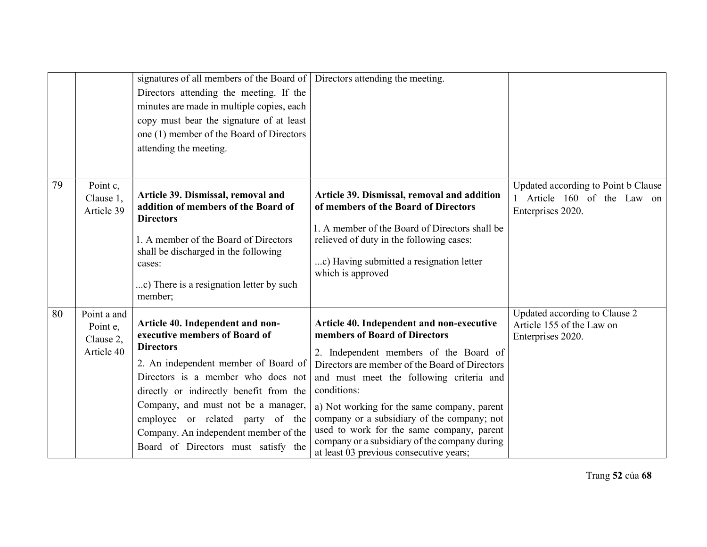|    |                                                    | signatures of all members of the Board of Directors attending the meeting.<br>Directors attending the meeting. If the<br>minutes are made in multiple copies, each<br>copy must bear the signature of at least<br>one (1) member of the Board of Directors<br>attending the meeting.                                                                                      |                                                                                                                                                                                                                                                                                                                                                                                                                                                                          |                                                                                         |
|----|----------------------------------------------------|---------------------------------------------------------------------------------------------------------------------------------------------------------------------------------------------------------------------------------------------------------------------------------------------------------------------------------------------------------------------------|--------------------------------------------------------------------------------------------------------------------------------------------------------------------------------------------------------------------------------------------------------------------------------------------------------------------------------------------------------------------------------------------------------------------------------------------------------------------------|-----------------------------------------------------------------------------------------|
| 79 | Point c,<br>Clause 1,<br>Article 39                | Article 39. Dismissal, removal and<br>addition of members of the Board of<br><b>Directors</b><br>1. A member of the Board of Directors<br>shall be discharged in the following<br>cases:<br>c) There is a resignation letter by such<br>member;                                                                                                                           | Article 39. Dismissal, removal and addition<br>of members of the Board of Directors<br>1. A member of the Board of Directors shall be<br>relieved of duty in the following cases:<br>c) Having submitted a resignation letter<br>which is approved                                                                                                                                                                                                                       | Updated according to Point b Clause<br>1 Article 160 of the Law on<br>Enterprises 2020. |
| 80 | Point a and<br>Point e,<br>Clause 2,<br>Article 40 | Article 40. Independent and non-<br>executive members of Board of<br><b>Directors</b><br>2. An independent member of Board of<br>Directors is a member who does not<br>directly or indirectly benefit from the<br>Company, and must not be a manager,<br>employee or related party of the<br>Company. An independent member of the<br>Board of Directors must satisfy the | Article 40. Independent and non-executive<br>members of Board of Directors<br>2. Independent members of the Board of<br>Directors are member of the Board of Directors<br>and must meet the following criteria and<br>conditions:<br>a) Not working for the same company, parent<br>company or a subsidiary of the company; not<br>used to work for the same company, parent<br>company or a subsidiary of the company during<br>at least 03 previous consecutive years; | Updated according to Clause 2<br>Article 155 of the Law on<br>Enterprises 2020.         |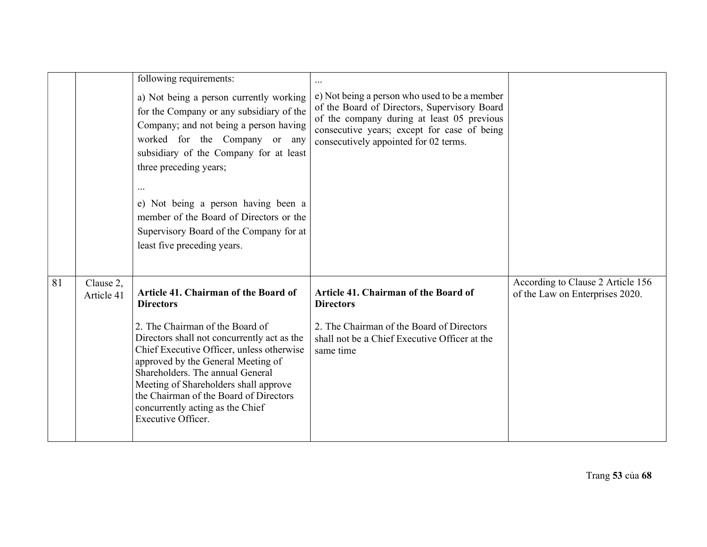|    |                         | following requirements:                                                                                                                                                                                                                                                                                                                                                                                        | $\cdots$                                                                                                                                                                                                                            |                                                                      |
|----|-------------------------|----------------------------------------------------------------------------------------------------------------------------------------------------------------------------------------------------------------------------------------------------------------------------------------------------------------------------------------------------------------------------------------------------------------|-------------------------------------------------------------------------------------------------------------------------------------------------------------------------------------------------------------------------------------|----------------------------------------------------------------------|
|    |                         | a) Not being a person currently working<br>for the Company or any subsidiary of the<br>Company; and not being a person having<br>worked for the Company or any<br>subsidiary of the Company for at least<br>three preceding years;<br>$\cdots$<br>e) Not being a person having been a<br>member of the Board of Directors or the<br>Supervisory Board of the Company for at<br>least five preceding years.     | e) Not being a person who used to be a member<br>of the Board of Directors, Supervisory Board<br>of the company during at least 05 previous<br>consecutive years; except for case of being<br>consecutively appointed for 02 terms. |                                                                      |
| 81 | Clause 2,<br>Article 41 | Article 41. Chairman of the Board of<br><b>Directors</b><br>2. The Chairman of the Board of<br>Directors shall not concurrently act as the<br>Chief Executive Officer, unless otherwise<br>approved by the General Meeting of<br>Shareholders. The annual General<br>Meeting of Shareholders shall approve<br>the Chairman of the Board of Directors<br>concurrently acting as the Chief<br>Executive Officer. | Article 41. Chairman of the Board of<br><b>Directors</b><br>2. The Chairman of the Board of Directors<br>shall not be a Chief Executive Officer at the<br>same time                                                                 | According to Clause 2 Article 156<br>of the Law on Enterprises 2020. |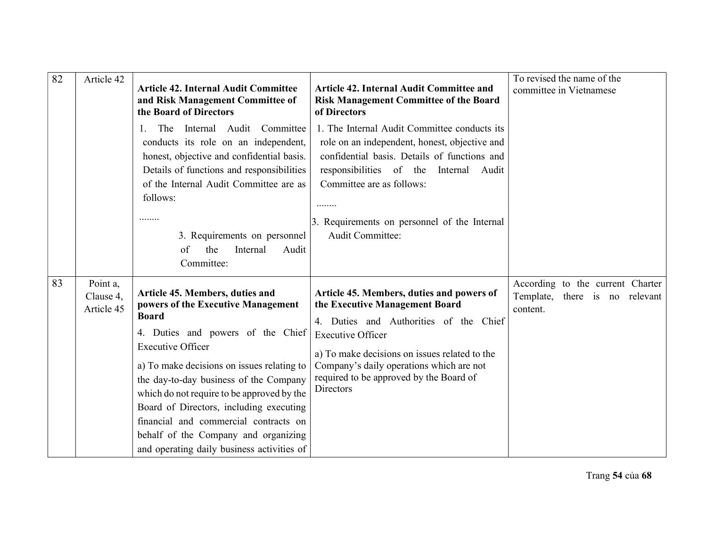| 82 | Article 42                          | <b>Article 42. Internal Audit Committee</b><br>and Risk Management Committee of<br>the Board of Directors                                                                                                                                                                                                                                                                                                                                                              | <b>Article 42. Internal Audit Committee and</b><br><b>Risk Management Committee of the Board</b><br>of Directors                                                                                                                                                                                       | To revised the name of the<br>committee in Vietnamese                          |
|----|-------------------------------------|------------------------------------------------------------------------------------------------------------------------------------------------------------------------------------------------------------------------------------------------------------------------------------------------------------------------------------------------------------------------------------------------------------------------------------------------------------------------|--------------------------------------------------------------------------------------------------------------------------------------------------------------------------------------------------------------------------------------------------------------------------------------------------------|--------------------------------------------------------------------------------|
|    |                                     | Internal Audit Committee<br>1.<br>The<br>conducts its role on an independent,<br>honest, objective and confidential basis.<br>Details of functions and responsibilities<br>of the Internal Audit Committee are as<br>follows:<br><br>3. Requirements on personnel<br>$\sigma$<br>the<br>Internal<br>Audit<br>Committee:                                                                                                                                                | 1. The Internal Audit Committee conducts its<br>role on an independent, honest, objective and<br>confidential basis. Details of functions and<br>responsibilities of the Internal Audit<br>Committee are as follows:<br><br>3. Requirements on personnel of the Internal<br><b>Audit Committee:</b>    |                                                                                |
| 83 | Point a,<br>Clause 4,<br>Article 45 | Article 45. Members, duties and<br>powers of the Executive Management<br><b>Board</b><br>4. Duties and powers of the Chief<br><b>Executive Officer</b><br>a) To make decisions on issues relating to<br>the day-to-day business of the Company<br>which do not require to be approved by the<br>Board of Directors, including executing<br>financial and commercial contracts on<br>behalf of the Company and organizing<br>and operating daily business activities of | Article 45. Members, duties and powers of<br>the Executive Management Board<br>4. Duties and Authorities of the Chief<br><b>Executive Officer</b><br>a) To make decisions on issues related to the<br>Company's daily operations which are not<br>required to be approved by the Board of<br>Directors | According to the current Charter<br>Template, there is no relevant<br>content. |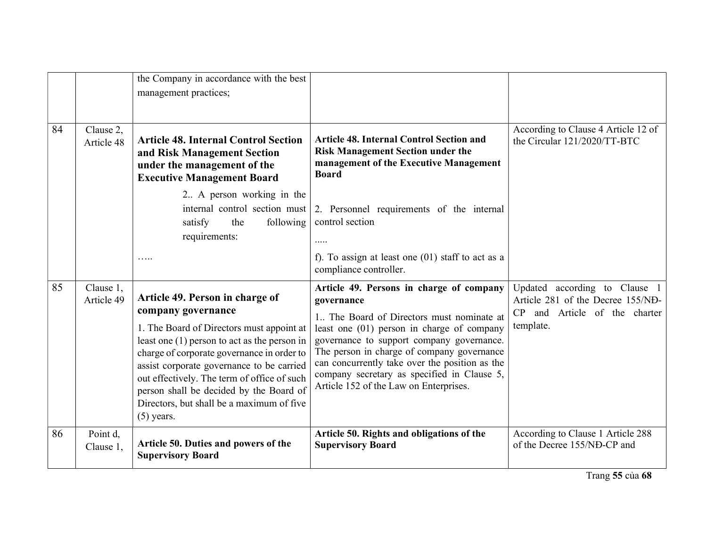|    |                         | the Company in accordance with the best<br>management practices;                                                                                                                                                                                                                                                                                                                                       |                                                                                                                                                                                                                                                                                                                                                                                            |                                                                                                                     |
|----|-------------------------|--------------------------------------------------------------------------------------------------------------------------------------------------------------------------------------------------------------------------------------------------------------------------------------------------------------------------------------------------------------------------------------------------------|--------------------------------------------------------------------------------------------------------------------------------------------------------------------------------------------------------------------------------------------------------------------------------------------------------------------------------------------------------------------------------------------|---------------------------------------------------------------------------------------------------------------------|
| 84 | Clause 2,<br>Article 48 | <b>Article 48. Internal Control Section</b><br>and Risk Management Section<br>under the management of the<br><b>Executive Management Board</b>                                                                                                                                                                                                                                                         | <b>Article 48. Internal Control Section and</b><br><b>Risk Management Section under the</b><br>management of the Executive Management<br><b>Board</b>                                                                                                                                                                                                                                      | According to Clause 4 Article 12 of<br>the Circular 121/2020/TT-BTC                                                 |
|    |                         | 2. A person working in the<br>internal control section must<br>following<br>satisfy<br>the<br>requirements:<br>.                                                                                                                                                                                                                                                                                       | 2. Personnel requirements of the internal<br>control section<br>$\cdots$<br>f). To assign at least one $(01)$ staff to act as a<br>compliance controller.                                                                                                                                                                                                                                  |                                                                                                                     |
| 85 | Clause 1,<br>Article 49 | Article 49. Person in charge of<br>company governance<br>1. The Board of Directors must appoint at<br>least one $(1)$ person to act as the person in<br>charge of corporate governance in order to<br>assist corporate governance to be carried<br>out effectively. The term of office of such<br>person shall be decided by the Board of<br>Directors, but shall be a maximum of five<br>$(5)$ years. | Article 49. Persons in charge of company<br>governance<br>1. The Board of Directors must nominate at<br>least one $(01)$ person in charge of company<br>governance to support company governance.<br>The person in charge of company governance<br>can concurrently take over the position as the<br>company secretary as specified in Clause 5,<br>Article 152 of the Law on Enterprises. | Updated according to Clause 1<br>Article 281 of the Decree 155/NĐ-<br>CP<br>and Article of the charter<br>template. |
| 86 | Point d,<br>Clause 1,   | Article 50. Duties and powers of the<br><b>Supervisory Board</b>                                                                                                                                                                                                                                                                                                                                       | Article 50. Rights and obligations of the<br><b>Supervisory Board</b>                                                                                                                                                                                                                                                                                                                      | According to Clause 1 Article 288<br>of the Decree 155/NĐ-CP and                                                    |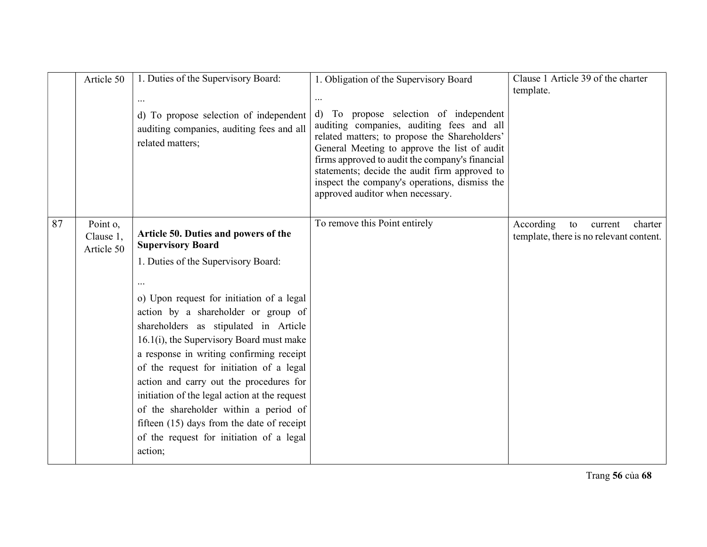|    | Article 50                          | 1. Duties of the Supervisory Board:<br>$\cdots$<br>d) To propose selection of independent<br>auditing companies, auditing fees and all<br>related matters;                                                                                                                                                                                                                                                                                                                                                                                                                                                               | 1. Obligation of the Supervisory Board<br>$\cdots$<br>d) To propose selection of independent<br>auditing companies, auditing fees and all<br>related matters; to propose the Shareholders'<br>General Meeting to approve the list of audit<br>firms approved to audit the company's financial<br>statements; decide the audit firm approved to<br>inspect the company's operations, dismiss the<br>approved auditor when necessary. | Clause 1 Article 39 of the charter<br>template.                                  |
|----|-------------------------------------|--------------------------------------------------------------------------------------------------------------------------------------------------------------------------------------------------------------------------------------------------------------------------------------------------------------------------------------------------------------------------------------------------------------------------------------------------------------------------------------------------------------------------------------------------------------------------------------------------------------------------|-------------------------------------------------------------------------------------------------------------------------------------------------------------------------------------------------------------------------------------------------------------------------------------------------------------------------------------------------------------------------------------------------------------------------------------|----------------------------------------------------------------------------------|
| 87 | Point o,<br>Clause 1,<br>Article 50 | Article 50. Duties and powers of the<br><b>Supervisory Board</b><br>1. Duties of the Supervisory Board:<br><br>o) Upon request for initiation of a legal<br>action by a shareholder or group of<br>shareholders as stipulated in Article<br>16.1(i), the Supervisory Board must make<br>a response in writing confirming receipt<br>of the request for initiation of a legal<br>action and carry out the procedures for<br>initiation of the legal action at the request<br>of the shareholder within a period of<br>fifteen $(15)$ days from the date of receipt<br>of the request for initiation of a legal<br>action; | To remove this Point entirely                                                                                                                                                                                                                                                                                                                                                                                                       | According<br>to<br>charter<br>current<br>template, there is no relevant content. |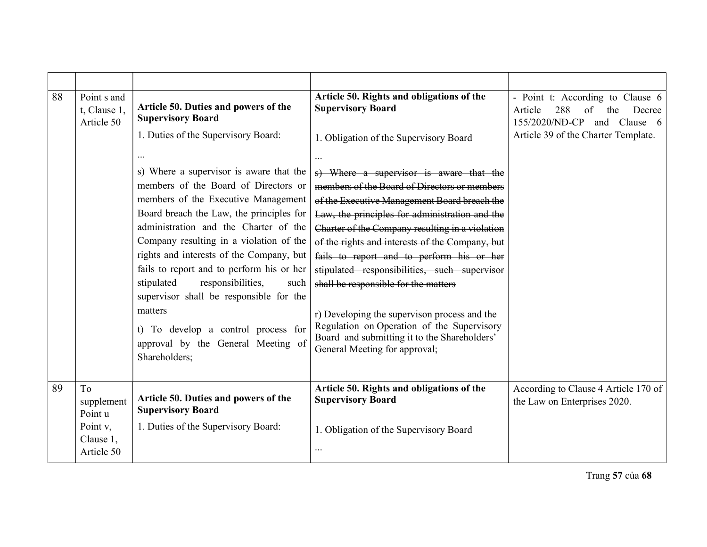| 88 | Point s and<br>t, Clause 1,<br>Article 50 | Article 50. Duties and powers of the<br><b>Supervisory Board</b> | Article 50. Rights and obligations of the<br><b>Supervisory Board</b>         | - Point t: According to Clause 6<br>Article<br>288<br>of<br>the<br>Decree<br>155/2020/NĐ-CP<br>and Clause 6 |
|----|-------------------------------------------|------------------------------------------------------------------|-------------------------------------------------------------------------------|-------------------------------------------------------------------------------------------------------------|
|    |                                           | 1. Duties of the Supervisory Board:                              | 1. Obligation of the Supervisory Board                                        | Article 39 of the Charter Template.                                                                         |
|    |                                           | $\cdots$                                                         |                                                                               |                                                                                                             |
|    |                                           | s) Where a supervisor is aware that the                          | s) Where a supervisor is aware that the                                       |                                                                                                             |
|    |                                           | members of the Board of Directors or                             | members of the Board of Directors or members                                  |                                                                                                             |
|    |                                           | members of the Executive Management                              | of the Executive Management Board breach the                                  |                                                                                                             |
|    |                                           | Board breach the Law, the principles for                         | Law, the principles for administration and the                                |                                                                                                             |
|    |                                           | administration and the Charter of the                            | Charter of the Company resulting in a violation                               |                                                                                                             |
|    |                                           | Company resulting in a violation of the                          | of the rights and interests of the Company, but                               |                                                                                                             |
|    |                                           | rights and interests of the Company, but                         | fails to report and to perform his or her                                     |                                                                                                             |
|    |                                           | fails to report and to perform his or her                        | stipulated responsibilities, such supervisor                                  |                                                                                                             |
|    |                                           | responsibilities,<br>stipulated<br>such                          | shall be responsible for the matters                                          |                                                                                                             |
|    |                                           | supervisor shall be responsible for the                          |                                                                               |                                                                                                             |
|    |                                           | matters                                                          | r) Developing the supervison process and the                                  |                                                                                                             |
|    |                                           | t) To develop a control process for                              | Regulation on Operation of the Supervisory                                    |                                                                                                             |
|    |                                           | approval by the General Meeting of                               | Board and submitting it to the Shareholders'<br>General Meeting for approval; |                                                                                                             |
|    |                                           | Shareholders;                                                    |                                                                               |                                                                                                             |
|    |                                           |                                                                  |                                                                               |                                                                                                             |
| 89 | To<br>supplement                          | Article 50. Duties and powers of the                             | Article 50. Rights and obligations of the<br><b>Supervisory Board</b>         | According to Clause 4 Article 170 of<br>the Law on Enterprises 2020.                                        |
|    | Point u                                   | <b>Supervisory Board</b>                                         |                                                                               |                                                                                                             |
|    | Point v,<br>Clause 1,                     | 1. Duties of the Supervisory Board:                              | 1. Obligation of the Supervisory Board                                        |                                                                                                             |
|    | Article 50                                |                                                                  | $\cdots$                                                                      |                                                                                                             |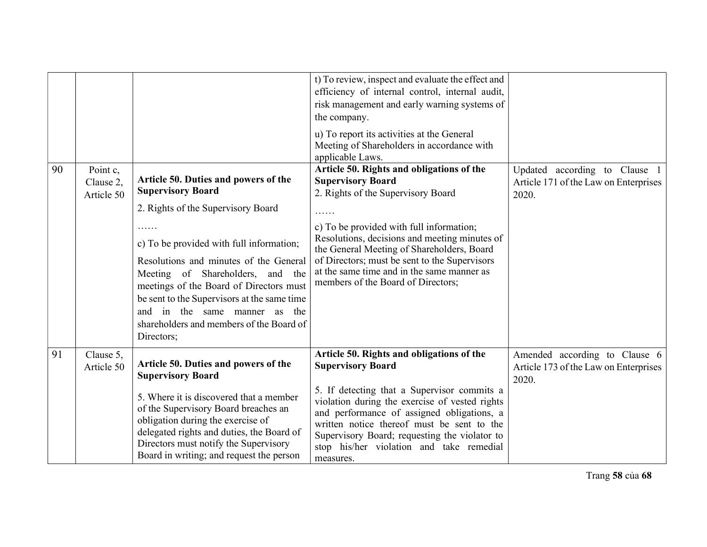Trang 58 của 68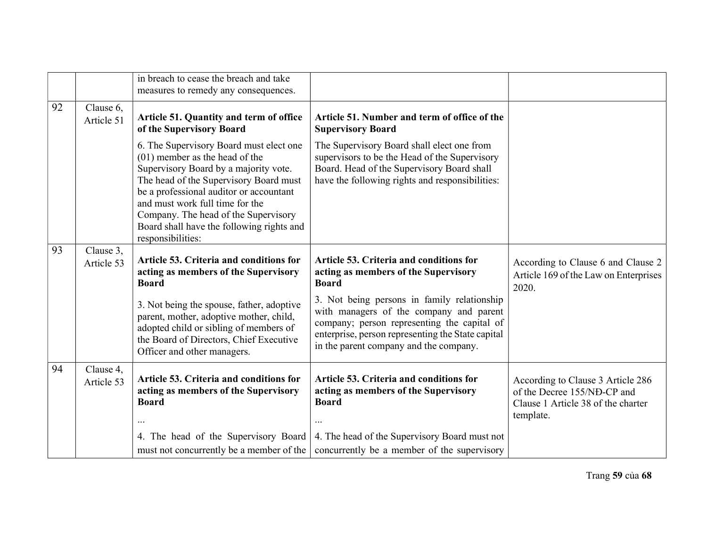|    |                         | in breach to cease the breach and take<br>measures to remedy any consequences.                                                                                                                                                                                                                                                                         |                                                                                                                                                                                                                                      |                                                                                                                     |
|----|-------------------------|--------------------------------------------------------------------------------------------------------------------------------------------------------------------------------------------------------------------------------------------------------------------------------------------------------------------------------------------------------|--------------------------------------------------------------------------------------------------------------------------------------------------------------------------------------------------------------------------------------|---------------------------------------------------------------------------------------------------------------------|
| 92 | Clause 6,<br>Article 51 | Article 51. Quantity and term of office<br>of the Supervisory Board                                                                                                                                                                                                                                                                                    | Article 51. Number and term of office of the<br><b>Supervisory Board</b>                                                                                                                                                             |                                                                                                                     |
|    |                         | 6. The Supervisory Board must elect one<br>$(01)$ member as the head of the<br>Supervisory Board by a majority vote.<br>The head of the Supervisory Board must<br>be a professional auditor or accountant<br>and must work full time for the<br>Company. The head of the Supervisory<br>Board shall have the following rights and<br>responsibilities: | The Supervisory Board shall elect one from<br>supervisors to be the Head of the Supervisory<br>Board. Head of the Supervisory Board shall<br>have the following rights and responsibilities:                                         |                                                                                                                     |
| 93 | Clause 3,<br>Article 53 | Article 53. Criteria and conditions for<br>acting as members of the Supervisory<br><b>Board</b>                                                                                                                                                                                                                                                        | Article 53. Criteria and conditions for<br>acting as members of the Supervisory<br><b>Board</b>                                                                                                                                      | According to Clause 6 and Clause 2<br>Article 169 of the Law on Enterprises<br>2020.                                |
|    |                         | 3. Not being the spouse, father, adoptive<br>parent, mother, adoptive mother, child,<br>adopted child or sibling of members of<br>the Board of Directors, Chief Executive<br>Officer and other managers.                                                                                                                                               | 3. Not being persons in family relationship<br>with managers of the company and parent<br>company; person representing the capital of<br>enterprise, person representing the State capital<br>in the parent company and the company. |                                                                                                                     |
| 94 | Clause 4,<br>Article 53 | Article 53. Criteria and conditions for<br>acting as members of the Supervisory<br><b>Board</b>                                                                                                                                                                                                                                                        | <b>Article 53. Criteria and conditions for</b><br>acting as members of the Supervisory<br><b>Board</b>                                                                                                                               | According to Clause 3 Article 286<br>of the Decree 155/NĐ-CP and<br>Clause 1 Article 38 of the charter<br>template. |
|    |                         | 4. The head of the Supervisory Board<br>must not concurrently be a member of the                                                                                                                                                                                                                                                                       | 4. The head of the Supervisory Board must not<br>concurrently be a member of the supervisory                                                                                                                                         |                                                                                                                     |

Trang 59 của 68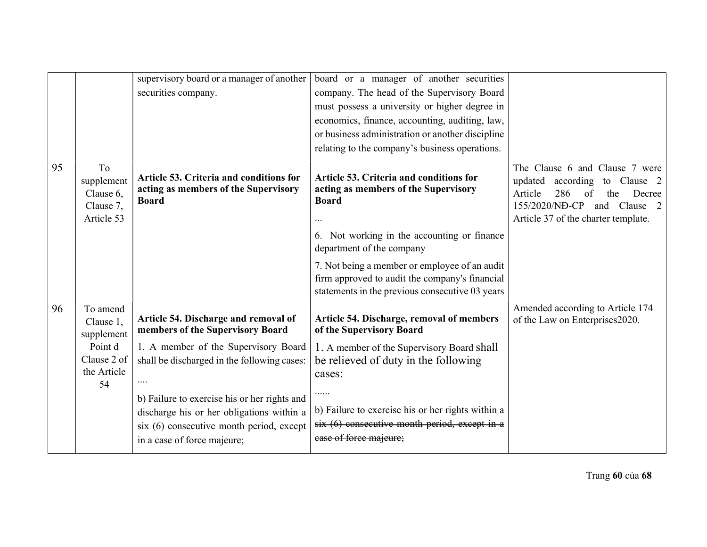|    |                                                                                    | supervisory board or a manager of another<br>securities company.                                                                                                                                                                                                                                                                             | board or a manager of another securities<br>company. The head of the Supervisory Board<br>must possess a university or higher degree in<br>economics, finance, accounting, auditing, law,<br>or business administration or another discipline<br>relating to the company's business operations.                                                                 |                                                                                                                                                                                                         |
|----|------------------------------------------------------------------------------------|----------------------------------------------------------------------------------------------------------------------------------------------------------------------------------------------------------------------------------------------------------------------------------------------------------------------------------------------|-----------------------------------------------------------------------------------------------------------------------------------------------------------------------------------------------------------------------------------------------------------------------------------------------------------------------------------------------------------------|---------------------------------------------------------------------------------------------------------------------------------------------------------------------------------------------------------|
| 95 | To<br>supplement<br>Clause 6,<br>Clause 7,<br>Article 53                           | Article 53. Criteria and conditions for<br>acting as members of the Supervisory<br><b>Board</b>                                                                                                                                                                                                                                              | <b>Article 53. Criteria and conditions for</b><br>acting as members of the Supervisory<br><b>Board</b><br>$\cdot \cdot \cdot$<br>6. Not working in the accounting or finance<br>department of the company<br>7. Not being a member or employee of an audit<br>firm approved to audit the company's financial<br>statements in the previous consecutive 03 years | The Clause 6 and Clause 7 were<br>updated according to Clause 2<br>$\sigma$ f<br>Article<br>286<br>the<br>Decree<br>155/2020/NĐ-CP<br>and Clause<br><sup>2</sup><br>Article 37 of the charter template. |
| 96 | To amend<br>Clause 1,<br>supplement<br>Point d<br>Clause 2 of<br>the Article<br>54 | Article 54. Discharge and removal of<br>members of the Supervisory Board<br>1. A member of the Supervisory Board<br>shall be discharged in the following cases:<br>b) Failure to exercise his or her rights and<br>discharge his or her obligations within a<br>$s$ ix $(6)$ consecutive month period, except<br>in a case of force majeure; | Article 54. Discharge, removal of members<br>of the Supervisory Board<br>1. A member of the Supervisory Board shall<br>be relieved of duty in the following<br>cases:<br>b) Failure to exercise his or her rights within a<br>$s$ ix $(6)$ consecutive month period, except in a<br>case of force majeure;                                                      | Amended according to Article 174<br>of the Law on Enterprises2020.                                                                                                                                      |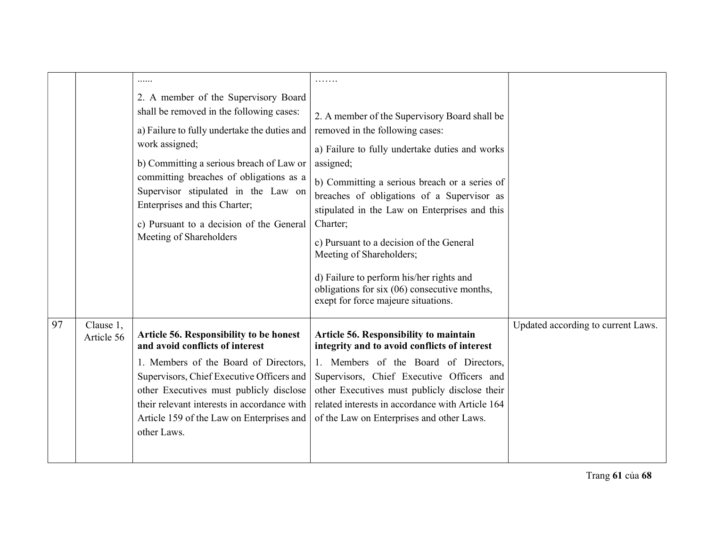|    |                         |                                                                                                                                                                                                                                                                                                                                                                                          | .                                                                                                                                                                                                                                                                                                                                                                                                                                                                                                                      |                                    |
|----|-------------------------|------------------------------------------------------------------------------------------------------------------------------------------------------------------------------------------------------------------------------------------------------------------------------------------------------------------------------------------------------------------------------------------|------------------------------------------------------------------------------------------------------------------------------------------------------------------------------------------------------------------------------------------------------------------------------------------------------------------------------------------------------------------------------------------------------------------------------------------------------------------------------------------------------------------------|------------------------------------|
|    |                         | 2. A member of the Supervisory Board<br>shall be removed in the following cases:<br>a) Failure to fully undertake the duties and<br>work assigned;<br>b) Committing a serious breach of Law or<br>committing breaches of obligations as a<br>Supervisor stipulated in the Law on<br>Enterprises and this Charter;<br>c) Pursuant to a decision of the General<br>Meeting of Shareholders | 2. A member of the Supervisory Board shall be<br>removed in the following cases:<br>a) Failure to fully undertake duties and works<br>assigned;<br>b) Committing a serious breach or a series of<br>breaches of obligations of a Supervisor as<br>stipulated in the Law on Enterprises and this<br>Charter;<br>c) Pursuant to a decision of the General<br>Meeting of Shareholders;<br>d) Failure to perform his/her rights and<br>obligations for six (06) consecutive months,<br>exept for force majeure situations. |                                    |
| 97 | Clause 1,<br>Article 56 | Article 56. Responsibility to be honest<br>and avoid conflicts of interest<br>1. Members of the Board of Directors,<br>Supervisors, Chief Executive Officers and<br>other Executives must publicly disclose<br>their relevant interests in accordance with<br>Article 159 of the Law on Enterprises and<br>other Laws.                                                                   | Article 56. Responsibility to maintain<br>integrity and to avoid conflicts of interest<br>1. Members of the Board of Directors,<br>Supervisors, Chief Executive Officers and<br>other Executives must publicly disclose their<br>related interests in accordance with Article 164<br>of the Law on Enterprises and other Laws.                                                                                                                                                                                         | Updated according to current Laws. |

Trang 61 của 68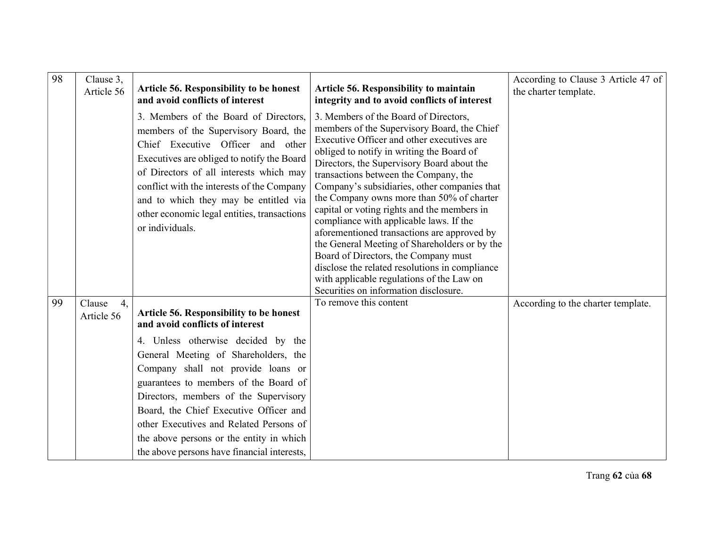| 98 | Clause 3,<br>Article 56    | Article 56. Responsibility to be honest<br>and avoid conflicts of interest                                                                                                                                                                                                                                                                                                                                                                                       | Article 56. Responsibility to maintain<br>integrity and to avoid conflicts of interest                                                                                                                                                                                                                                                                                                                                                                                                                                                                                                                                                                                                                                                        | According to Clause 3 Article 47 of<br>the charter template. |
|----|----------------------------|------------------------------------------------------------------------------------------------------------------------------------------------------------------------------------------------------------------------------------------------------------------------------------------------------------------------------------------------------------------------------------------------------------------------------------------------------------------|-----------------------------------------------------------------------------------------------------------------------------------------------------------------------------------------------------------------------------------------------------------------------------------------------------------------------------------------------------------------------------------------------------------------------------------------------------------------------------------------------------------------------------------------------------------------------------------------------------------------------------------------------------------------------------------------------------------------------------------------------|--------------------------------------------------------------|
|    |                            | 3. Members of the Board of Directors,<br>members of the Supervisory Board, the<br>Chief Executive Officer and other<br>Executives are obliged to notify the Board<br>of Directors of all interests which may<br>conflict with the interests of the Company<br>and to which they may be entitled via<br>other economic legal entities, transactions<br>or individuals.                                                                                            | 3. Members of the Board of Directors,<br>members of the Supervisory Board, the Chief<br>Executive Officer and other executives are<br>obliged to notify in writing the Board of<br>Directors, the Supervisory Board about the<br>transactions between the Company, the<br>Company's subsidiaries, other companies that<br>the Company owns more than 50% of charter<br>capital or voting rights and the members in<br>compliance with applicable laws. If the<br>aforementioned transactions are approved by<br>the General Meeting of Shareholders or by the<br>Board of Directors, the Company must<br>disclose the related resolutions in compliance<br>with applicable regulations of the Law on<br>Securities on information disclosure. |                                                              |
| 99 | Clause<br>4,<br>Article 56 | Article 56. Responsibility to be honest<br>and avoid conflicts of interest<br>4. Unless otherwise decided by the<br>General Meeting of Shareholders, the<br>Company shall not provide loans or<br>guarantees to members of the Board of<br>Directors, members of the Supervisory<br>Board, the Chief Executive Officer and<br>other Executives and Related Persons of<br>the above persons or the entity in which<br>the above persons have financial interests, | To remove this content                                                                                                                                                                                                                                                                                                                                                                                                                                                                                                                                                                                                                                                                                                                        | According to the charter template.                           |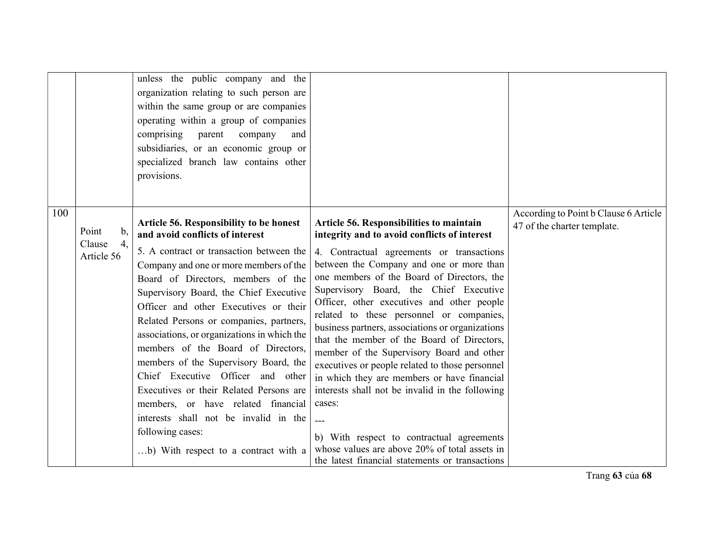|     |                                                                  | unless the public company and the<br>organization relating to such person are<br>within the same group or are companies<br>operating within a group of companies<br>comprising<br>company<br>parent<br>and<br>subsidiaries, or an economic group or<br>specialized branch law contains other<br>provisions.                                                                                                                                                                                                                                                                                                                                                                                   |                                                                                                                                                                                                                                                                                                                                                                                                                                                                                                                                                                                                                                                                                                                                                                                                                                           |                                                                      |
|-----|------------------------------------------------------------------|-----------------------------------------------------------------------------------------------------------------------------------------------------------------------------------------------------------------------------------------------------------------------------------------------------------------------------------------------------------------------------------------------------------------------------------------------------------------------------------------------------------------------------------------------------------------------------------------------------------------------------------------------------------------------------------------------|-------------------------------------------------------------------------------------------------------------------------------------------------------------------------------------------------------------------------------------------------------------------------------------------------------------------------------------------------------------------------------------------------------------------------------------------------------------------------------------------------------------------------------------------------------------------------------------------------------------------------------------------------------------------------------------------------------------------------------------------------------------------------------------------------------------------------------------------|----------------------------------------------------------------------|
| 100 | Point<br>$\mathbf{b},$<br>$\overline{4}$<br>Clause<br>Article 56 | Article 56. Responsibility to be honest<br>and avoid conflicts of interest<br>5. A contract or transaction between the<br>Company and one or more members of the<br>Board of Directors, members of the<br>Supervisory Board, the Chief Executive<br>Officer and other Executives or their<br>Related Persons or companies, partners,<br>associations, or organizations in which the<br>members of the Board of Directors,<br>members of the Supervisory Board, the<br>Chief Executive Officer and other<br>Executives or their Related Persons are<br>members, or have related financial<br>interests shall not be invalid in the<br>following cases:<br>b) With respect to a contract with a | <b>Article 56. Responsibilities to maintain</b><br>integrity and to avoid conflicts of interest<br>4. Contractual agreements or transactions<br>between the Company and one or more than<br>one members of the Board of Directors, the<br>Supervisory Board, the Chief Executive<br>Officer, other executives and other people<br>related to these personnel or companies,<br>business partners, associations or organizations<br>that the member of the Board of Directors,<br>member of the Supervisory Board and other<br>executives or people related to those personnel<br>in which they are members or have financial<br>interests shall not be invalid in the following<br>cases:<br>b) With respect to contractual agreements<br>whose values are above 20% of total assets in<br>the latest financial statements or transactions | According to Point b Clause 6 Article<br>47 of the charter template. |

Trang 63 của 68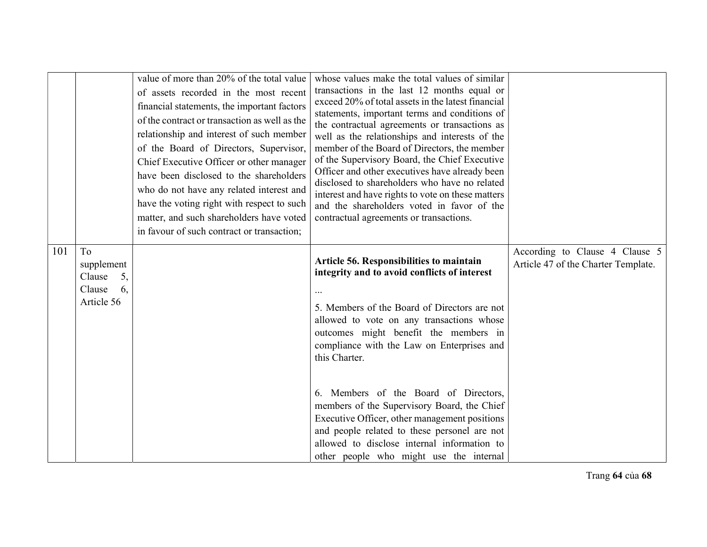|     |                                                                | value of more than 20% of the total value<br>of assets recorded in the most recent<br>financial statements, the important factors<br>of the contract or transaction as well as the<br>relationship and interest of such member<br>of the Board of Directors, Supervisor,<br>Chief Executive Officer or other manager<br>have been disclosed to the shareholders<br>who do not have any related interest and<br>have the voting right with respect to such<br>matter, and such shareholders have voted<br>in favour of such contract or transaction; | whose values make the total values of similar<br>transactions in the last 12 months equal or<br>exceed 20% of total assets in the latest financial<br>statements, important terms and conditions of<br>the contractual agreements or transactions as<br>well as the relationships and interests of the<br>member of the Board of Directors, the member<br>of the Supervisory Board, the Chief Executive<br>Officer and other executives have already been<br>disclosed to shareholders who have no related<br>interest and have rights to vote on these matters<br>and the shareholders voted in favor of the<br>contractual agreements or transactions. |                                                                       |
|-----|----------------------------------------------------------------|-----------------------------------------------------------------------------------------------------------------------------------------------------------------------------------------------------------------------------------------------------------------------------------------------------------------------------------------------------------------------------------------------------------------------------------------------------------------------------------------------------------------------------------------------------|----------------------------------------------------------------------------------------------------------------------------------------------------------------------------------------------------------------------------------------------------------------------------------------------------------------------------------------------------------------------------------------------------------------------------------------------------------------------------------------------------------------------------------------------------------------------------------------------------------------------------------------------------------|-----------------------------------------------------------------------|
| 101 | To<br>supplement<br>Clause<br>5,<br>Clause<br>6,<br>Article 56 |                                                                                                                                                                                                                                                                                                                                                                                                                                                                                                                                                     | <b>Article 56. Responsibilities to maintain</b><br>integrity and to avoid conflicts of interest<br>5. Members of the Board of Directors are not<br>allowed to vote on any transactions whose<br>outcomes might benefit the members in<br>compliance with the Law on Enterprises and<br>this Charter.<br>6. Members of the Board of Directors,<br>members of the Supervisory Board, the Chief<br>Executive Officer, other management positions<br>and people related to these personel are not<br>allowed to disclose internal information to<br>other people who might use the internal                                                                  | According to Clause 4 Clause 5<br>Article 47 of the Charter Template. |

Trang 64 của 68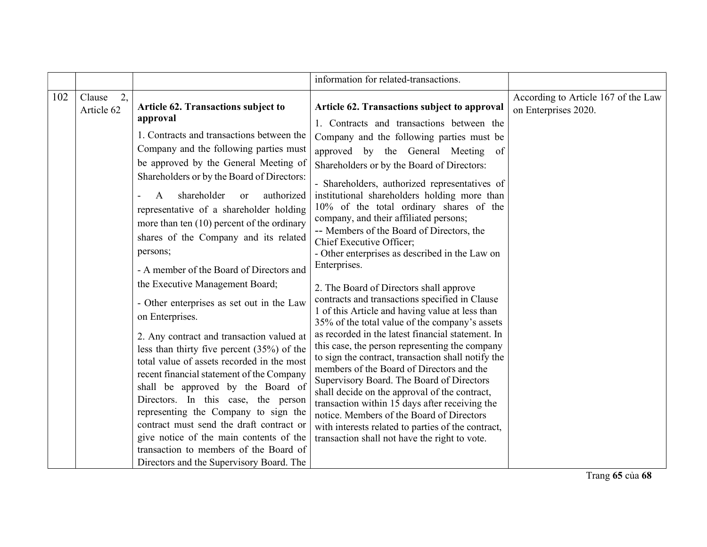|     |                            |                                                                                                                                                                                                                                                                                                                                                                                                                                                                                                                                                                                                                                                                                                                                                                                                                                                                                                                                                                                                                                                                                 | information for related-transactions.                                                                                                                                                                                                                                                                                                                                                                                                                                                                                                                                                                                                                                                                                                                                                                                                                                                                                                                                                                                                                                                                                                                                                                                                                                       |                                                             |
|-----|----------------------------|---------------------------------------------------------------------------------------------------------------------------------------------------------------------------------------------------------------------------------------------------------------------------------------------------------------------------------------------------------------------------------------------------------------------------------------------------------------------------------------------------------------------------------------------------------------------------------------------------------------------------------------------------------------------------------------------------------------------------------------------------------------------------------------------------------------------------------------------------------------------------------------------------------------------------------------------------------------------------------------------------------------------------------------------------------------------------------|-----------------------------------------------------------------------------------------------------------------------------------------------------------------------------------------------------------------------------------------------------------------------------------------------------------------------------------------------------------------------------------------------------------------------------------------------------------------------------------------------------------------------------------------------------------------------------------------------------------------------------------------------------------------------------------------------------------------------------------------------------------------------------------------------------------------------------------------------------------------------------------------------------------------------------------------------------------------------------------------------------------------------------------------------------------------------------------------------------------------------------------------------------------------------------------------------------------------------------------------------------------------------------|-------------------------------------------------------------|
| 102 | 2,<br>Clause<br>Article 62 | <b>Article 62. Transactions subject to</b><br>approval<br>1. Contracts and transactions between the<br>Company and the following parties must<br>be approved by the General Meeting of<br>Shareholders or by the Board of Directors:<br>shareholder<br>authorized<br>A<br><sub>or</sub><br>representative of a shareholder holding<br>more than ten $(10)$ percent of the ordinary<br>shares of the Company and its related<br>persons;<br>- A member of the Board of Directors and<br>the Executive Management Board;<br>- Other enterprises as set out in the Law<br>on Enterprises.<br>2. Any contract and transaction valued at<br>less than thirty five percent $(35%)$ of the<br>total value of assets recorded in the most<br>recent financial statement of the Company<br>shall be approved by the Board of<br>Directors. In this case, the person<br>representing the Company to sign the<br>contract must send the draft contract or<br>give notice of the main contents of the<br>transaction to members of the Board of<br>Directors and the Supervisory Board. The | Article 62. Transactions subject to approval<br>1. Contracts and transactions between the<br>Company and the following parties must be<br>approved by the General Meeting of<br>Shareholders or by the Board of Directors:<br>- Shareholders, authorized representatives of<br>institutional shareholders holding more than<br>10% of the total ordinary shares of the<br>company, and their affiliated persons;<br>-- Members of the Board of Directors, the<br>Chief Executive Officer;<br>- Other enterprises as described in the Law on<br>Enterprises.<br>2. The Board of Directors shall approve<br>contracts and transactions specified in Clause<br>1 of this Article and having value at less than<br>35% of the total value of the company's assets<br>as recorded in the latest financial statement. In<br>this case, the person representing the company<br>to sign the contract, transaction shall notify the<br>members of the Board of Directors and the<br>Supervisory Board. The Board of Directors<br>shall decide on the approval of the contract,<br>transaction within 15 days after receiving the<br>notice. Members of the Board of Directors<br>with interests related to parties of the contract,<br>transaction shall not have the right to vote. | According to Article 167 of the Law<br>on Enterprises 2020. |

Trang 65 của 68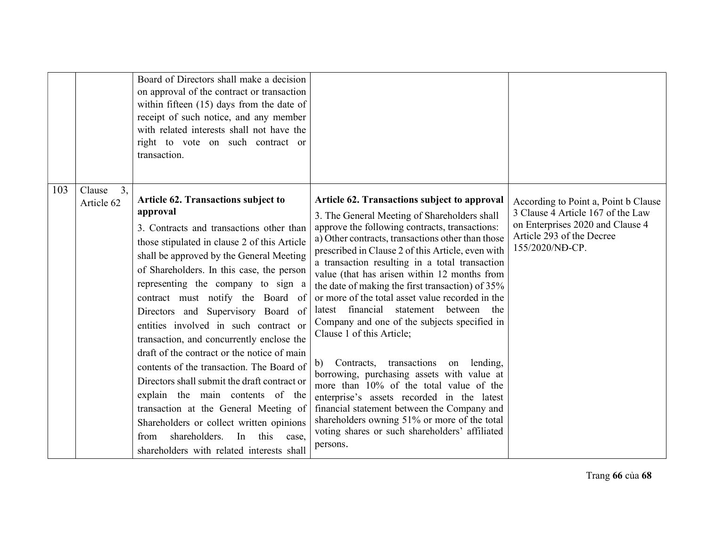|     |                                          | Board of Directors shall make a decision<br>on approval of the contract or transaction<br>within fifteen $(15)$ days from the date of<br>receipt of such notice, and any member<br>with related interests shall not have the<br>right to vote on such contract or<br>transaction.                                                                                                                                                                                                                                                                                                                                                                                                                                                                                                                             |                                                                                                                                                                                                                                                                                                                                                                                                                                                                                                                                                                                                                                                                                                                                                                                                                                                                                                                                                  |                                                                                                                                                               |
|-----|------------------------------------------|---------------------------------------------------------------------------------------------------------------------------------------------------------------------------------------------------------------------------------------------------------------------------------------------------------------------------------------------------------------------------------------------------------------------------------------------------------------------------------------------------------------------------------------------------------------------------------------------------------------------------------------------------------------------------------------------------------------------------------------------------------------------------------------------------------------|--------------------------------------------------------------------------------------------------------------------------------------------------------------------------------------------------------------------------------------------------------------------------------------------------------------------------------------------------------------------------------------------------------------------------------------------------------------------------------------------------------------------------------------------------------------------------------------------------------------------------------------------------------------------------------------------------------------------------------------------------------------------------------------------------------------------------------------------------------------------------------------------------------------------------------------------------|---------------------------------------------------------------------------------------------------------------------------------------------------------------|
| 103 | $\overline{3}$ .<br>Clause<br>Article 62 | Article 62. Transactions subject to<br>approval<br>3. Contracts and transactions other than<br>those stipulated in clause 2 of this Article<br>shall be approved by the General Meeting<br>of Shareholders. In this case, the person<br>representing the company to sign a<br>contract must notify the Board of<br>Directors and Supervisory Board of<br>entities involved in such contract or<br>transaction, and concurrently enclose the<br>draft of the contract or the notice of main<br>contents of the transaction. The Board of<br>Directors shall submit the draft contract or<br>explain the main contents of the<br>transaction at the General Meeting of<br>Shareholders or collect written opinions<br>shareholders.<br>this<br>from<br>In<br>case.<br>shareholders with related interests shall | Article 62. Transactions subject to approval<br>3. The General Meeting of Shareholders shall<br>approve the following contracts, transactions:<br>a) Other contracts, transactions other than those<br>prescribed in Clause 2 of this Article, even with<br>a transaction resulting in a total transaction<br>value (that has arisen within 12 months from<br>the date of making the first transaction) of 35%<br>or more of the total asset value recorded in the<br>latest financial statement between the<br>Company and one of the subjects specified in<br>Clause 1 of this Article;<br>Contracts, transactions<br>b)<br>lending,<br>on<br>borrowing, purchasing assets with value at<br>more than 10% of the total value of the<br>enterprise's assets recorded in the latest<br>financial statement between the Company and<br>shareholders owning 51% or more of the total<br>voting shares or such shareholders' affiliated<br>persons. | According to Point a, Point b Clause<br>3 Clause 4 Article 167 of the Law<br>on Enterprises 2020 and Clause 4<br>Article 293 of the Decree<br>155/2020/NĐ-CP. |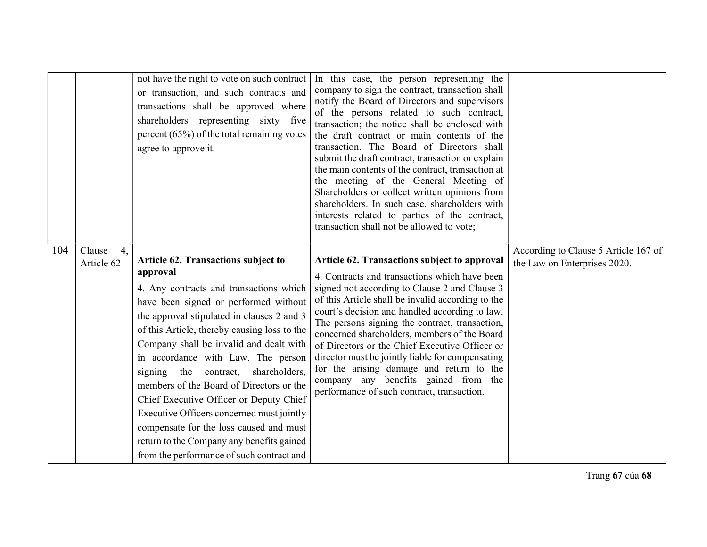|     |                            | not have the right to vote on such contract<br>or transaction, and such contracts and<br>transactions shall be approved where<br>shareholders representing sixty five<br>percent $(65%)$ of the total remaining votes<br>agree to approve it.                                                                                                                                                                                                                                                                                                                                                                                            | In this case, the person representing the<br>company to sign the contract, transaction shall<br>notify the Board of Directors and supervisors<br>of the persons related to such contract,<br>transaction; the notice shall be enclosed with<br>the draft contract or main contents of the<br>transaction. The Board of Directors shall<br>submit the draft contract, transaction or explain<br>the main contents of the contract, transaction at<br>the meeting of the General Meeting of<br>Shareholders or collect written opinions from<br>shareholders. In such case, shareholders with<br>interests related to parties of the contract,<br>transaction shall not be allowed to vote; |                                                                      |
|-----|----------------------------|------------------------------------------------------------------------------------------------------------------------------------------------------------------------------------------------------------------------------------------------------------------------------------------------------------------------------------------------------------------------------------------------------------------------------------------------------------------------------------------------------------------------------------------------------------------------------------------------------------------------------------------|-------------------------------------------------------------------------------------------------------------------------------------------------------------------------------------------------------------------------------------------------------------------------------------------------------------------------------------------------------------------------------------------------------------------------------------------------------------------------------------------------------------------------------------------------------------------------------------------------------------------------------------------------------------------------------------------|----------------------------------------------------------------------|
| 104 | Clause<br>4,<br>Article 62 | Article 62. Transactions subject to<br>approval<br>4. Any contracts and transactions which<br>have been signed or performed without<br>the approval stipulated in clauses 2 and 3<br>of this Article, thereby causing loss to the<br>Company shall be invalid and dealt with<br>in accordance with Law. The person<br>the contract,<br>shareholders,<br>signing<br>members of the Board of Directors or the<br>Chief Executive Officer or Deputy Chief<br>Executive Officers concerned must jointly<br>compensate for the loss caused and must<br>return to the Company any benefits gained<br>from the performance of such contract and | Article 62. Transactions subject to approval<br>4. Contracts and transactions which have been<br>signed not according to Clause 2 and Clause 3<br>of this Article shall be invalid according to the<br>court's decision and handled according to law.<br>The persons signing the contract, transaction,<br>concerned shareholders, members of the Board<br>of Directors or the Chief Executive Officer or<br>director must be jointly liable for compensating<br>for the arising damage and return to the<br>company any benefits gained from the<br>performance of such contract, transaction.                                                                                           | According to Clause 5 Article 167 of<br>the Law on Enterprises 2020. |